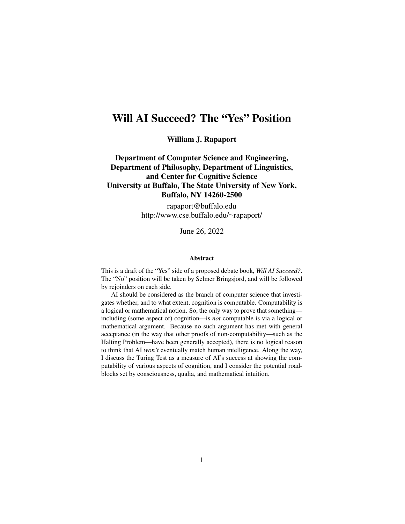# Will AI Succeed? The "Yes" Position

William J. Rapaport

Department of Computer Science and Engineering, Department of Philosophy, Department of Linguistics, and Center for Cognitive Science University at Buffalo, The State University of New York, Buffalo, NY 14260-2500

> rapaport@buffalo.edu http://www.cse.buffalo.edu/∼rapaport/

> > June 26, 2022

#### Abstract

This is a draft of the "Yes" side of a proposed debate book, *Will AI Succeed?*. The "No" position will be taken by Selmer Bringsjord, and will be followed by rejoinders on each side.

AI should be considered as the branch of computer science that investigates whether, and to what extent, cognition is computable. Computability is a logical or mathematical notion. So, the only way to prove that something including (some aspect of) cognition—is *not* computable is via a logical or mathematical argument. Because no such argument has met with general acceptance (in the way that other proofs of non-computability—such as the Halting Problem—have been generally accepted), there is no logical reason to think that AI *won't* eventually match human intelligence. Along the way, I discuss the Turing Test as a measure of AI's success at showing the computability of various aspects of cognition, and I consider the potential roadblocks set by consciousness, qualia, and mathematical intuition.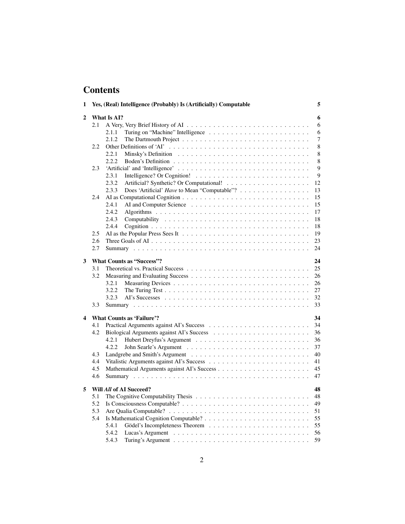# **Contents**

| 1 |                                        | Yes, (Real) Intelligence (Probably) Is (Artificially) Computable<br>5 |  |  |  |
|---|----------------------------------------|-----------------------------------------------------------------------|--|--|--|
| 2 |                                        | What Is AI?<br>6                                                      |  |  |  |
|   | 2.1                                    | 6                                                                     |  |  |  |
|   |                                        | 2.1.1<br>6                                                            |  |  |  |
|   |                                        | $\overline{7}$<br>2.1.2                                               |  |  |  |
|   | 2.2                                    | $\,8\,$                                                               |  |  |  |
|   |                                        | 8<br>2.2.1                                                            |  |  |  |
|   |                                        | 2.2.2<br>8                                                            |  |  |  |
|   | 2.3                                    | 9                                                                     |  |  |  |
|   |                                        | 9<br>2.3.1                                                            |  |  |  |
|   |                                        | 2.3.2<br>12                                                           |  |  |  |
|   |                                        | 2.3.3<br>Does 'Artificial' Have to Mean "Computable"?<br>13           |  |  |  |
|   | 2.4                                    | 15                                                                    |  |  |  |
|   |                                        | 2.4.1<br>15                                                           |  |  |  |
|   |                                        |                                                                       |  |  |  |
|   |                                        | 2.4.2<br>17                                                           |  |  |  |
|   |                                        | 2.4.3<br>18                                                           |  |  |  |
|   |                                        | 2.4.4<br>18                                                           |  |  |  |
|   | 2.5                                    | 19                                                                    |  |  |  |
|   | 2.6                                    | 23                                                                    |  |  |  |
|   | 2.7                                    | 24                                                                    |  |  |  |
| 3 | <b>What Counts as "Success"?</b><br>24 |                                                                       |  |  |  |
|   | 3.1                                    | 25                                                                    |  |  |  |
|   | 3.2                                    | 26                                                                    |  |  |  |
|   |                                        | 3.2.1<br>26                                                           |  |  |  |
|   |                                        | 3.2.2<br>27                                                           |  |  |  |
|   |                                        | 32<br>3.2.3                                                           |  |  |  |
|   | 3.3                                    | 33                                                                    |  |  |  |
| 4 |                                        | <b>What Counts as 'Failure'?</b><br>34                                |  |  |  |
|   | 4.1                                    | 34                                                                    |  |  |  |
|   | 4.2                                    |                                                                       |  |  |  |
|   |                                        | 36                                                                    |  |  |  |
|   |                                        | 4.2.1<br>36                                                           |  |  |  |
|   |                                        | 37<br>4.2.2                                                           |  |  |  |
|   | 4.3                                    | 40                                                                    |  |  |  |
|   | 4.4                                    | 41                                                                    |  |  |  |
|   | 4.5                                    | 45                                                                    |  |  |  |
|   | 4.6                                    | 47                                                                    |  |  |  |
| 5 |                                        | Will All of AI Succeed?<br>48                                         |  |  |  |
|   | 5.1                                    | 48                                                                    |  |  |  |
|   | 5.2                                    | 49                                                                    |  |  |  |
|   | 5.3                                    | 51                                                                    |  |  |  |
|   | 5.4                                    | 55                                                                    |  |  |  |
|   |                                        | 5.4.1<br>55                                                           |  |  |  |
|   |                                        | 5.4.2<br>56                                                           |  |  |  |
|   |                                        | 5.4.3<br>59                                                           |  |  |  |
|   |                                        |                                                                       |  |  |  |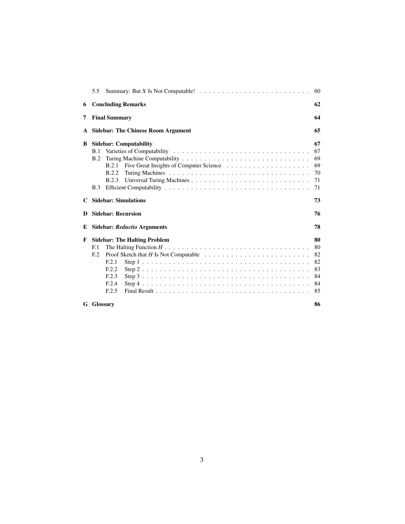|   | 5.5                                                                                                                                                                                                                        | 60                                           |
|---|----------------------------------------------------------------------------------------------------------------------------------------------------------------------------------------------------------------------------|----------------------------------------------|
| 6 | <b>Concluding Remarks</b>                                                                                                                                                                                                  | 62                                           |
| 7 | <b>Final Summary</b>                                                                                                                                                                                                       | 64                                           |
| A | <b>Sidebar: The Chinese Room Argument</b>                                                                                                                                                                                  | 65                                           |
| B | <b>Sidebar: Computability</b><br>B.1<br>B.2<br><b>B.2.1</b><br><b>B.2.2</b><br><b>B.2.3</b><br><b>B.3</b>                                                                                                                  | 67<br>67<br>69<br>69<br>70<br>71<br>71       |
| C | <b>Sidebar: Simulations</b>                                                                                                                                                                                                | 73                                           |
| Ð | <b>Sidebar: Recursion</b>                                                                                                                                                                                                  | 76                                           |
| E | <b>Sidebar: Reductio Arguments</b>                                                                                                                                                                                         | 78                                           |
| F | <b>Sidebar: The Halting Problem</b><br>F <sub>1</sub><br>Proof Sketch that $H$ Is Not Computable $\ldots \ldots \ldots \ldots \ldots \ldots \ldots \ldots$<br>F <sub>12</sub><br>F.2.1<br>F.2.2<br>E.2.3<br>F.2.4<br>F.2.5 | 80<br>80<br>82<br>82<br>83<br>84<br>84<br>85 |
|   | <b>G</b> Glossary                                                                                                                                                                                                          | 86                                           |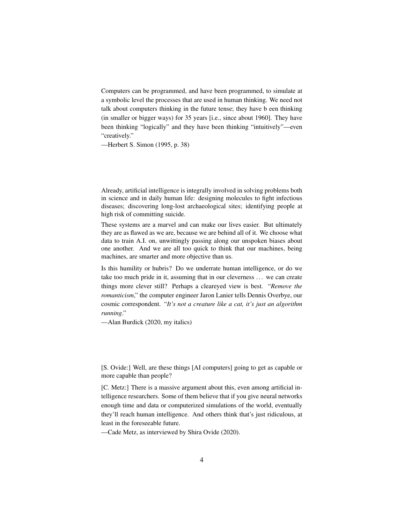Computers can be programmed, and have been programmed, to simulate at a symbolic level the processes that are used in human thinking. We need not talk about computers thinking in the future tense; they have b een thinking (in smaller or bigger ways) for 35 years [i.e., since about 1960]. They have been thinking "logically" and they have been thinking "intuitively"—even "creatively."

—Herbert S. Simon (1995, p. 38)

Already, artificial intelligence is integrally involved in solving problems both in science and in daily human life: designing molecules to fight infectious diseases; discovering long-lost archaeological sites; identifying people at high risk of committing suicide.

These systems are a marvel and can make our lives easier. But ultimately they are as flawed as we are, because we are behind all of it. We choose what data to train A.I. on, unwittingly passing along our unspoken biases about one another. And we are all too quick to think that our machines, being machines, are smarter and more objective than us.

Is this humility or hubris? Do we underrate human intelligence, or do we take too much pride in it, assuming that in our cleverness . . . we can create things more clever still? Perhaps a cleareyed view is best. "*Remove the romanticism*," the computer engineer Jaron Lanier tells Dennis Overbye, our cosmic correspondent. "*It's not a creature like a cat, it's just an algorithm running*."

—Alan Burdick (2020, my italics)

[S. Ovide:] Well, are these things [AI computers] going to get as capable or more capable than people?

[C. Metz:] There is a massive argument about this, even among artificial intelligence researchers. Some of them believe that if you give neural networks enough time and data or computerized simulations of the world, eventually they'll reach human intelligence. And others think that's just ridiculous, at least in the foreseeable future.

—Cade Metz, as interviewed by Shira Ovide (2020).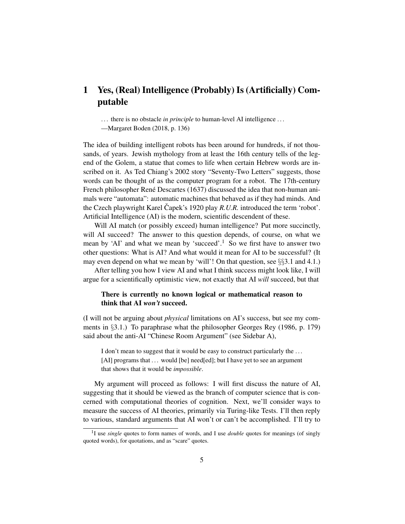# 1 Yes, (Real) Intelligence (Probably) Is (Artificially) Computable

... there is no obstacle *in principle* to human-level AI intelligence ...

—Margaret Boden (2018, p. 136)

The idea of building intelligent robots has been around for hundreds, if not thousands, of years. Jewish mythology from at least the 16th century tells of the legend of the Golem, a statue that comes to life when certain Hebrew words are inscribed on it. As Ted Chiang's 2002 story "Seventy-Two Letters" suggests, those words can be thought of as the computer program for a robot. The 17th-century French philosopher René Descartes (1637) discussed the idea that non-human animals were "automata": automatic machines that behaved as if they had minds. And the Czech playwright Karel Čapek's 1920 play *R.U.R.* introduced the term 'robot'. Artificial Intelligence (AI) is the modern, scientific descendent of these.

Will AI match (or possibly exceed) human intelligence? Put more succinctly, will AI succeed? The answer to this question depends, of course, on what we mean by 'AI' and what we mean by 'succeed'.<sup>1</sup> So we first have to answer two other questions: What is AI? And what would it mean for AI to be successful? (It may even depend on what we mean by 'will'! On that question, see §§3.1 and 4.1.)

After telling you how I view AI and what I think success might look like, I will argue for a scientifically optimistic view, not exactly that AI *will* succeed, but that

# There is currently no known logical or mathematical reason to think that AI *won't* succeed.

(I will not be arguing about *physical* limitations on AI's success, but see my comments in §3.1.) To paraphrase what the philosopher Georges Rey (1986, p. 179) said about the anti-AI "Chinese Room Argument" (see Sidebar A),

I don't mean to suggest that it would be easy to construct particularly the ... [AI] programs that ... would [be] need[ed]; but I have yet to see an argument that shows that it would be *impossible*.

My argument will proceed as follows: I will first discuss the nature of AI, suggesting that it should be viewed as the branch of computer science that is concerned with computational theories of cognition. Next, we'll consider ways to measure the success of AI theories, primarily via Turing-like Tests. I'll then reply to various, standard arguments that AI won't or can't be accomplished. I'll try to

<sup>&</sup>lt;sup>1</sup>I use *single* quotes to form names of words, and I use *double* quotes for meanings (of singly quoted words), for quotations, and as "scare" quotes.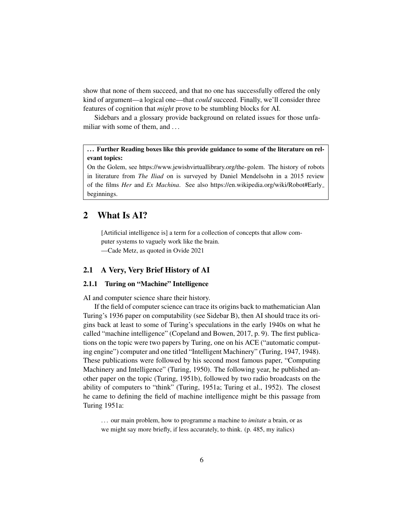show that none of them succeed, and that no one has successfully offered the only kind of argument—a logical one—that *could* succeed. Finally, we'll consider three features of cognition that *might* prove to be stumbling blocks for AI.

Sidebars and a glossary provide background on related issues for those unfamiliar with some of them, and ...

... Further Reading boxes like this provide guidance to some of the literature on relevant topics:

On the Golem, see https://www.jewishvirtuallibrary.org/the-golem. The history of robots in literature from *The Iliad* on is surveyed by Daniel Mendelsohn in a 2015 review of the films *Her* and *Ex Machina*. See also https://en.wikipedia.org/wiki/Robot#Early beginnings.

# 2 What Is AI?

[Artificial intelligence is] a term for a collection of concepts that allow computer systems to vaguely work like the brain. —Cade Metz, as quoted in Ovide 2021

# 2.1 A Very, Very Brief History of AI

# 2.1.1 Turing on "Machine" Intelligence

AI and computer science share their history.

If the field of computer science can trace its origins back to mathematician Alan Turing's 1936 paper on computability (see Sidebar B), then AI should trace its origins back at least to some of Turing's speculations in the early 1940s on what he called "machine intelligence" (Copeland and Bowen, 2017, p. 9). The first publications on the topic were two papers by Turing, one on his ACE ("automatic computing engine") computer and one titled "Intelligent Machinery" (Turing, 1947, 1948). These publications were followed by his second most famous paper, "Computing Machinery and Intelligence" (Turing, 1950). The following year, he published another paper on the topic (Turing, 1951b), followed by two radio broadcasts on the ability of computers to "think" (Turing, 1951a; Turing et al., 1952). The closest he came to defining the field of machine intelligence might be this passage from Turing 1951a:

. . . our main problem, how to programme a machine to *imitate* a brain, or as we might say more briefly, if less accurately, to think. (p. 485, my italics)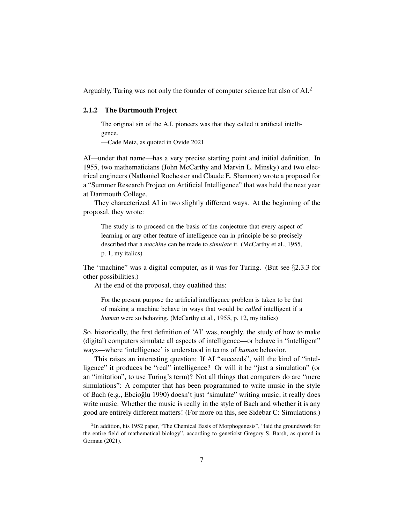Arguably, Turing was not only the founder of computer science but also of AI.<sup>2</sup>

#### 2.1.2 The Dartmouth Project

The original sin of the A.I. pioneers was that they called it artificial intelligence.

—Cade Metz, as quoted in Ovide 2021

AI—under that name—has a very precise starting point and initial definition. In 1955, two mathematicians (John McCarthy and Marvin L. Minsky) and two electrical engineers (Nathaniel Rochester and Claude E. Shannon) wrote a proposal for a "Summer Research Project on Artificial Intelligence" that was held the next year at Dartmouth College.

They characterized AI in two slightly different ways. At the beginning of the proposal, they wrote:

The study is to proceed on the basis of the conjecture that every aspect of learning or any other feature of intelligence can in principle be so precisely described that a *machine* can be made to *simulate* it. (McCarthy et al., 1955, p. 1, my italics)

The "machine" was a digital computer, as it was for Turing. (But see  $\S 2.3.3$  for other possibilities.)

At the end of the proposal, they qualified this:

For the present purpose the artificial intelligence problem is taken to be that of making a machine behave in ways that would be *called* intelligent if a *human* were so behaving. (McCarthy et al., 1955, p. 12, my italics)

So, historically, the first definition of 'AI' was, roughly, the study of how to make (digital) computers simulate all aspects of intelligence—or behave in "intelligent" ways—where 'intelligence' is understood in terms of *human* behavior.

This raises an interesting question: If AI "succeeds", will the kind of "intelligence" it produces be "real" intelligence? Or will it be "just a simulation" (or an "imitation", to use Turing's term)? Not all things that computers do are "mere simulations": A computer that has been programmed to write music in the style of Bach (e.g., Ebcioğlu 1990) doesn't just "simulate" writing music; it really does write music. Whether the music is really in the style of Bach and whether it is any good are entirely different matters! (For more on this, see Sidebar C: Simulations.)

<sup>&</sup>lt;sup>2</sup>In addition, his 1952 paper, "The Chemical Basis of Morphogenesis", "laid the groundwork for the entire field of mathematical biology", according to geneticist Gregory S. Barsh, as quoted in Gorman (2021).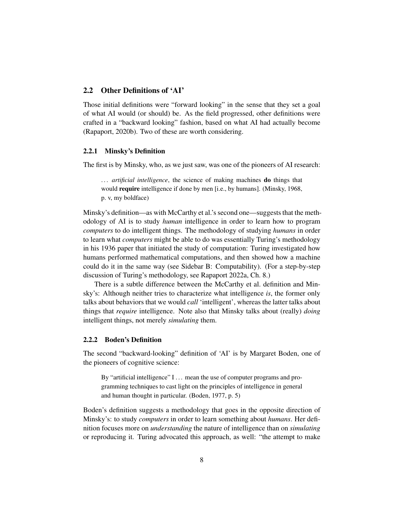## 2.2 Other Definitions of 'AI'

Those initial definitions were "forward looking" in the sense that they set a goal of what AI would (or should) be. As the field progressed, other definitions were crafted in a "backward looking" fashion, based on what AI had actually become (Rapaport, 2020b). Two of these are worth considering.

#### 2.2.1 Minsky's Definition

The first is by Minsky, who, as we just saw, was one of the pioneers of AI research:

... *artificial intelligence*, the science of making machines **do** things that would **require** intelligence if done by men [i.e., by humans]. (Minsky, 1968, p. v, my boldface)

Minsky's definition—as with McCarthy et al.'s second one—suggests that the methodology of AI is to study *human* intelligence in order to learn how to program *computers* to do intelligent things. The methodology of studying *humans* in order to learn what *computers* might be able to do was essentially Turing's methodology in his 1936 paper that initiated the study of computation: Turing investigated how humans performed mathematical computations, and then showed how a machine could do it in the same way (see Sidebar B: Computability). (For a step-by-step discussion of Turing's methodology, see Rapaport 2022a, Ch. 8.)

There is a subtle difference between the McCarthy et al. definition and Minsky's: Although neither tries to characterize what intelligence *is*, the former only talks about behaviors that we would *call* 'intelligent', whereas the latter talks about things that *require* intelligence. Note also that Minsky talks about (really) *doing* intelligent things, not merely *simulating* them.

#### 2.2.2 Boden's Definition

The second "backward-looking" definition of 'AI' is by Margaret Boden, one of the pioneers of cognitive science:

By "artificial intelligence" I ... mean the use of computer programs and programming techniques to cast light on the principles of intelligence in general and human thought in particular. (Boden, 1977, p. 5)

Boden's definition suggests a methodology that goes in the opposite direction of Minsky's: to study *computers* in order to learn something about *humans*. Her definition focuses more on *understanding* the nature of intelligence than on *simulating* or reproducing it. Turing advocated this approach, as well: "the attempt to make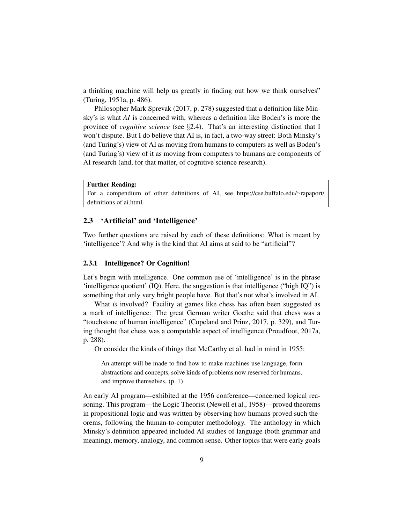a thinking machine will help us greatly in finding out how we think ourselves" (Turing, 1951a, p. 486).

Philosopher Mark Sprevak (2017, p. 278) suggested that a definition like Minsky's is what *AI* is concerned with, whereas a definition like Boden's is more the province of *cognitive science* (see §2.4). That's an interesting distinction that I won't dispute. But I do believe that AI is, in fact, a two-way street: Both Minsky's (and Turing's) view of AI as moving from humans to computers as well as Boden's (and Turing's) view of it as moving from computers to humans are components of AI research (and, for that matter, of cognitive science research).

#### Further Reading:

For a compendium of other definitions of AI, see https://cse.buffalo.edu/∼rapaport/ definitions.of.ai.html

#### 2.3 'Artificial' and 'Intelligence'

Two further questions are raised by each of these definitions: What is meant by 'intelligence'? And why is the kind that AI aims at said to be "artificial"?

#### 2.3.1 Intelligence? Or Cognition!

Let's begin with intelligence. One common use of 'intelligence' is in the phrase 'intelligence quotient' (IQ). Here, the suggestion is that intelligence ("high IQ") is something that only very bright people have. But that's not what's involved in AI.

What *is* involved? Facility at games like chess has often been suggested as a mark of intelligence: The great German writer Goethe said that chess was a "touchstone of human intelligence" (Copeland and Prinz, 2017, p. 329), and Turing thought that chess was a computable aspect of intelligence (Proudfoot, 2017a, p. 288).

Or consider the kinds of things that McCarthy et al. had in mind in 1955:

An attempt will be made to find how to make machines use language, form abstractions and concepts, solve kinds of problems now reserved for humans, and improve themselves. (p. 1)

An early AI program—exhibited at the 1956 conference—concerned logical reasoning. This program—the Logic Theorist (Newell et al., 1958)—proved theorems in propositional logic and was written by observing how humans proved such theorems, following the human-to-computer methodology. The anthology in which Minsky's definition appeared included AI studies of language (both grammar and meaning), memory, analogy, and common sense. Other topics that were early goals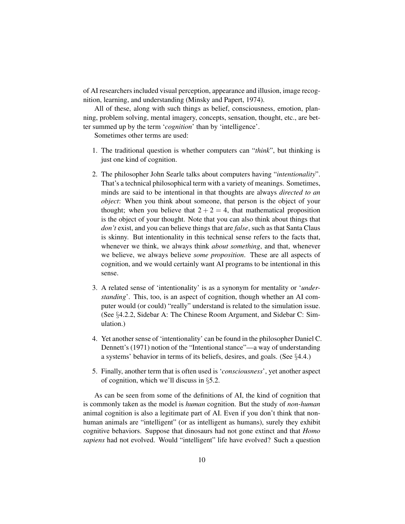of AI researchers included visual perception, appearance and illusion, image recognition, learning, and understanding (Minsky and Papert, 1974).

All of these, along with such things as belief, consciousness, emotion, planning, problem solving, mental imagery, concepts, sensation, thought, etc., are better summed up by the term '*cognition*' than by 'intelligence'.

Sometimes other terms are used:

- 1. The traditional question is whether computers can "*think*", but thinking is just one kind of cognition.
- 2. The philosopher John Searle talks about computers having "*intentionality*". That's a technical philosophical term with a variety of meanings. Sometimes, minds are said to be intentional in that thoughts are always *directed to an object*: When you think about someone, that person is the object of your thought; when you believe that  $2 + 2 = 4$ , that mathematical proposition is the object of your thought. Note that you can also think about things that *don't* exist, and you can believe things that are *false*, such as that Santa Claus is skinny. But intentionality in this technical sense refers to the facts that, whenever we think, we always think *about something*, and that, whenever we believe, we always believe *some proposition*. These are all aspects of cognition, and we would certainly want AI programs to be intentional in this sense.
- 3. A related sense of 'intentionality' is as a synonym for mentality or '*understanding*'. This, too, is an aspect of cognition, though whether an AI computer would (or could) "really" understand is related to the simulation issue. (See §4.2.2, Sidebar A: The Chinese Room Argument, and Sidebar C: Simulation.)
- 4. Yet another sense of 'intentionality' can be found in the philosopher Daniel C. Dennett's (1971) notion of the "Intentional stance"—a way of understanding a systems' behavior in terms of its beliefs, desires, and goals. (See §4.4.)
- 5. Finally, another term that is often used is '*consciousness*', yet another aspect of cognition, which we'll discuss in §5.2.

As can be seen from some of the definitions of AI, the kind of cognition that is commonly taken as the model is *human* cognition. But the study of *non-human* animal cognition is also a legitimate part of AI. Even if you don't think that nonhuman animals are "intelligent" (or as intelligent as humans), surely they exhibit cognitive behaviors. Suppose that dinosaurs had not gone extinct and that *Homo sapiens* had not evolved. Would "intelligent" life have evolved? Such a question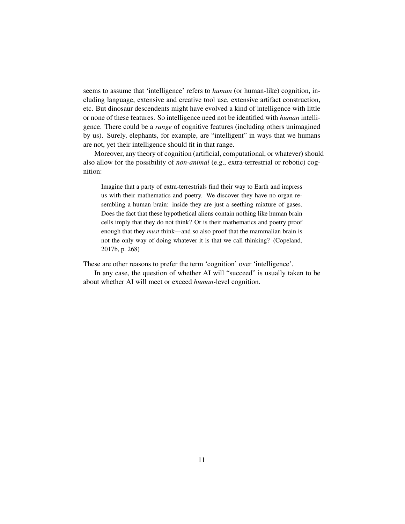seems to assume that 'intelligence' refers to *human* (or human-like) cognition, including language, extensive and creative tool use, extensive artifact construction, etc. But dinosaur descendents might have evolved a kind of intelligence with little or none of these features. So intelligence need not be identified with *human* intelligence. There could be a *range* of cognitive features (including others unimagined by us). Surely, elephants, for example, are "intelligent" in ways that we humans are not, yet their intelligence should fit in that range.

Moreover, any theory of cognition (artificial, computational, or whatever) should also allow for the possibility of *non-animal* (e.g., extra-terrestrial or robotic) cognition:

Imagine that a party of extra-terrestrials find their way to Earth and impress us with their mathematics and poetry. We discover they have no organ resembling a human brain: inside they are just a seething mixture of gases. Does the fact that these hypothetical aliens contain nothing like human brain cells imply that they do not think? Or is their mathematics and poetry proof enough that they *must* think—and so also proof that the mammalian brain is not the only way of doing whatever it is that we call thinking? (Copeland, 2017b, p. 268)

These are other reasons to prefer the term 'cognition' over 'intelligence'.

In any case, the question of whether AI will "succeed" is usually taken to be about whether AI will meet or exceed *human*-level cognition.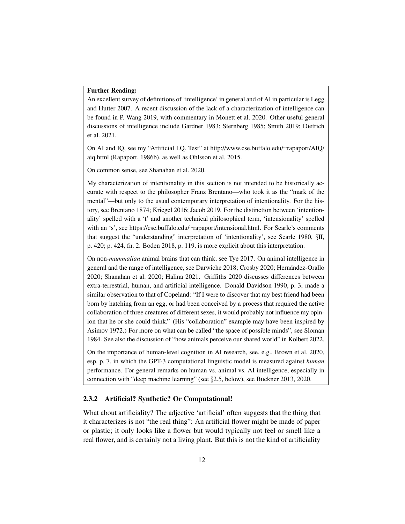#### Further Reading:

An excellent survey of definitions of 'intelligence' in general and of AI in particular is Legg and Hutter 2007. A recent discussion of the lack of a characterization of intelligence can be found in P. Wang 2019, with commentary in Monett et al. 2020. Other useful general discussions of intelligence include Gardner 1983; Sternberg 1985; Smith 2019; Dietrich et al. 2021.

On AI and IQ, see my "Artificial I.Q. Test" at http://www.cse.buffalo.edu/∼rapaport/AIQ/ aiq.html (Rapaport, 1986b), as well as Ohlsson et al. 2015.

On common sense, see Shanahan et al. 2020.

My characterization of intentionality in this section is not intended to be historically accurate with respect to the philosopher Franz Brentano—who took it as the "mark of the mental"—but only to the usual contemporary interpretation of intentionality. For the history, see Brentano 1874; Kriegel 2016; Jacob 2019. For the distinction between 'intentionality' spelled with a 't' and another technical philosophical term, 'intensionality' spelled with an 's', see https://cse.buffalo.edu/∼rapaport/intensional.html. For Searle's comments that suggest the "understanding" interpretation of 'intentionality', see Searle 1980, §II, p. 420; p. 424, fn. 2. Boden 2018, p. 119, is more explicit about this interpretation.

On non-*mammalian* animal brains that can think, see Tye 2017. On animal intelligence in general and the range of intelligence, see Darwiche 2018; Crosby 2020; Hernandez-Orallo ´ 2020; Shanahan et al. 2020; Halina 2021. Griffiths 2020 discusses differences between extra-terrestrial, human, and artificial intelligence. Donald Davidson 1990, p. 3, made a similar observation to that of Copeland: "If I were to discover that my best friend had been born by hatching from an egg, or had been conceived by a process that required the active collaboration of three creatures of different sexes, it would probably not influence my opinion that he or she could think." (His "collaboration" example may have been inspired by Asimov 1972.) For more on what can be called "the space of possible minds", see Sloman 1984. See also the discussion of "how animals perceive our shared world" in Kolbert 2022.

On the importance of human-level cognition in AI research, see, e.g., Brown et al. 2020, esp. p. 7, in which the GPT-3 computational linguistic model is measured against *human* performance. For general remarks on human vs. animal vs. AI intelligence, especially in connection with "deep machine learning" (see §2.5, below), see Buckner 2013, 2020.

#### 2.3.2 Artificial? Synthetic? Or Computational!

What about artificiality? The adjective 'artificial' often suggests that the thing that it characterizes is not "the real thing": An artificial flower might be made of paper or plastic; it only looks like a flower but would typically not feel or smell like a real flower, and is certainly not a living plant. But this is not the kind of artificiality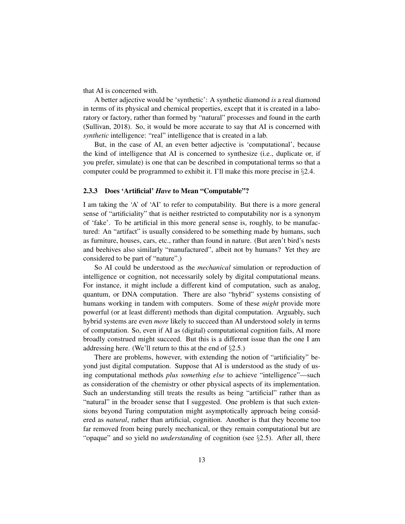that AI is concerned with.

A better adjective would be 'synthetic': A synthetic diamond *is* a real diamond in terms of its physical and chemical properties, except that it is created in a laboratory or factory, rather than formed by "natural" processes and found in the earth (Sullivan, 2018). So, it would be more accurate to say that AI is concerned with *synthetic* intelligence: "real" intelligence that is created in a lab.

But, in the case of AI, an even better adjective is 'computational', because the kind of intelligence that AI is concerned to synthesize (i.e., duplicate or, if you prefer, simulate) is one that can be described in computational terms so that a computer could be programmed to exhibit it. I'll make this more precise in §2.4.

#### 2.3.3 Does 'Artificial' *Have* to Mean "Computable"?

I am taking the 'A' of 'AI' to refer to computability. But there is a more general sense of "artificiality" that is neither restricted to computability nor is a synonym of 'fake'. To be artificial in this more general sense is, roughly, to be manufactured: An "artifact" is usually considered to be something made by humans, such as furniture, houses, cars, etc., rather than found in nature. (But aren't bird's nests and beehives also similarly "manufactured", albeit not by humans? Yet they are considered to be part of "nature".)

So AI could be understood as the *mechanical* simulation or reproduction of intelligence or cognition, not necessarily solely by digital computational means. For instance, it might include a different kind of computation, such as analog, quantum, or DNA computation. There are also "hybrid" systems consisting of humans working in tandem with computers. Some of these *might* provide more powerful (or at least different) methods than digital computation. Arguably, such hybrid systems are even *more* likely to succeed than AI understood solely in terms of computation. So, even if AI as (digital) computational cognition fails, AI more broadly construed might succeed. But this is a different issue than the one I am addressing here. (We'll return to this at the end of  $\S 2.5$ .)

There are problems, however, with extending the notion of "artificiality" beyond just digital computation. Suppose that AI is understood as the study of using computational methods *plus something else* to achieve "intelligence"—such as consideration of the chemistry or other physical aspects of its implementation. Such an understanding still treats the results as being "artificial" rather than as "natural" in the broader sense that I suggested. One problem is that such extensions beyond Turing computation might asymptotically approach being considered as *natural*, rather than artificial, cognition. Another is that they become too far removed from being purely mechanical, or they remain computational but are "opaque" and so yield no *understanding* of cognition (see §2.5). After all, there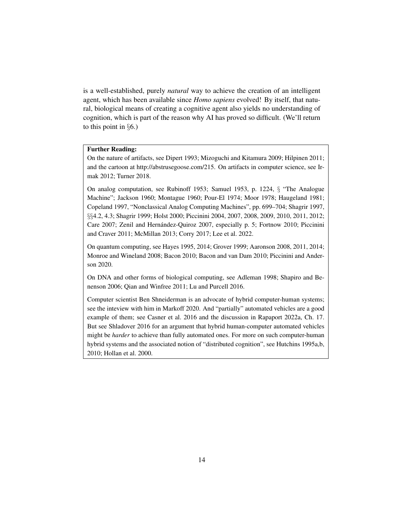is a well-established, purely *natural* way to achieve the creation of an intelligent agent, which has been available since *Homo sapiens* evolved! By itself, that natural, biological means of creating a cognitive agent also yields no understanding of cognition, which is part of the reason why AI has proved so difficult. (We'll return to this point in  $\S6$ .)

### Further Reading:

On the nature of artifacts, see Dipert 1993; Mizoguchi and Kitamura 2009; Hilpinen 2011; and the cartoon at http://abstrusegoose.com/215. On artifacts in computer science, see Irmak 2012; Turner 2018.

On analog computation, see Rubinoff 1953; Samuel 1953, p. 1224, § "The Analogue Machine"; Jackson 1960; Montague 1960; Pour-El 1974; Moor 1978; Haugeland 1981; Copeland 1997, "Nonclassical Analog Computing Machines", pp. 699–704; Shagrir 1997, §§4.2, 4.3; Shagrir 1999; Holst 2000; Piccinini 2004, 2007, 2008, 2009, 2010, 2011, 2012; Care 2007; Zenil and Hernández-Quiroz 2007, especially p. 5; Fortnow 2010; Piccinini and Craver 2011; McMillan 2013; Corry 2017; Lee et al. 2022.

On quantum computing, see Hayes 1995, 2014; Grover 1999; Aaronson 2008, 2011, 2014; Monroe and Wineland 2008; Bacon 2010; Bacon and van Dam 2010; Piccinini and Anderson 2020.

On DNA and other forms of biological computing, see Adleman 1998; Shapiro and Benenson 2006; Qian and Winfree 2011; Lu and Purcell 2016.

Computer scientist Ben Shneiderman is an advocate of hybrid computer-human systems; see the inteview with him in Markoff 2020. And "partially" automated vehicles are a good example of them; see Casner et al. 2016 and the discussion in Rapaport 2022a, Ch. 17. But see Shladover 2016 for an argument that hybrid human-computer automated vehicles might be *harder* to achieve than fully automated ones. For more on such computer-human hybrid systems and the associated notion of "distributed cognition", see Hutchins 1995a,b, 2010; Hollan et al. 2000.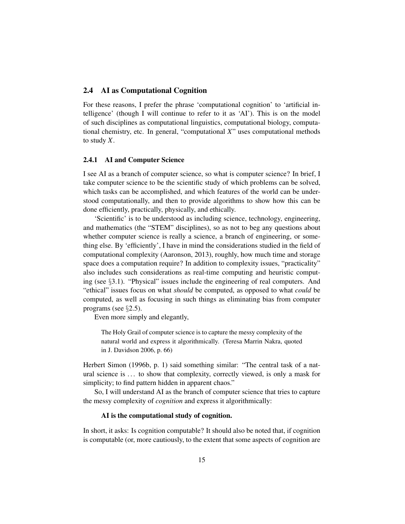## 2.4 AI as Computational Cognition

For these reasons, I prefer the phrase 'computational cognition' to 'artificial intelligence' (though I will continue to refer to it as 'AI'). This is on the model of such disciplines as computational linguistics, computational biology, computational chemistry, etc. In general, "computational *X*" uses computational methods to study *X*.

### 2.4.1 AI and Computer Science

I see AI as a branch of computer science, so what is computer science? In brief, I take computer science to be the scientific study of which problems can be solved, which tasks can be accomplished, and which features of the world can be understood computationally, and then to provide algorithms to show how this can be done efficiently, practically, physically, and ethically.

'Scientific' is to be understood as including science, technology, engineering, and mathematics (the "STEM" disciplines), so as not to beg any questions about whether computer science is really a science, a branch of engineering, or something else. By 'efficiently', I have in mind the considerations studied in the field of computational complexity (Aaronson, 2013), roughly, how much time and storage space does a computation require? In addition to complexity issues, "practicality" also includes such considerations as real-time computing and heuristic computing (see §3.1). "Physical" issues include the engineering of real computers. And "ethical" issues focus on what *should* be computed, as opposed to what *could* be computed, as well as focusing in such things as eliminating bias from computer programs (see §2.5).

Even more simply and elegantly,

The Holy Grail of computer science is to capture the messy complexity of the natural world and express it algorithmically. (Teresa Marrin Nakra, quoted in J. Davidson 2006, p. 66)

Herbert Simon (1996b, p. 1) said something similar: "The central task of a natural science is ... to show that complexity, correctly viewed, is only a mask for simplicity; to find pattern hidden in apparent chaos."

So, I will understand AI as the branch of computer science that tries to capture the messy complexity of *cognition* and express it algorithmically:

#### AI is the computational study of cognition.

In short, it asks: Is cognition computable? It should also be noted that, if cognition is computable (or, more cautiously, to the extent that some aspects of cognition are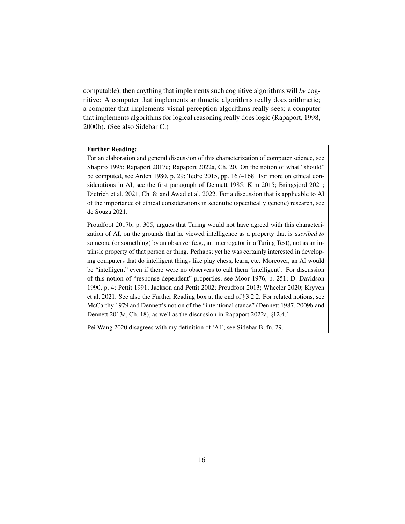computable), then anything that implements such cognitive algorithms will *be* cognitive: A computer that implements arithmetic algorithms really does arithmetic; a computer that implements visual-perception algorithms really sees; a computer that implements algorithms for logical reasoning really does logic (Rapaport, 1998, 2000b). (See also Sidebar C.)

#### Further Reading:

For an elaboration and general discussion of this characterization of computer science, see Shapiro 1995; Rapaport 2017c; Rapaport 2022a, Ch. 20. On the notion of what "should" be computed, see Arden 1980, p. 29; Tedre 2015, pp. 167–168. For more on ethical considerations in AI, see the first paragraph of Dennett 1985; Kim 2015; Bringsjord 2021; Dietrich et al. 2021, Ch. 8; and Awad et al. 2022. For a discussion that is applicable to AI of the importance of ethical considerations in scientific (specifically genetic) research, see de Souza 2021.

Proudfoot 2017b, p. 305, argues that Turing would not have agreed with this characterization of AI, on the grounds that he viewed intelligence as a property that is *ascribed to* someone (or something) by an observer (e.g., an interrogator in a Turing Test), not as an intrinsic property of that person or thing. Perhaps; yet he was certainly interested in developing computers that do intelligent things like play chess, learn, etc. Moreover, an AI would be "intelligent" even if there were no observers to call them 'intelligent'. For discussion of this notion of "response-dependent" properties, see Moor 1976, p. 251; D. Davidson 1990, p. 4; Pettit 1991; Jackson and Pettit 2002; Proudfoot 2013; Wheeler 2020; Kryven et al. 2021. See also the Further Reading box at the end of §3.2.2. For related notions, see McCarthy 1979 and Dennett's notion of the "intentional stance" (Dennett 1987, 2009b and Dennett 2013a, Ch. 18), as well as the discussion in Rapaport 2022a, §12.4.1.

Pei Wang 2020 disagrees with my definition of 'AI'; see Sidebar B, fn. 29.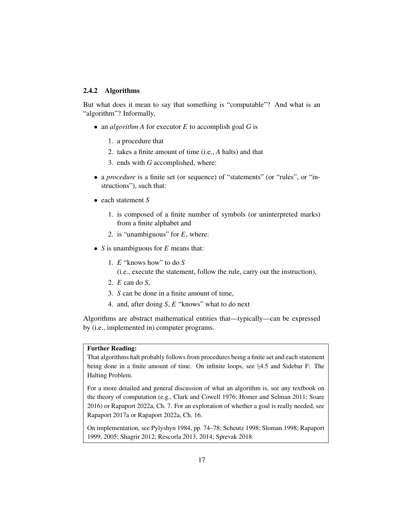### 2.4.2 Algorithms

But what does it mean to say that something is "computable"? And what is an "algorithm"? Informally,

- an *algorithm A* for executor *E* to accomplish goal *G* is
	- 1. a procedure that
	- 2. takes a finite amount of time (i.e., *A* halts) and that
	- 3. ends with *G* accomplished, where:
- a *procedure* is a finite set (or sequence) of "statements" (or "rules", or "instructions"), such that:
- each statement *S*
	- 1. is composed of a finite number of symbols (or uninterpreted marks) from a finite alphabet and
	- 2. is "unambiguous" for *E*, where:
- *S* is unambiguous for *E* means that:
	- 1. *E* "knows how" to do *S* (i.e., execute the statement, follow the rule, carry out the instruction),
	- 2. *E* can do *S*,
	- 3. *S* can be done in a finite amount of time,
	- 4. and, after doing *S*, *E* "knows" what to do next

Algorithms are abstract mathematical entities that—typically—can be expressed by (i.e., implemented in) computer programs.

# Further Reading:

That algorithms halt probably follows from procedures being a finite set and each statement being done in a finite amount of time. On infinite loops, see §4.5 and Sidebar F: The Halting Problem.

For a more detailed and general discussion of what an algorithm is, see any textbook on the theory of computation (e.g., Clark and Cowell 1976; Homer and Selman 2011; Soare 2016) or Rapaport 2022a, Ch. 7. For an exploration of whether a goal is really needed, see Rapaport 2017a or Rapaport 2022a, Ch. 16.

On implementation, see Pylyshyn 1984, pp. 74–78; Scheutz 1998; Sloman 1998; Rapaport 1999, 2005; Shagrir 2012; Rescorla 2013, 2014; Sprevak 2018.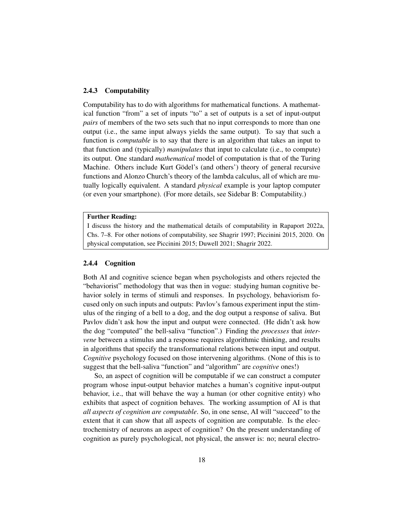#### 2.4.3 Computability

Computability has to do with algorithms for mathematical functions. A mathematical function "from" a set of inputs "to" a set of outputs is a set of input-output *pairs* of members of the two sets such that no input corresponds to more than one output (i.e., the same input always yields the same output). To say that such a function is *computable* is to say that there is an algorithm that takes an input to that function and (typically) *manipulates* that input to calculate (i.e., to compute) its output. One standard *mathematical* model of computation is that of the Turing Machine. Others include Kurt Gödel's (and others') theory of general recursive functions and Alonzo Church's theory of the lambda calculus, all of which are mutually logically equivalent. A standard *physical* example is your laptop computer (or even your smartphone). (For more details, see Sidebar B: Computability.)

#### Further Reading:

I discuss the history and the mathematical details of computability in Rapaport 2022a, Chs. 7–8. For other notions of computability, see Shagrir 1997; Piccinini 2015, 2020. On physical computation, see Piccinini 2015; Duwell 2021; Shagrir 2022.

#### 2.4.4 Cognition

Both AI and cognitive science began when psychologists and others rejected the "behaviorist" methodology that was then in vogue: studying human cognitive behavior solely in terms of stimuli and responses. In psychology, behaviorism focused only on such inputs and outputs: Pavlov's famous experiment input the stimulus of the ringing of a bell to a dog, and the dog output a response of saliva. But Pavlov didn't ask how the input and output were connected. (He didn't ask how the dog "computed" the bell-saliva "function".) Finding the *processes* that *intervene* between a stimulus and a response requires algorithmic thinking, and results in algorithms that specify the transformational relations between input and output. *Cognitive* psychology focused on those intervening algorithms. (None of this is to suggest that the bell-saliva "function" and "algorithm" are *cognitive* ones!)

So, an aspect of cognition will be computable if we can construct a computer program whose input-output behavior matches a human's cognitive input-output behavior, i.e., that will behave the way a human (or other cognitive entity) who exhibits that aspect of cognition behaves. The working assumption of AI is that *all aspects of cognition are computable*. So, in one sense, AI will "succeed" to the extent that it can show that all aspects of cognition are computable. Is the electrochemistry of neurons an aspect of cognition? On the present understanding of cognition as purely psychological, not physical, the answer is: no; neural electro-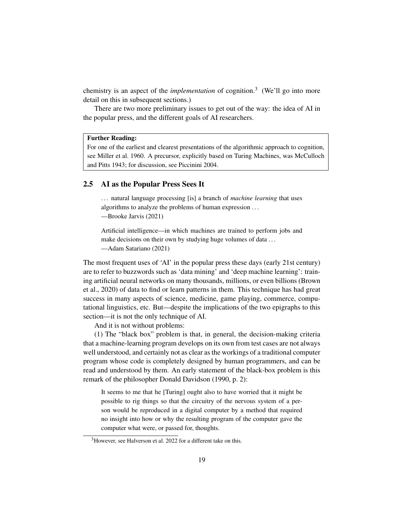chemistry is an aspect of the *implementation* of cognition.<sup>3</sup> (We'll go into more detail on this in subsequent sections.)

There are two more preliminary issues to get out of the way: the idea of AI in the popular press, and the different goals of AI researchers.

#### Further Reading:

For one of the earliest and clearest presentations of the algorithmic approach to cognition, see Miller et al. 1960. A precursor, explicitly based on Turing Machines, was McCulloch and Pitts 1943; for discussion, see Piccinini 2004.

#### 2.5 AI as the Popular Press Sees It

. . . natural language processing [is] a branch of *machine learning* that uses algorithms to analyze the problems of human expression . . . —Brooke Jarvis (2021)

Artificial intelligence—in which machines are trained to perform jobs and make decisions on their own by studying huge volumes of data ... —Adam Satariano (2021)

The most frequent uses of 'AI' in the popular press these days (early 21st century) are to refer to buzzwords such as 'data mining' and 'deep machine learning': training artificial neural networks on many thousands, millions, or even billions (Brown et al., 2020) of data to find or learn patterns in them. This technique has had great success in many aspects of science, medicine, game playing, commerce, computational linguistics, etc. But—despite the implications of the two epigraphs to this section—it is not the only technique of AI.

And it is not without problems:

(1) The "black box" problem is that, in general, the decision-making criteria that a machine-learning program develops on its own from test cases are not always well understood, and certainly not as clear as the workings of a traditional computer program whose code is completely designed by human programmers, and can be read and understood by them. An early statement of the black-box problem is this remark of the philosopher Donald Davidson (1990, p. 2):

It seems to me that he [Turing] ought also to have worried that it might be possible to rig things so that the circuitry of the nervous system of a person would be reproduced in a digital computer by a method that required no insight into how or why the resulting program of the computer gave the computer what were, or passed for, thoughts.

<sup>3</sup>However, see Halverson et al. 2022 for a different take on this.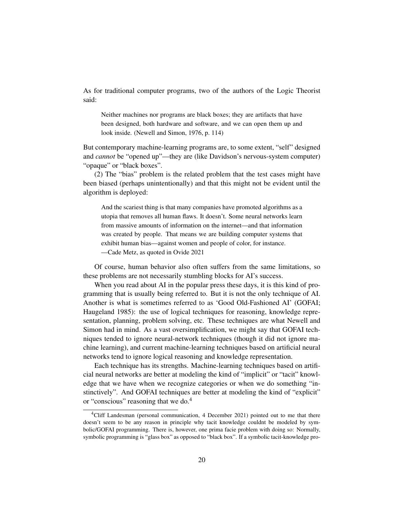As for traditional computer programs, two of the authors of the Logic Theorist said:

Neither machines nor programs are black boxes; they are artifacts that have been designed, both hardware and software, and we can open them up and look inside. (Newell and Simon, 1976, p. 114)

But contemporary machine-learning programs are, to some extent, "self" designed and *cannot* be "opened up"—they are (like Davidson's nervous-system computer) "opaque" or "black boxes".

(2) The "bias" problem is the related problem that the test cases might have been biased (perhaps unintentionally) and that this might not be evident until the algorithm is deployed:

And the scariest thing is that many companies have promoted algorithms as a utopia that removes all human flaws. It doesn't. Some neural networks learn from massive amounts of information on the internet—and that information was created by people. That means we are building computer systems that exhibit human bias—against women and people of color, for instance. —Cade Metz, as quoted in Ovide 2021

Of course, human behavior also often suffers from the same limitations, so these problems are not necessarily stumbling blocks for AI's success.

When you read about AI in the popular press these days, it is this kind of programming that is usually being referred to. But it is not the only technique of AI. Another is what is sometimes referred to as 'Good Old-Fashioned AI' (GOFAI; Haugeland 1985): the use of logical techniques for reasoning, knowledge representation, planning, problem solving, etc. These techniques are what Newell and Simon had in mind. As a vast oversimplification, we might say that GOFAI techniques tended to ignore neural-network techniques (though it did not ignore machine learning), and current machine-learning techniques based on artificial neural networks tend to ignore logical reasoning and knowledge representation.

Each technique has its strengths. Machine-learning techniques based on artificial neural networks are better at modeling the kind of "implicit" or "tacit" knowledge that we have when we recognize categories or when we do something "instinctively". And GOFAI techniques are better at modeling the kind of "explicit" or "conscious" reasoning that we do.<sup>4</sup>

<sup>4</sup>Cliff Landesman (personal communication, 4 December 2021) pointed out to me that there doesn't seem to be any reason in principle why tacit knowledge couldnt be modeled by symbolic/GOFAI programming. There is, however, one prima facie problem with doing so: Normally, symbolic programming is "glass box" as opposed to "black box". If a symbolic tacit-knowledge pro-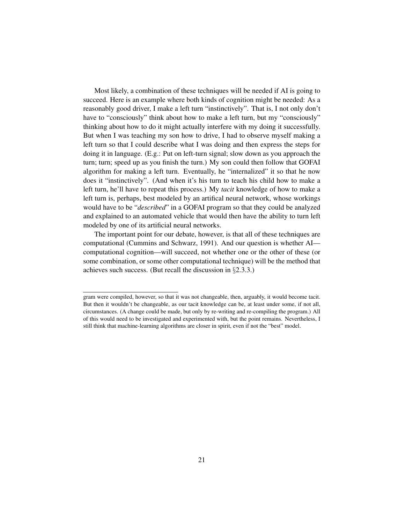Most likely, a combination of these techniques will be needed if AI is going to succeed. Here is an example where both kinds of cognition might be needed: As a reasonably good driver, I make a left turn "instinctively". That is, I not only don't have to "consciously" think about how to make a left turn, but my "consciously" thinking about how to do it might actually interfere with my doing it successfully. But when I was teaching my son how to drive, I had to observe myself making a left turn so that I could describe what I was doing and then express the steps for doing it in language. (E.g.: Put on left-turn signal; slow down as you approach the turn; turn; speed up as you finish the turn.) My son could then follow that GOFAI algorithm for making a left turn. Eventually, he "internalized" it so that he now does it "instinctively". (And when it's his turn to teach his child how to make a left turn, he'll have to repeat this process.) My *tacit* knowledge of how to make a left turn is, perhaps, best modeled by an artifical neural network, whose workings would have to be "*described*" in a GOFAI program so that they could be analyzed and explained to an automated vehicle that would then have the ability to turn left modeled by one of its artificial neural networks.

The important point for our debate, however, is that all of these techniques are computational (Cummins and Schwarz, 1991). And our question is whether AI computational cognition—will succeed, not whether one or the other of these (or some combination, or some other computational technique) will be the method that achieves such success. (But recall the discussion in  $\S 2.3.3$ .)

gram were compiled, however, so that it was not changeable, then, arguably, it would become tacit. But then it wouldn't be changeable, as our tacit knowledge can be, at least under some, if not all, circumstances. (A change could be made, but only by re-writing and re-compiling the program.) All of this would need to be investigated and experimented with, but the point remains. Nevertheless, I still think that machine-learning algorithms are closer in spirit, even if not the "best" model.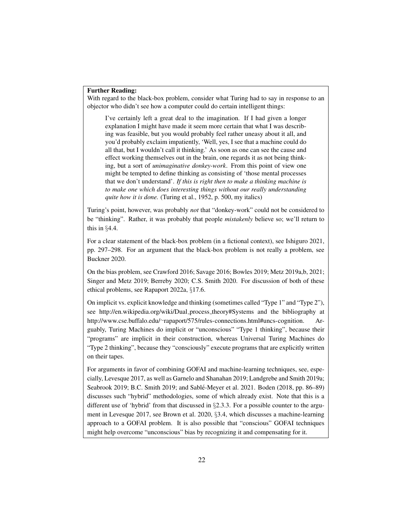#### Further Reading:

With regard to the black-box problem, consider what Turing had to say in response to an objector who didn't see how a computer could do certain intelligent things:

I've certainly left a great deal to the imagination. If I had given a longer explanation I might have made it seem more certain that what I was describing was feasible, but you would probably feel rather uneasy about it all, and you'd probably exclaim impatiently, 'Well, yes, I see that a machine could do all that, but I wouldn't call it thinking.' As soon as one can see the cause and effect working themselves out in the brain, one regards it as not being thinking, but a sort of *unimaginative donkey-work*. From this point of view one might be tempted to define thinking as consisting of 'those mental processes that we don't understand'. *If this is right then to make a thinking machine is to make one which does interesting things without our really understanding quite how it is done.* (Turing et al., 1952, p. 500, my italics)

Turing's point, however, was probably *not* that "donkey-work" could not be considered to be "thinking". Rather, it was probably that people *mistakenly* believe so; we'll return to this in §4.4.

For a clear statement of the black-box problem (in a fictional context), see Ishiguro 2021, pp. 297–298. For an argument that the black-box problem is not really a problem, see Buckner 2020.

On the bias problem, see Crawford 2016; Savage 2016; Bowles 2019; Metz 2019a,b, 2021; Singer and Metz 2019; Berreby 2020; C.S. Smith 2020. For discussion of both of these ethical problems, see Rapaport 2022a, §17.6.

On implicit vs. explicit knowledge and thinking (sometimes called "Type 1" and "Type 2"), see http://en.wikipedia.org/wiki/Dual process theory#Systems and the bibliography at http://www.cse.buffalo.edu/∼rapaport/575/rules-connections.html#uncs-cognition. Arguably, Turing Machines do implicit or "unconscious" "Type 1 thinking", because their "programs" are implicit in their construction, whereas Universal Turing Machines do "Type 2 thinking", because they "consciously" execute programs that are explicitly written on their tapes.

For arguments in favor of combining GOFAI and machine-learning techniques, see, especially, Levesque 2017, as well as Garnelo and Shanahan 2019; Landgrebe and Smith 2019a; Seabrook 2019; B.C. Smith 2019; and Sable-Meyer et al. 2021. Boden (2018, pp. 86–89) ´ discusses such "hybrid" methodologies, some of which already exist. Note that this is a different use of 'hybrid' from that discussed in  $\S2.3.3$ . For a possible counter to the argument in Levesque 2017, see Brown et al. 2020, §3.4, which discusses a machine-learning approach to a GOFAI problem. It is also possible that "conscious" GOFAI techniques might help overcome "unconscious" bias by recognizing it and compensating for it.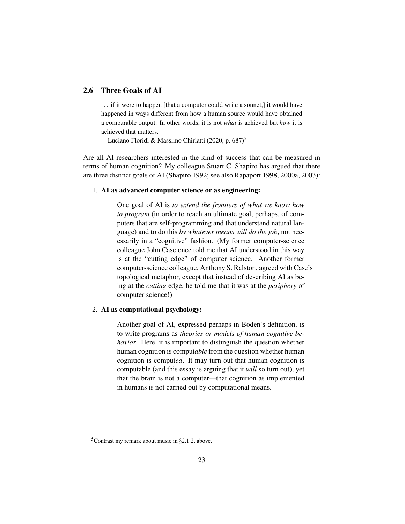# 2.6 Three Goals of AI

... if it were to happen [that a computer could write a sonnet,] it would have happened in ways different from how a human source would have obtained a comparable output. In other words, it is not *what* is achieved but *how* it is achieved that matters.

—Luciano Floridi & Massimo Chiriatti (2020, p. 687)<sup>5</sup>

Are all AI researchers interested in the kind of success that can be measured in terms of human cognition? My colleague Stuart C. Shapiro has argued that there are three distinct goals of AI (Shapiro 1992; see also Rapaport 1998, 2000a, 2003):

#### 1. AI as advanced computer science or as engineering:

One goal of AI is *to extend the frontiers of what we know how to program* (in order to reach an ultimate goal, perhaps, of computers that are self-programming and that understand natural language) and to do this *by whatever means will do the job*, not necessarily in a "cognitive" fashion. (My former computer-science colleague John Case once told me that AI understood in this way is at the "cutting edge" of computer science. Another former computer-science colleague, Anthony S. Ralston, agreed with Case's topological metaphor, except that instead of describing AI as being at the *cutting* edge, he told me that it was at the *periphery* of computer science!)

### 2. AI as computational psychology:

Another goal of AI, expressed perhaps in Boden's definition, is to write programs as *theories or models of human cognitive behavior*. Here, it is important to distinguish the question whether human cognition is comput*able* from the question whether human cognition is comput*ed*. It may turn out that human cognition is computable (and this essay is arguing that it *will* so turn out), yet that the brain is not a computer—that cognition as implemented in humans is not carried out by computational means.

<sup>5</sup>Contrast my remark about music in §2.1.2, above.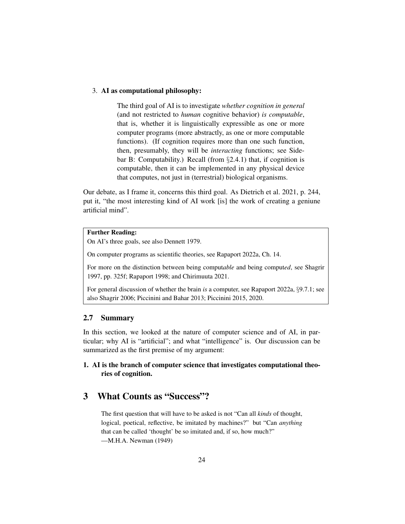#### 3. AI as computational philosophy:

The third goal of AI is to investigate *whether cognition in general* (and not restricted to *human* cognitive behavior) *is computable*, that is, whether it is linguistically expressible as one or more computer programs (more abstractly, as one or more computable functions). (If cognition requires more than one such function, then, presumably, they will be *interacting* functions; see Sidebar B: Computability.) Recall (from  $\S$ 2.4.1) that, if cognition is computable, then it can be implemented in any physical device that computes, not just in (terrestrial) biological organisms.

Our debate, as I frame it, concerns this third goal. As Dietrich et al. 2021, p. 244, put it, "the most interesting kind of AI work [is] the work of creating a geniune artificial mind".

### Further Reading:

On AI's three goals, see also Dennett 1979.

On computer programs as scientific theories, see Rapaport 2022a, Ch. 14.

For more on the distinction between being comput*able* and being comput*ed*, see Shagrir 1997, pp. 325f; Rapaport 1998; and Chirimuuta 2021.

For general discussion of whether the brain *is* a computer, see Rapaport 2022a, §9.7.1; see also Shagrir 2006; Piccinini and Bahar 2013; Piccinini 2015, 2020.

#### 2.7 Summary

In this section, we looked at the nature of computer science and of AI, in particular; why AI is "artificial"; and what "intelligence" is. Our discussion can be summarized as the first premise of my argument:

# 1. AI is the branch of computer science that investigates computational theories of cognition.

# 3 What Counts as "Success"?

The first question that will have to be asked is not "Can all *kinds* of thought, logical, poetical, reflective, be imitated by machines?" but "Can *anything* that can be called 'thought' be so imitated and, if so, how much?" —M.H.A. Newman (1949)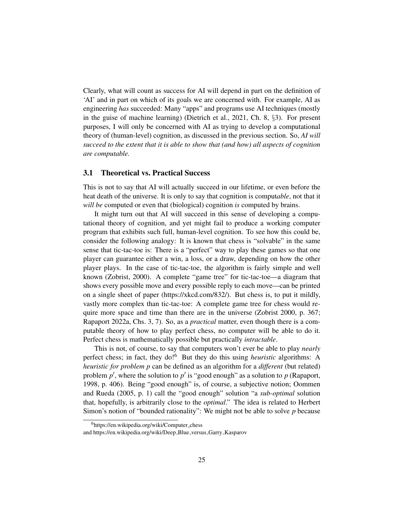Clearly, what will count as success for AI will depend in part on the definition of 'AI' and in part on which of its goals we are concerned with. For example, AI as engineering *has* succeeded: Many "apps" and programs use AI techniques (mostly in the guise of machine learning) (Dietrich et al., 2021, Ch. 8, §3). For present purposes, I will only be concerned with AI as trying to develop a computational theory of (human-level) cognition, as discussed in the previous section. So, *AI will succeed to the extent that it is able to show that (and how) all aspects of cognition are computable.*

#### 3.1 Theoretical vs. Practical Success

This is not to say that AI will actually succeed in our lifetime, or even before the heat death of the universe. It is only to say that cognition is comput*able*, not that it *will be* computed or even that (biological) cognition *is* computed by brains.

It might turn out that AI will succeed in this sense of developing a computational theory of cognition, and yet might fail to produce a working computer program that exhibits such full, human-level cognition. To see how this could be, consider the following analogy: It is known that chess is "solvable" in the same sense that tic-tac-toe is: There is a "perfect" way to play these games so that one player can guarantee either a win, a loss, or a draw, depending on how the other player plays. In the case of tic-tac-toe, the algorithm is fairly simple and well known (Zobrist, 2000). A complete "game tree" for tic-tac-toe—a diagram that shows every possible move and every possible reply to each move—can be printed on a single sheet of paper (https://xkcd.com/832/). But chess is, to put it mildly, vastly more complex than tic-tac-toe: A complete game tree for chess would require more space and time than there are in the universe (Zobrist 2000, p. 367; Rapaport 2022a, Chs. 3, 7). So, as a *practical* matter, even though there is a computable theory of how to play perfect chess, no computer will be able to do it. Perfect chess is mathematically possible but practically *intractable*.

This is not, of course, to say that computers won't ever be able to play *nearly* perfect chess; in fact, they do!<sup>6</sup> But they do this using *heuristic* algorithms: A *heuristic for problem p* can be defined as an algorithm for a *different* (but related) problem  $p'$ , where the solution to  $p'$  is "good enough" as a solution to  $p$  (Rapaport, 1998, p. 406). Being "good enough" is, of course, a subjective notion; Oommen and Rueda (2005, p. 1) call the "good enough" solution "a *sub-optimal* solution that, hopefully, is arbitrarily close to the *optimal*." The idea is related to Herbert Simon's notion of "bounded rationality": We might not be able to solve *p* because

<sup>6</sup>https://en.wikipedia.org/wiki/Computer chess

and https://en.wikipedia.org/wiki/Deep\_Blue\_versus\_Garry\_Kasparov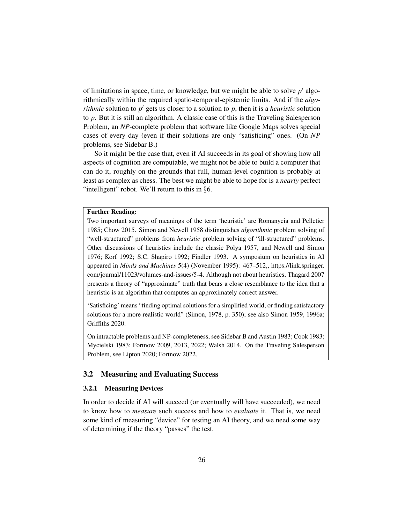of limitations in space, time, or knowledge, but we might be able to solve  $p'$  algorithmically within the required spatio-temporal-epistemic limits. And if the *algorithmic* solution to  $p'$  gets us closer to a solution to  $p$ , then it is a *heuristic* solution to *p*. But it is still an algorithm. A classic case of this is the Traveling Salesperson Problem, an *NP*-complete problem that software like Google Maps solves special cases of every day (even if their solutions are only "satisficing" ones. (On *NP* problems, see Sidebar B.)

So it might be the case that, even if AI succeeds in its goal of showing how all aspects of cognition are computable, we might not be able to build a computer that can do it, roughly on the grounds that full, human-level cognition is probably at least as complex as chess. The best we might be able to hope for is a *nearly* perfect "intelligent" robot. We'll return to this in §6.

## Further Reading:

Two important surveys of meanings of the term 'heuristic' are Romanycia and Pelletier 1985; Chow 2015. Simon and Newell 1958 distinguishes *algorithmic* problem solving of "well-structured" problems from *heuristic* problem solving of "ill-structured" problems. Other discussions of heuristics include the classic Polya 1957, and Newell and Simon 1976; Korf 1992; S.C. Shapiro 1992; Findler 1993. A symposium on heuristics in AI appeared in *Minds and Machines* 5(4) (November 1995): 467–512,, https://link.springer. com/journal/11023/volumes-and-issues/5-4. Although not about heuristics, Thagard 2007 presents a theory of "approximate" truth that bears a close resemblance to the idea that a heuristic is an algorithm that computes an approximately correct answer.

'Satisficing' means "finding optimal solutions for a simplified world, or finding satisfactory solutions for a more realistic world" (Simon, 1978, p. 350); see also Simon 1959, 1996a; Griffiths 2020.

On intractable problems and NP-completeness, see Sidebar B and Austin 1983; Cook 1983; Mycielski 1983; Fortnow 2009, 2013, 2022; Walsh 2014. On the Traveling Salesperson Problem, see Lipton 2020; Fortnow 2022.

#### 3.2 Measuring and Evaluating Success

#### 3.2.1 Measuring Devices

In order to decide if AI will succeed (or eventually will have succeeded), we need to know how to *measure* such success and how to *evaluate* it. That is, we need some kind of measuring "device" for testing an AI theory, and we need some way of determining if the theory "passes" the test.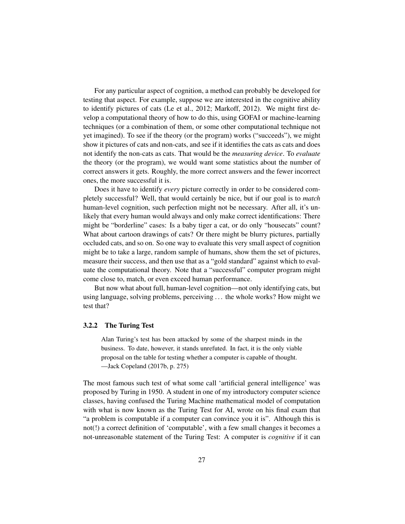For any particular aspect of cognition, a method can probably be developed for testing that aspect. For example, suppose we are interested in the cognitive ability to identify pictures of cats (Le et al., 2012; Markoff, 2012). We might first develop a computational theory of how to do this, using GOFAI or machine-learning techniques (or a combination of them, or some other computational technique not yet imagined). To see if the theory (or the program) works ("succeeds"), we might show it pictures of cats and non-cats, and see if it identifies the cats as cats and does not identify the non-cats as cats. That would be the *measuring device*. To *evaluate* the theory (or the program), we would want some statistics about the number of correct answers it gets. Roughly, the more correct answers and the fewer incorrect ones, the more successful it is.

Does it have to identify *every* picture correctly in order to be considered completely successful? Well, that would certainly be nice, but if our goal is to *match* human-level cognition, such perfection might not be necessary. After all, it's unlikely that every human would always and only make correct identifications: There might be "borderline" cases: Is a baby tiger a cat, or do only "housecats" count? What about cartoon drawings of cats? Or there might be blurry pictures, partially occluded cats, and so on. So one way to evaluate this very small aspect of cognition might be to take a large, random sample of humans, show them the set of pictures, measure their success, and then use that as a "gold standard" against which to evaluate the computational theory. Note that a "successful" computer program might come close to, match, or even exceed human performance.

But now what about full, human-level cognition—not only identifying cats, but using language, solving problems, perceiving . . . the whole works? How might we test that?

#### 3.2.2 The Turing Test

Alan Turing's test has been attacked by some of the sharpest minds in the business. To date, however, it stands unrefuted. In fact, it is the only viable proposal on the table for testing whether a computer is capable of thought. —Jack Copeland (2017b, p. 275)

The most famous such test of what some call 'artificial general intelligence' was proposed by Turing in 1950. A student in one of my introductory computer science classes, having confused the Turing Machine mathematical model of computation with what is now known as the Turing Test for AI, wrote on his final exam that "a problem is computable if a computer can convince you it is". Although this is not(!) a correct definition of 'computable', with a few small changes it becomes a not-unreasonable statement of the Turing Test: A computer is *cognitive* if it can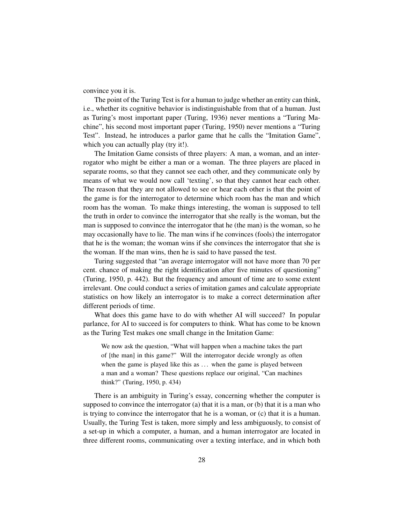convince you it is.

The point of the Turing Test is for a human to judge whether an entity can think, i.e., whether its cognitive behavior is indistinguishable from that of a human. Just as Turing's most important paper (Turing, 1936) never mentions a "Turing Machine", his second most important paper (Turing, 1950) never mentions a "Turing Test". Instead, he introduces a parlor game that he calls the "Imitation Game", which you can actually play (try it!).

The Imitation Game consists of three players: A man, a woman, and an interrogator who might be either a man or a woman. The three players are placed in separate rooms, so that they cannot see each other, and they communicate only by means of what we would now call 'texting', so that they cannot hear each other. The reason that they are not allowed to see or hear each other is that the point of the game is for the interrogator to determine which room has the man and which room has the woman. To make things interesting, the woman is supposed to tell the truth in order to convince the interrogator that she really is the woman, but the man is supposed to convince the interrogator that he (the man) is the woman, so he may occasionally have to lie. The man wins if he convinces (fools) the interrogator that he is the woman; the woman wins if she convinces the interrogator that she is the woman. If the man wins, then he is said to have passed the test.

Turing suggested that "an average interrogator will not have more than 70 per cent. chance of making the right identification after five minutes of questioning" (Turing, 1950, p. 442). But the frequency and amount of time are to some extent irrelevant. One could conduct a series of imitation games and calculate appropriate statistics on how likely an interrogator is to make a correct determination after different periods of time.

What does this game have to do with whether AI will succeed? In popular parlance, for AI to succeed is for computers to think. What has come to be known as the Turing Test makes one small change in the Imitation Game:

We now ask the question, "What will happen when a machine takes the part of [the man] in this game?" Will the interrogator decide wrongly as often when the game is played like this as ... when the game is played between a man and a woman? These questions replace our original, "Can machines think?" (Turing, 1950, p. 434)

There is an ambiguity in Turing's essay, concerning whether the computer is supposed to convince the interrogator (a) that it is a man, or (b) that it is a man who is trying to convince the interrogator that he is a woman, or (c) that it is a human. Usually, the Turing Test is taken, more simply and less ambiguously, to consist of a set-up in which a computer, a human, and a human interrogator are located in three different rooms, communicating over a texting interface, and in which both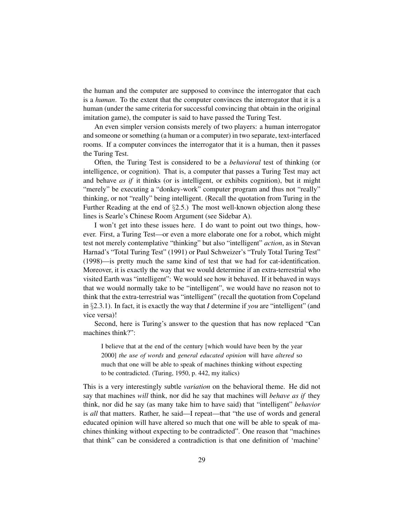the human and the computer are supposed to convince the interrogator that each is a *human*. To the extent that the computer convinces the interrogator that it is a human (under the same criteria for successful convincing that obtain in the original imitation game), the computer is said to have passed the Turing Test.

An even simpler version consists merely of two players: a human interrogator and someone or something (a human or a computer) in two separate, text-interfaced rooms. If a computer convinces the interrogator that it is a human, then it passes the Turing Test.

Often, the Turing Test is considered to be a *behavioral* test of thinking (or intelligence, or cognition). That is, a computer that passes a Turing Test may act and behave *as if* it thinks (or is intelligent, or exhibits cognition), but it might "merely" be executing a "donkey-work" computer program and thus not "really" thinking, or not "really" being intelligent. (Recall the quotation from Turing in the Further Reading at the end of §2.5.) The most well-known objection along these lines is Searle's Chinese Room Argument (see Sidebar A).

I won't get into these issues here. I do want to point out two things, however. First, a Turing Test—or even a more elaborate one for a robot, which might test not merely contemplative "thinking" but also "intelligent" *action*, as in Stevan Harnad's "Total Turing Test" (1991) or Paul Schweizer's "Truly Total Turing Test" (1998)—is pretty much the same kind of test that we had for cat-identification. Moreover, it is exactly the way that we would determine if an extra-terrestrial who visited Earth was "intelligent": We would see how it behaved. If it behaved in ways that we would normally take to be "intelligent", we would have no reason not to think that the extra-terrestrial was "intelligent" (recall the quotation from Copeland in §2.3.1). In fact, it is exactly the way that *I* determine if *you* are "intelligent" (and vice versa)!

Second, here is Turing's answer to the question that has now replaced "Can machines think?":

I believe that at the end of the century [which would have been by the year 2000] *the use of words* and *general educated opinion* will have *altered* so much that one will be able to speak of machines thinking without expecting to be contradicted. (Turing, 1950, p. 442, my italics)

This is a very interestingly subtle *variation* on the behavioral theme. He did not say that machines *will* think, nor did he say that machines will *behave as if* they think, nor did he say (as many take him to have said) that "intelligent" *behavior* is *all* that matters. Rather, he said—I repeat—that "the use of words and general educated opinion will have altered so much that one will be able to speak of machines thinking without expecting to be contradicted". One reason that "machines that think" can be considered a contradiction is that one definition of 'machine'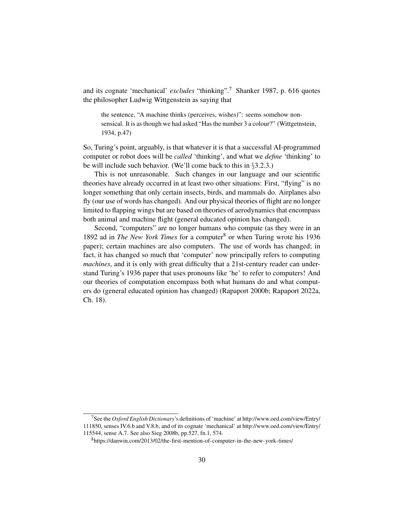and its cognate 'mechanical' *excludes* "thinking".<sup>7</sup> Shanker 1987, p. 616 quotes the philosopher Ludwig Wittgenstein as saying that

the sentence, "A machine thinks (perceives, wishes)": seems somehow nonsensical. It is as though we had asked "Has the number 3 a colour?" (Wittgetnstein, 1934, p.47)

So, Turing's point, arguably, is that whatever it is that a successful AI-programmed computer or robot does will be *called* 'thinking', and what we *define* 'thinking' to be will include such behavior. (We'll come back to this in §3.2.3.)

This is not unreasonable. Such changes in our language and our scientific theories have already occurred in at least two other situations: First, "flying" is no longer something that only certain insects, birds, and mammals do. Airplanes also fly (our use of words has changed). And our physical theories of flight are no longer limited to flapping wings but are based on theories of aerodynamics that encompass both animal and machine flight (general educated opinion has changed).

Second, "computers" are no longer humans who compute (as they were in an 1892 ad in *The New York Times* for a computer<sup>8</sup> or when Turing wrote his 1936 paper); certain machines are also computers. The use of words has changed; in fact, it has changed so much that 'computer' now principally refers to computing *machines*, and it is only with great difficulty that a 21st-century reader can understand Turing's 1936 paper that uses pronouns like 'he' to refer to computers! And our theories of computation encompass both what humans do and what computers do (general educated opinion has changed) (Rapaport 2000b; Rapaport 2022a, Ch. 18).

<sup>7</sup>See the *Oxford English Dictionary*'s definitions of 'machine' at http://www.oed.com/view/Entry/ 111850, senses IV.6.b and V.8.b, and of its cognate 'mechanical' at http://www.oed.com/view/Entry/

<sup>115544,</sup> sense A.7. See also Sieg 2008b, pp.527, fn.1, 574.

<sup>8</sup>https://danwin.com/2013/02/the-first-mention-of-computer-in-the-new-york-times/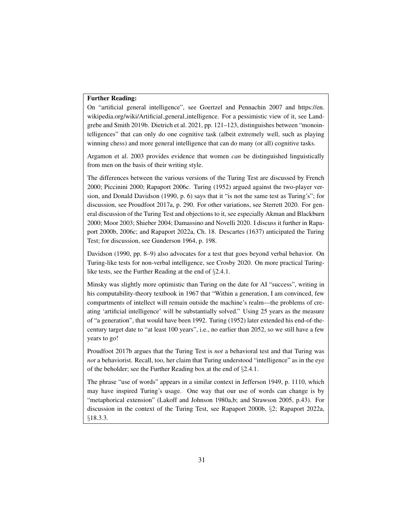#### Further Reading:

On "artificial general intelligence", see Goertzel and Pennachin 2007 and https://en. wikipedia.org/wiki/Artificial general intelligence. For a pessimistic view of it, see Landgrebe and Smith 2019b. Dietrich et al. 2021, pp. 121–123, distinguishes between "monointelligences" that can only do one cognitive task (albeit extremely well, such as playing winning chess) and more general intelligence that can do many (or all) cognitive tasks.

Argamon et al. 2003 provides evidence that women *can* be distinguished linguistically from men on the basis of their writing style.

The differences between the various versions of the Turing Test are discussed by French 2000; Piccinini 2000; Rapaport 2006c. Turing (1952) argued against the two-player version, and Donald Davidson (1990, p. 6) says that it "is not the same test as Turing's"; for discussion, see Proudfoot 2017a, p. 290. For other variations, see Sterrett 2020. For general discussion of the Turing Test and objections to it, see especially Akman and Blackburn 2000; Moor 2003; Shieber 2004; Damassino and Novelli 2020. I discuss it further in Rapaport 2000b, 2006c; and Rapaport 2022a, Ch. 18. Descartes (1637) anticipated the Turing Test; for discussion, see Gunderson 1964, p. 198.

Davidson (1990, pp. 8–9) also advocates for a test that goes beyond verbal behavior. On Turing-like tests for non-verbal intelligence, see Crosby 2020. On more practical Turinglike tests, see the Further Reading at the end of §2.4.1.

Minsky was slightly more optimistic than Turing on the date for AI "success", writing in his computability-theory textbook in 1967 that "Within a generation, I am convinced, few compartments of intellect will remain outside the machine's realm—the problems of creating 'artificial intelligence' will be substantially solved." Using 25 years as the measure of "a generation", that would have been 1992. Turing (1952) later extended his end-of-thecentury target date to "at least 100 years", i.e., no earlier than 2052, so we still have a few years to go!

Proudfoot 2017b argues that the Turing Test is *not* a behavioral test and that Turing was *not* a behaviorist. Recall, too, her claim that Turing understood "intelligence" as in the eye of the beholder; see the Further Reading box at the end of §2.4.1.

The phrase "use of words" appears in a similar context in Jefferson 1949, p. 1110, which may have inspired Turing's usage. One way that our use of words can change is by "metaphorical extension" (Lakoff and Johnson 1980a,b; and Strawson 2005, p.43). For discussion in the context of the Turing Test, see Rapaport 2000b, §2; Rapaport 2022a, §18.3.3.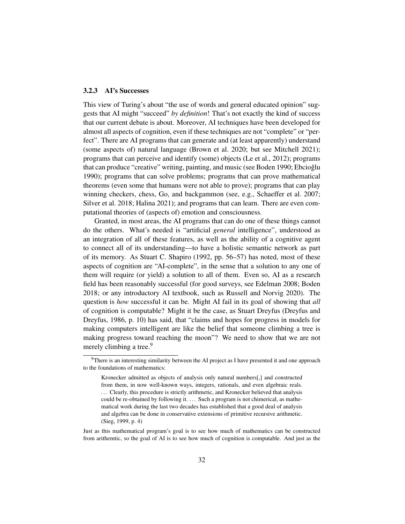#### 3.2.3 AI's Successes

This view of Turing's about "the use of words and general educated opinion" suggests that AI might "succeed" *by definition*! That's not exactly the kind of success that our current debate is about. Moreover, AI techniques have been developed for almost all aspects of cognition, even if these techniques are not "complete" or "perfect". There are AI programs that can generate and (at least apparently) understand (some aspects of) natural language (Brown et al. 2020; but see Mitchell 2021); programs that can perceive and identify (some) objects (Le et al., 2012); programs that can produce "creative" writing, painting, and music (see Boden 1990; Ebcioğlu 1990); programs that can solve problems; programs that can prove mathematical theorems (even some that humans were not able to prove); programs that can play winning checkers, chess, Go, and backgammon (see, e.g., Schaeffer et al. 2007; Silver et al. 2018; Halina 2021); and programs that can learn. There are even computational theories of (aspects of) emotion and consciousness.

Granted, in most areas, the AI programs that can do one of these things cannot do the others. What's needed is "artificial *general* intelligence", understood as an integration of all of these features, as well as the ability of a cognitive agent to connect all of its understanding—to have a holistic semantic network as part of its memory. As Stuart C. Shapiro (1992, pp. 56–57) has noted, most of these aspects of cognition are "AI-complete", in the sense that a solution to any one of them will require (or yield) a solution to all of them. Even so, AI as a research field has been reasonably successful (for good surveys, see Edelman 2008; Boden 2018; or any introductory AI textbook, such as Russell and Norvig 2020). The question is *how* successful it can be. Might AI fail in its goal of showing that *all* of cognition is computable? Might it be the case, as Stuart Dreyfus (Dreyfus and Dreyfus, 1986, p. 10) has said, that "claims and hopes for progress in models for making computers intelligent are like the belief that someone climbing a tree is making progress toward reaching the moon"? We need to show that we are not merely climbing a tree.<sup>9</sup>

Just as this mathematical program's goal is to see how much of mathematics can be constructed from arithemtic, so the goal of AI is to see how much of cognition is computable. And just as the

 $9$ There is an interesting similarity between the AI project as I have presented it and one approach to the foundations of mathematics:

Kronecker admitted as objects of analysis only natural numbers[,] and constructed from them, in now well-known ways, integers, rationals, and even algebraic reals. ... Clearly, this procedure is strictly arithmetic, and Kronecker believed that analysis could be re-obtained by following it. . . . Such a program is not chimerical, as mathematical work during the last two decades has established that a good deal of analysis and algebra can be done in conservative extensions of primitive recursive arithmetic. (Sieg, 1999, p. 4)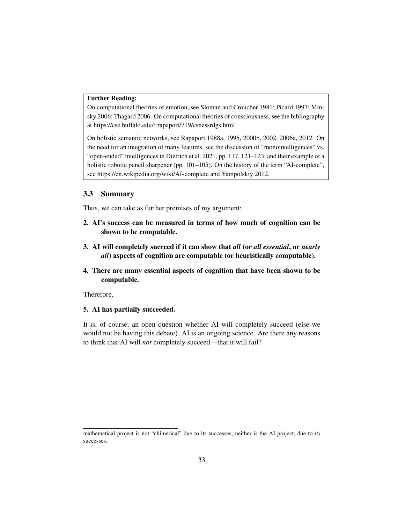#### Further Reading:

On computational theories of emotion, see Sloman and Croucher 1981; Picard 1997; Minsky 2006; Thagard 2006. On computational theories of consciousness, see the bibliography at https://cse.buffalo.edu/∼rapaport/719/csnessrdgs.html

On holistic semantic networks, see Rapaport 1988a, 1995, 2000b, 2002, 2006a, 2012. On the need for an integration of many features, see the discussion of "monointelligences" vs. "open-ended" intelligences in Dietrich et al. 2021, pp. 117, 121–123, and their example of a holistic robotic pencil sharpener (pp. 101–105). On the history of the term "AI-complete", see https://en.wikipedia.org/wiki/AI-complete and Yampolskiy 2012.

#### 3.3 Summary

Thus, we can take as further premises of my argument:

- 2. AI's success can be measured in terms of how much of cognition can be shown to be computable.
- 3. AI will completely succeed if it can show that *all* (or *all essential*, or *nearly all*) aspects of cognition are computable (or heuristically computable).
- 4. There are many essential aspects of cognition that have been shown to be computable.

Therefore,

### 5. AI has partially succeeded.

It is, of course, an open question whether AI will completely succeed (else we would not be having this debate). AI is an ongoing science. Are there any reasons to think that AI will *not* completely succeed—that it will fail?

mathematical project is not "chimerical" due to its successes, neither is the AI project, due to *its* successes.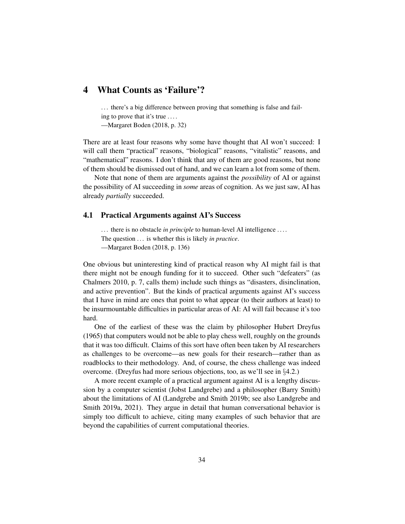# 4 What Counts as 'Failure'?

... there's a big difference between proving that something is false and failing to prove that it's true ....

—Margaret Boden (2018, p. 32)

There are at least four reasons why some have thought that AI won't succeed: I will call them "practical" reasons, "biological" reasons, "vitalistic" reasons, and "mathematical" reasons. I don't think that any of them are good reasons, but none of them should be dismissed out of hand, and we can learn a lot from some of them.

Note that none of them are arguments against the *possibility* of AI or against the possibility of AI succeeding in *some* areas of cognition. As we just saw, AI has already *partially* succeeded.

#### 4.1 Practical Arguments against AI's Success

... there is no obstacle *in principle* to human-level AI intelligence .... The question . . . is whether this is likely *in practice*. —Margaret Boden (2018, p. 136)

One obvious but uninteresting kind of practical reason why AI might fail is that there might not be enough funding for it to succeed. Other such "defeaters" (as Chalmers 2010, p. 7, calls them) include such things as "disasters, disinclination, and active prevention". But the kinds of practical arguments against AI's success that I have in mind are ones that point to what appear (to their authors at least) to be insurmountable difficulties in particular areas of AI: AI will fail because it's too hard.

One of the earliest of these was the claim by philosopher Hubert Dreyfus (1965) that computers would not be able to play chess well, roughly on the grounds that it was too difficult. Claims of this sort have often been taken by AI researchers as challenges to be overcome—as new goals for their research—rather than as roadblocks to their methodology. And, of course, the chess challenge was indeed overcome. (Dreyfus had more serious objections, too, as we'll see in §4.2.)

A more recent example of a practical argument against AI is a lengthy discussion by a computer scientist (Jobst Landgrebe) and a philosopher (Barry Smith) about the limitations of AI (Landgrebe and Smith 2019b; see also Landgrebe and Smith 2019a, 2021). They argue in detail that human conversational behavior is simply too difficult to achieve, citing many examples of such behavior that are beyond the capabilities of current computational theories.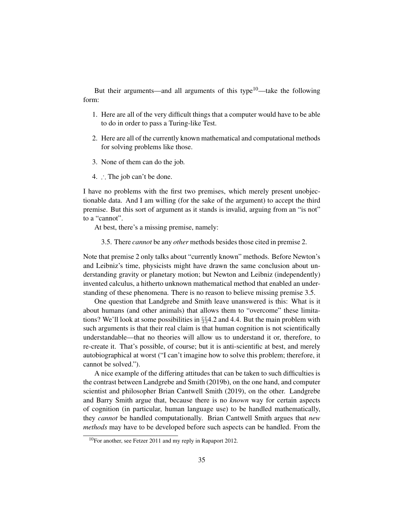But their arguments—and all arguments of this type $10$ —take the following form:

- 1. Here are all of the very difficult things that a computer would have to be able to do in order to pass a Turing-like Test.
- 2. Here are all of the currently known mathematical and computational methods for solving problems like those.
- 3. None of them can do the job.
- 4. ∴ The job can't be done.

I have no problems with the first two premises, which merely present unobjectionable data. And I am willing (for the sake of the argument) to accept the third premise. But this sort of argument as it stands is invalid, arguing from an "is not" to a "cannot".

At best, there's a missing premise, namely:

3.5. There *cannot* be any *other* methods besides those cited in premise 2.

Note that premise 2 only talks about "currently known" methods. Before Newton's and Leibniz's time, physicists might have drawn the same conclusion about understanding gravity or planetary motion; but Newton and Leibniz (independently) invented calculus, a hitherto unknown mathematical method that enabled an understanding of these phenomena. There is no reason to believe missing premise 3.5.

One question that Landgrebe and Smith leave unanswered is this: What is it about humans (and other animals) that allows them to "overcome" these limitations? We'll look at some possibilities in  $\S$ <sup>2</sup>4.2 and 4.4. But the main problem with such arguments is that their real claim is that human cognition is not scientifically understandable—that no theories will allow us to understand it or, therefore, to re-create it. That's possible, of course; but it is anti-scientific at best, and merely autobiographical at worst ("I can't imagine how to solve this problem; therefore, it cannot be solved.").

A nice example of the differing attitudes that can be taken to such difficulties is the contrast between Landgrebe and Smith (2019b), on the one hand, and computer scientist and philosopher Brian Cantwell Smith (2019), on the other. Landgrebe and Barry Smith argue that, because there is no *known* way for certain aspects of cognition (in particular, human language use) to be handled mathematically, they *cannot* be handled computationally. Brian Cantwell Smith argues that *new methods* may have to be developed before such aspects can be handled. From the

<sup>10</sup>For another, see Fetzer 2011 and my reply in Rapaport 2012.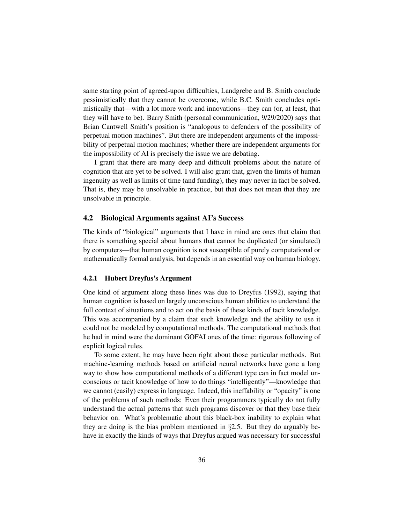same starting point of agreed-upon difficulties, Landgrebe and B. Smith conclude pessimistically that they cannot be overcome, while B.C. Smith concludes optimistically that—with a lot more work and innovations—they can (or, at least, that they will have to be). Barry Smith (personal communication, 9/29/2020) says that Brian Cantwell Smith's position is "analogous to defenders of the possibility of perpetual motion machines". But there are independent arguments of the impossibility of perpetual motion machines; whether there are independent arguments for the impossibility of AI is precisely the issue we are debating.

I grant that there are many deep and difficult problems about the nature of cognition that are yet to be solved. I will also grant that, given the limits of human ingenuity as well as limits of time (and funding), they may never in fact be solved. That is, they may be unsolvable in practice, but that does not mean that they are unsolvable in principle.

#### 4.2 Biological Arguments against AI's Success

The kinds of "biological" arguments that I have in mind are ones that claim that there is something special about humans that cannot be duplicated (or simulated) by computers—that human cognition is not susceptible of purely computational or mathematically formal analysis, but depends in an essential way on human biology.

#### 4.2.1 Hubert Dreyfus's Argument

One kind of argument along these lines was due to Dreyfus (1992), saying that human cognition is based on largely unconscious human abilities to understand the full context of situations and to act on the basis of these kinds of tacit knowledge. This was accompanied by a claim that such knowledge and the ability to use it could not be modeled by computational methods. The computational methods that he had in mind were the dominant GOFAI ones of the time: rigorous following of explicit logical rules.

To some extent, he may have been right about those particular methods. But machine-learning methods based on artificial neural networks have gone a long way to show how computational methods of a different type can in fact model unconscious or tacit knowledge of how to do things "intelligently"—knowledge that we cannot (easily) express in language. Indeed, this ineffability or "opacity" is one of the problems of such methods: Even their programmers typically do not fully understand the actual patterns that such programs discover or that they base their behavior on. What's problematic about this black-box inability to explain what they are doing is the bias problem mentioned in  $\S2.5$ . But they do arguably behave in exactly the kinds of ways that Dreyfus argued was necessary for successful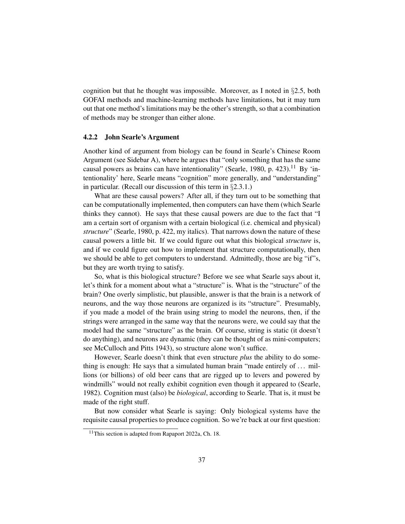cognition but that he thought was impossible. Moreover, as I noted in §2.5, both GOFAI methods and machine-learning methods have limitations, but it may turn out that one method's limitations may be the other's strength, so that a combination of methods may be stronger than either alone.

#### 4.2.2 John Searle's Argument

Another kind of argument from biology can be found in Searle's Chinese Room Argument (see Sidebar A), where he argues that "only something that has the same causal powers as brains can have intentionality" (Searle, 1980, p. 423).<sup>11</sup> By 'intentionality' here, Searle means "cognition" more generally, and "understanding" in particular. (Recall our discussion of this term in §2.3.1.)

What are these causal powers? After all, if they turn out to be something that can be computationally implemented, then computers can have them (which Searle thinks they cannot). He says that these causal powers are due to the fact that "I am a certain sort of organism with a certain biological (i.e. chemical and physical) *structure*" (Searle, 1980, p. 422, my italics). That narrows down the nature of these causal powers a little bit. If we could figure out what this biological *structure* is, and if we could figure out how to implement that structure computationally, then we should be able to get computers to understand. Admittedly, those are big "if"s, but they are worth trying to satisfy.

So, what is this biological structure? Before we see what Searle says about it, let's think for a moment about what a "structure" is. What is the "structure" of the brain? One overly simplistic, but plausible, answer is that the brain is a network of neurons, and the way those neurons are organized is its "structure". Presumably, if you made a model of the brain using string to model the neurons, then, if the strings were arranged in the same way that the neurons were, we could say that the model had the same "structure" as the brain. Of course, string is static (it doesn't do anything), and neurons are dynamic (they can be thought of as mini-computers; see McCulloch and Pitts 1943), so structure alone won't suffice.

However, Searle doesn't think that even structure *plus* the ability to do something is enough: He says that a simulated human brain "made entirely of  $\dots$  millions (or billions) of old beer cans that are rigged up to levers and powered by windmills" would not really exhibit cognition even though it appeared to (Searle, 1982). Cognition must (also) be *biological*, according to Searle. That is, it must be made of the right stuff.

But now consider what Searle is saying: Only biological systems have the requisite causal properties to produce cognition. So we're back at our first question:

<sup>11</sup>This section is adapted from Rapaport 2022a, Ch. 18.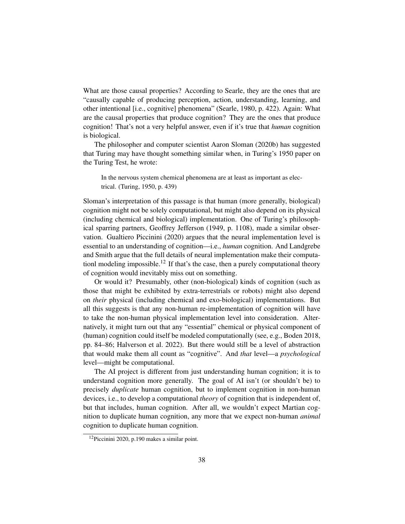What are those causal properties? According to Searle, they are the ones that are "causally capable of producing perception, action, understanding, learning, and other intentional [i.e., cognitive] phenomena" (Searle, 1980, p. 422). Again: What are the causal properties that produce cognition? They are the ones that produce cognition! That's not a very helpful answer, even if it's true that *human* cognition is biological.

The philosopher and computer scientist Aaron Sloman (2020b) has suggested that Turing may have thought something similar when, in Turing's 1950 paper on the Turing Test, he wrote:

In the nervous system chemical phenomena are at least as important as electrical. (Turing, 1950, p. 439)

Sloman's interpretation of this passage is that human (more generally, biological) cognition might not be solely computational, but might also depend on its physical (including chemical and biological) implementation. One of Turing's philosophical sparring partners, Geoffrey Jefferson (1949, p. 1108), made a similar observation. Gualtiero Piccinini (2020) argues that the neural implementation level is essential to an understanding of cognition—i.e., *human* cognition. And Landgrebe and Smith argue that the full details of neural implementation make their computationl modeling impossible.<sup>12</sup> If that's the case, then a purely computational theory of cognition would inevitably miss out on something.

Or would it? Presumably, other (non-biological) kinds of cognition (such as those that might be exhibited by extra-terrestrials or robots) might also depend on *their* physical (including chemical and exo-biological) implementations. But all this suggests is that any non-human re-implementation of cognition will have to take the non-human physical implementation level into consideration. Alternatively, it might turn out that any "essential" chemical or physical component of (human) cognition could itself be modeled computationally (see, e.g., Boden 2018, pp. 84–86; Halverson et al. 2022). But there would still be a level of abstraction that would make them all count as "cognitive". And *that* level—a *psychological* level—might be computational.

The AI project is different from just understanding human cognition; it is to understand cognition more generally. The goal of AI isn't (or shouldn't be) to precisely *duplicate* human cognition, but to implement cognition in non-human devices, i.e., to develop a computational *theory* of cognition that is independent of, but that includes, human cognition. After all, we wouldn't expect Martian cognition to duplicate human cognition, any more that we expect non-human *animal* cognition to duplicate human cognition.

<sup>12</sup>Piccinini 2020, p.190 makes a similar point.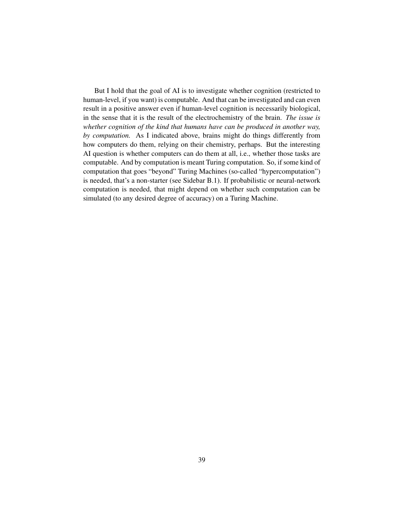But I hold that the goal of AI is to investigate whether cognition (restricted to human-level, if you want) is computable. And that can be investigated and can even result in a positive answer even if human-level cognition is necessarily biological, in the sense that it is the result of the electrochemistry of the brain. *The issue is whether cognition of the kind that humans have can be produced in another way, by computation.* As I indicated above, brains might do things differently from how computers do them, relying on their chemistry, perhaps. But the interesting AI question is whether computers can do them at all, i.e., whether those tasks are computable. And by computation is meant Turing computation. So, if some kind of computation that goes "beyond" Turing Machines (so-called "hypercomputation") is needed, that's a non-starter (see Sidebar B.1). If probabilistic or neural-network computation is needed, that might depend on whether such computation can be simulated (to any desired degree of accuracy) on a Turing Machine.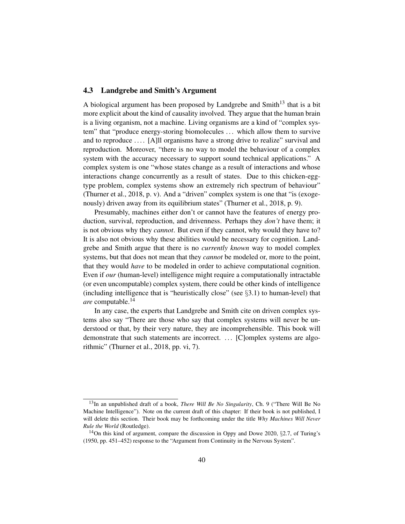## 4.3 Landgrebe and Smith's Argument

A biological argument has been proposed by Landgrebe and Smith $13$  that is a bit more explicit about the kind of causality involved. They argue that the human brain is a living organism, not a machine. Living organisms are a kind of "complex system" that "produce energy-storing biomolecules . . . which allow them to survive and to reproduce . . . . [A]ll organisms have a strong drive to realize" survival and reproduction. Moreover, "there is no way to model the behaviour of a complex system with the accuracy necessary to support sound technical applications." A complex system is one "whose states change as a result of interactions and whose interactions change concurrently as a result of states. Due to this chicken-eggtype problem, complex systems show an extremely rich spectrum of behaviour" (Thurner et al., 2018, p. v). And a "driven" complex system is one that "is (exogenously) driven away from its equilibrium states" (Thurner et al., 2018, p. 9).

Presumably, machines either don't or cannot have the features of energy production, survival, reproduction, and drivenness. Perhaps they *don't* have them; it is not obvious why they *cannot*. But even if they cannot, why would they have to? It is also not obvious why these abilities would be necessary for cognition. Landgrebe and Smith argue that there is no *currently known* way to model complex systems, but that does not mean that they *cannot* be modeled or, more to the point, that they would *have* to be modeled in order to achieve computational cognition. Even if *our* (human-level) intelligence might require a computationally intractable (or even uncomputable) complex system, there could be other kinds of intelligence (including intelligence that is "heuristically close" (see §3.1) to human-level) that *are* computable.<sup>14</sup>

In any case, the experts that Landgrebe and Smith cite on driven complex systems also say "There are those who say that complex systems will never be understood or that, by their very nature, they are incomprehensible. This book will demonstrate that such statements are incorrect. ... [C]omplex systems are algorithmic" (Thurner et al., 2018, pp. vi, 7).

<sup>13</sup>In an unpublished draft of a book, *There Will Be No Singularity*, Ch. 9 ("There Will Be No Machine Intelligence"). Note on the current draft of this chapter: If their book is not published, I will delete this section. Their book may be forthcoming under the title *Why Machines Will Never Rule the World* (Routledge).

<sup>14</sup>On this kind of argument, compare the discussion in Oppy and Dowe 2020, §2.7, of Turing's (1950, pp. 451–452) response to the "Argument from Continuity in the Nervous System".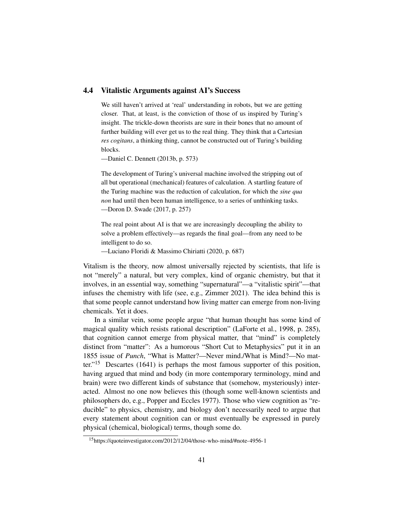### 4.4 Vitalistic Arguments against AI's Success

We still haven't arrived at 'real' understanding in robots, but we are getting closer. That, at least, is the conviction of those of us inspired by Turing's insight. The trickle-down theorists are sure in their bones that no amount of further building will ever get us to the real thing. They think that a Cartesian *res cogitans*, a thinking thing, cannot be constructed out of Turing's building blocks.

—Daniel C. Dennett (2013b, p. 573)

The development of Turing's universal machine involved the stripping out of all but operational (mechanical) features of calculation. A startling feature of the Turing machine was the reduction of calculation, for which the *sine qua non* had until then been human intelligence, to a series of unthinking tasks. —Doron D. Swade (2017, p. 257)

The real point about AI is that we are increasingly decoupling the ability to solve a problem effectively—as regards the final goal—from any need to be intelligent to do so.

—Luciano Floridi & Massimo Chiriatti (2020, p. 687)

Vitalism is the theory, now almost universally rejected by scientists, that life is not "merely" a natural, but very complex, kind of organic chemistry, but that it involves, in an essential way, something "supernatural"—a "vitalistic spirit"—that infuses the chemistry with life (see, e.g., Zimmer 2021). The idea behind this is that some people cannot understand how living matter can emerge from non-living chemicals. Yet it does.

In a similar vein, some people argue "that human thought has some kind of magical quality which resists rational description" (LaForte et al., 1998, p. 285), that cognition cannot emerge from physical matter, that "mind" is completely distinct from "matter": As a humorous "Short Cut to Metaphysics" put it in an 1855 issue of *Punch*, "What is Matter?—Never mind./What is Mind?—No matter."<sup>15</sup> Descartes (1641) is perhaps the most famous supporter of this position, having argued that mind and body (in more contemporary terminology, mind and brain) were two different kinds of substance that (somehow, mysteriously) interacted. Almost no one now believes this (though some well-known scientists and philosophers do, e.g., Popper and Eccles 1977). Those who view cognition as "reducible" to physics, chemistry, and biology don't necessarily need to argue that every statement about cognition can or must eventually be expressed in purely physical (chemical, biological) terms, though some do.

<sup>15</sup>https://quoteinvestigator.com/2012/12/04/those-who-mind/#note-4956-1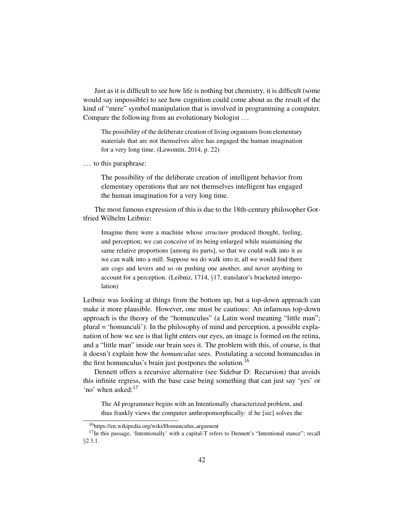Just as it is difficult to see how life is nothing but chemistry, it is difficult (some would say impossible) to see how cognition could come about as the result of the kind of "mere" symbol manipulation that is involved in programming a computer. Compare the following from an evolutionary biologist . . .

The possibility of the deliberate creation of living organisms from elementary materials that are not themselves alive has engaged the human imagination for a very long time. (Lewontin, 2014, p. 22)

. . . to this paraphrase:

The possibility of the deliberate creation of intelligent behavior from elementary operations that are not themselves intelligent has engaged the human imagination for a very long time.

The most famous expression of this is due to the 18th-century philosopher Gottfried Wilhelm Leibniz:

Imagine there were a machine whose *structure* produced thought, feeling, and perception; we can conceive of its being enlarged while maintaining the same relative proportions [among its parts], so that we could walk into it as we can walk into a mill. Suppose we do walk into it; all we would find there are cogs and levers and so on pushing one another, and never anything to account for a perception. (Leibniz, 1714, §17, translator's bracketed interpolation)

Leibniz was looking at things from the bottom up, but a top-down approach can make it more plausible. However, one must be cautious: An infamous top-down approach is the theory of the "homunculus" (a Latin word meaning "little man"; plural = 'homunculi'): In the philosophy of mind and perception, a possible explanation of how we see is that light enters our eyes, an image is formed on the retina, and a "little man" inside our brain sees it. The problem with this, of course, is that it doesn't explain how the *homunculus* sees. Postulating a second homunculus in the first homunculus's brain just postpones the solution.<sup>16</sup>

Dennett offers a recursive alternative (see Sidebar D: Recursion) that avoids this infinite regress, with the base case being something that can just say 'yes' or 'no' when asked:<sup>17</sup>

The AI programmer begins with an Intentionally characterized problem, and thus frankly views the computer anthropomorphically: if he [sic] solves the

<sup>16</sup>https://en.wikipedia.org/wiki/Homunculus argument

<sup>&</sup>lt;sup>17</sup>In this passage, 'Intentionally' with a capital-T refers to Dennett's "Intentional stance"; recall §2.3.1.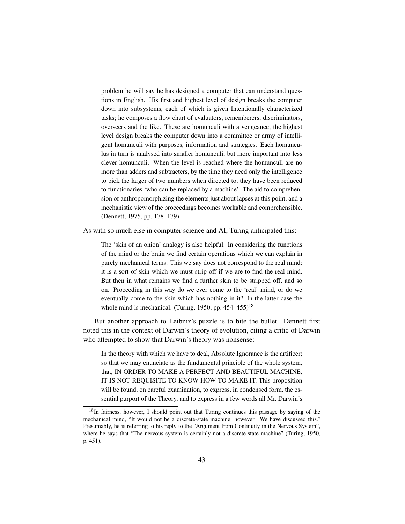problem he will say he has designed a computer that can understand questions in English. His first and highest level of design breaks the computer down into subsystems, each of which is given Intentionally characterized tasks; he composes a flow chart of evaluators, rememberers, discriminators, overseers and the like. These are homunculi with a vengeance; the highest level design breaks the computer down into a committee or army of intelligent homunculi with purposes, information and strategies. Each homunculus in turn is analysed into smaller homunculi, but more important into less clever homunculi. When the level is reached where the homunculi are no more than adders and subtracters, by the time they need only the intelligence to pick the larger of two numbers when directed to, they have been reduced to functionaries 'who can be replaced by a machine'. The aid to comprehension of anthropomorphizing the elements just about lapses at this point, and a mechanistic view of the proceedings becomes workable and comprehensible. (Dennett, 1975, pp. 178–179)

As with so much else in computer science and AI, Turing anticipated this:

The 'skin of an onion' analogy is also helpful. In considering the functions of the mind or the brain we find certain operations which we can explain in purely mechanical terms. This we say does not correspond to the real mind: it is a sort of skin which we must strip off if we are to find the real mind. But then in what remains we find a further skin to be stripped off, and so on. Proceeding in this way do we ever come to the 'real' mind, or do we eventually come to the skin which has nothing in it? In the latter case the whole mind is mechanical. (Turing, 1950, pp.  $454-455$ )<sup>18</sup>

But another approach to Leibniz's puzzle is to bite the bullet. Dennett first noted this in the context of Darwin's theory of evolution, citing a critic of Darwin who attempted to show that Darwin's theory was nonsense:

In the theory with which we have to deal, Absolute Ignorance is the artificer; so that we may enunciate as the fundamental principle of the whole system, that, IN ORDER TO MAKE A PERFECT AND BEAUTIFUL MACHINE, IT IS NOT REQUISITE TO KNOW HOW TO MAKE IT. This proposition will be found, on careful examination, to express, in condensed form, the essential purport of the Theory, and to express in a few words all Mr. Darwin's

<sup>&</sup>lt;sup>18</sup>In fairness, however, I should point out that Turing continues this passage by saying of the mechanical mind, "It would not be a discrete-state machine, however. We have discussed this." Presumably, he is referring to his reply to the "Argument from Continuity in the Nervous System", where he says that "The nervous system is certainly not a discrete-state machine" (Turing, 1950, p. 451).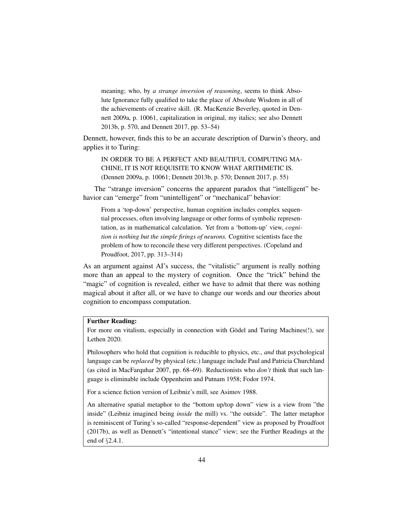meaning; who, by *a strange inversion of reasoning*, seems to think Absolute Ignorance fully qualified to take the place of Absolute Wisdom in all of the achievements of creative skill. (R. MacKenzie Beverley, quoted in Dennett 2009a, p. 10061, capitalization in original, my italics; see also Dennett 2013b, p. 570, and Dennett 2017, pp. 53–54)

Dennett, however, finds this to be an accurate description of Darwin's theory, and applies it to Turing:

IN ORDER TO BE A PERFECT AND BEAUTIFUL COMPUTING MA-CHINE, IT IS NOT REQUISITE TO KNOW WHAT ARITHMETIC IS. (Dennett 2009a, p. 10061; Dennett 2013b, p. 570; Dennett 2017, p. 55)

The "strange inversion" concerns the apparent paradox that "intelligent" behavior can "emerge" from "unintelligent" or "mechanical" behavior:

From a 'top-down' perspective, human cognition includes complex sequential processes, often involving language or other forms of symbolic representation, as in mathematical calculation. Yet from a 'bottom-up' view, *cognition is nothing but the simple firings of neurons.* Cognitive scientists face the problem of how to reconcile these very different perspectives. (Copeland and Proudfoot, 2017, pp. 313–314)

As an argument against AI's success, the "vitalistic" argument is really nothing more than an appeal to the mystery of cognition. Once the "trick" behind the "magic" of cognition is revealed, either we have to admit that there was nothing magical about it after all, or we have to change our words and our theories about cognition to encompass computation.

#### Further Reading:

For more on vitalism, especially in connection with Gödel and Turing Machines(!), see Lethen 2020.

Philosophers who hold that cognition is reducible to physics, etc., *and* that psychological language can be *replaced* by physical (etc.) language include Paul and Patricia Churchland (as cited in MacFarquhar 2007, pp. 68–69). Reductionists who *don't* think that such language is eliminable include Oppenheim and Putnam 1958; Fodor 1974.

For a science fiction version of Leibniz's mill, see Asimov 1988.

An alternative spatial metaphor to the "bottom up/top down" view is a view from "the inside" (Leibniz imagined being *inside* the mill) vs. "the outside". The latter metaphor is reminiscent of Turing's so-called "response-dependent" view as proposed by Proudfoot (2017b), as well as Dennett's "intentional stance" view; see the Further Readings at the end of §2.4.1.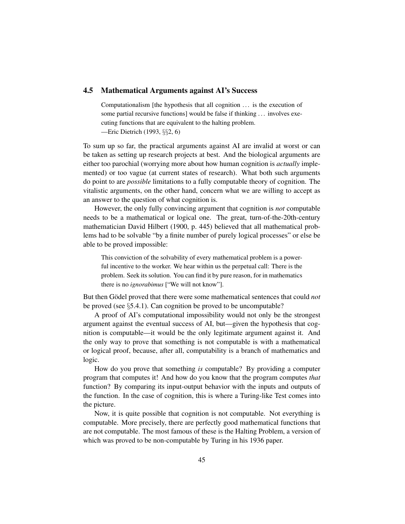### 4.5 Mathematical Arguments against AI's Success

Computationalism [the hypothesis that all cognition ... is the execution of some partial recursive functions] would be false if thinking . . . involves executing functions that are equivalent to the halting problem. —Eric Dietrich (1993, §§2, 6)

To sum up so far, the practical arguments against AI are invalid at worst or can be taken as setting up research projects at best. And the biological arguments are either too parochial (worrying more about how human cognition is *actually* implemented) or too vague (at current states of research). What both such arguments do point to are *possible* limitations to a fully computable theory of cognition. The vitalistic arguments, on the other hand, concern what we are willing to accept as an answer to the question of what cognition is.

However, the only fully convincing argument that cognition is *not* computable needs to be a mathematical or logical one. The great, turn-of-the-20th-century mathematician David Hilbert (1900, p. 445) believed that all mathematical problems had to be solvable "by a finite number of purely logical processes" or else be able to be proved impossible:

This conviction of the solvability of every mathematical problem is a powerful incentive to the worker. We hear within us the perpetual call: There is the problem. Seek its solution. You can find it by pure reason, for in mathematics there is no *ignorabimus* ["We will not know"].

But then Gödel proved that there were some mathematical sentences that could *not* be proved (see §5.4.1). Can cognition be proved to be uncomputable?

A proof of AI's computational impossibility would not only be the strongest argument against the eventual success of AI, but—given the hypothesis that cognition is computable—it would be the only legitimate argument against it. And the only way to prove that something is not computable is with a mathematical or logical proof, because, after all, computability is a branch of mathematics and logic.

How do you prove that something *is* computable? By providing a computer program that computes it! And how do you know that the program computes *that* function? By comparing its input-output behavior with the inputs and outputs of the function. In the case of cognition, this is where a Turing-like Test comes into the picture.

Now, it is quite possible that cognition is not computable. Not everything is computable. More precisely, there are perfectly good mathematical functions that are not computable. The most famous of these is the Halting Problem, a version of which was proved to be non-computable by Turing in his 1936 paper.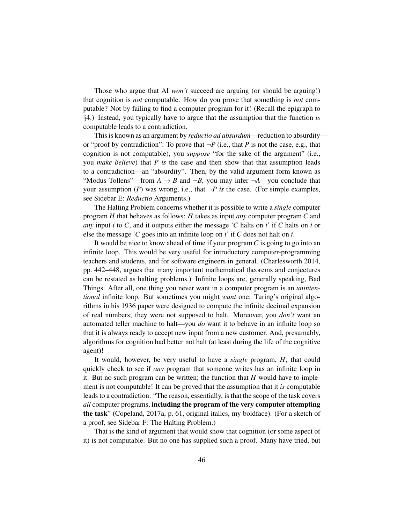Those who argue that AI *won't* succeed are arguing (or should be arguing!) that cognition is *not* computable. How do you prove that something is *not* computable? Not by failing to find a computer program for it! (Recall the epigraph to §4.) Instead, you typically have to argue that the assumption that the function *is* computable leads to a contradiction.

This is known as an argument by *reductio ad absurdum*—reduction to absurdity or "proof by contradiction": To prove that  $\neg P$  (i.e., that *P* is not the case, e.g., that cognition is not computable), you *suppose* "for the sake of the argument" (i.e., you *make believe*) that *P is* the case and then show that that assumption leads to a contradiction—an "absurdity". Then, by the valid argument form known as "Modus Tollens"—from  $A \rightarrow B$  and  $\neg B$ , you may infer  $\neg A$ —you conclude that your assumption (*P*) was wrong, i.e., that  $\neg P$  is the case. (For simple examples, see Sidebar E: *Reductio* Arguments.)

The Halting Problem concerns whether it is possible to write a *single* computer program *H* that behaves as follows: *H* takes as input *any* computer program *C* and *any* input *i* to *C*, and it outputs either the message '*C* halts on *i*' if *C* halts on *i* or else the message '*C* goes into an infinite loop on *i*' if *C* does not halt on *i*.

It would be nice to know ahead of time if your program *C* is going to go into an infinite loop. This would be very useful for introductory computer-programming teachers and students, and for software engineers in general. (Charlesworth 2014, pp. 442–448, argues that many important mathematical theorems and conjectures can be restated as halting problems.) Infinite loops are, generally speaking, Bad Things. After all, one thing you never want in a computer program is an *unintentional* infinite loop. But sometimes you might *want* one: Turing's original algorithms in his 1936 paper were designed to compute the infinite decimal expansion of real numbers; they were not supposed to halt. Moreover, you *don't* want an automated teller machine to halt—you *do* want it to behave in an infinite loop so that it is always ready to accept new input from a new customer. And, presumably, algorithms for cognition had better not halt (at least during the life of the cognitive agent)!

It would, however, be very useful to have a *single* program, *H*, that could quickly check to see if *any* program that someone writes has an infinite loop in it. But no such program can be written; the function that *H* would have to implement is not computable! It can be proved that the assumption that it *is* computable leads to a contradiction. "The reason, essentially, is that the scope of the task covers *all* computer programs, including the program of the very computer attempting the task" (Copeland, 2017a, p. 61, original italics, my boldface). (For a sketch of a proof, see Sidebar F: The Halting Problem.)

That is the kind of argument that would show that cognition (or some aspect of it) is not computable. But no one has supplied such a proof. Many have tried, but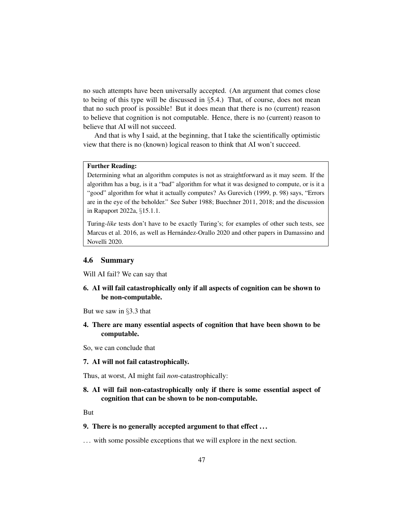no such attempts have been universally accepted. (An argument that comes close to being of this type will be discussed in §5.4.) That, of course, does not mean that no such proof is possible! But it does mean that there is no (current) reason to believe that cognition is not computable. Hence, there is no (current) reason to believe that AI will not succeed.

And that is why I said, at the beginning, that I take the scientifically optimistic view that there is no (known) logical reason to think that AI won't succeed.

#### Further Reading:

Determining what an algorithm computes is not as straightforward as it may seem. If the algorithm has a bug, is it a "bad" algorithm for what it was designed to compute, or is it a "good" algorithm for what it actually computes? As Gurevich (1999, p. 98) says, "Errors are in the eye of the beholder." See Suber 1988; Buechner 2011, 2018; and the discussion in Rapaport 2022a, §15.1.1.

Turing-*like* tests don't have to be exactly Turing's; for examples of other such tests, see Marcus et al. 2016, as well as Hernández-Orallo 2020 and other papers in Damassino and Novelli 2020.

#### 4.6 Summary

Will AI fail? We can say that

6. AI will fail catastrophically only if all aspects of cognition can be shown to be non-computable.

But we saw in §3.3 that

4. There are many essential aspects of cognition that have been shown to be computable.

So, we can conclude that

### 7. AI will not fail catastrophically.

Thus, at worst, AI might fail *non*-catastrophically:

8. AI will fail non-catastrophically only if there is some essential aspect of cognition that can be shown to be non-computable.

But

## 9. There is no generally accepted argument to that effect . . .

... with some possible exceptions that we will explore in the next section.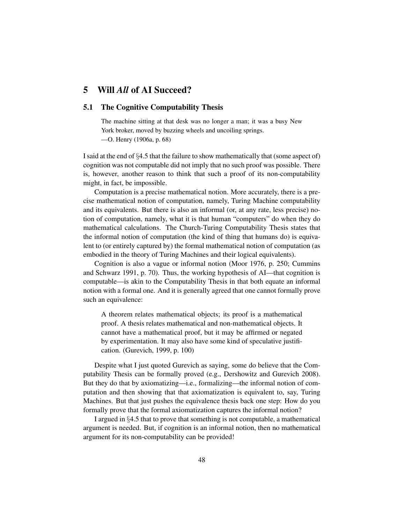# 5 Will *All* of AI Succeed?

## 5.1 The Cognitive Computability Thesis

The machine sitting at that desk was no longer a man; it was a busy New York broker, moved by buzzing wheels and uncoiling springs.

—O. Henry (1906a, p. 68)

I said at the end of §4.5 that the failure to show mathematically that (some aspect of) cognition was not computable did not imply that no such proof was possible. There is, however, another reason to think that such a proof of its non-computability might, in fact, be impossible.

Computation is a precise mathematical notion. More accurately, there is a precise mathematical notion of computation, namely, Turing Machine computability and its equivalents. But there is also an informal (or, at any rate, less precise) notion of computation, namely, what it is that human "computers" do when they do mathematical calculations. The Church-Turing Computability Thesis states that the informal notion of computation (the kind of thing that humans do) is equivalent to (or entirely captured by) the formal mathematical notion of computation (as embodied in the theory of Turing Machines and their logical equivalents).

Cognition is also a vague or informal notion (Moor 1976, p. 250; Cummins and Schwarz 1991, p. 70). Thus, the working hypothesis of AI—that cognition is computable—is akin to the Computability Thesis in that both equate an informal notion with a formal one. And it is generally agreed that one cannot formally prove such an equivalence:

A theorem relates mathematical objects; its proof is a mathematical proof. A thesis relates mathematical and non-mathematical objects. It cannot have a mathematical proof, but it may be affirmed or negated by experimentation. It may also have some kind of speculative justification. (Gurevich, 1999, p. 100)

Despite what I just quoted Gurevich as saying, some do believe that the Computability Thesis can be formally proved (e.g., Dershowitz and Gurevich 2008). But they do that by axiomatizing—i.e., formalizing—the informal notion of computation and then showing that that axiomatization is equivalent to, say, Turing Machines. But that just pushes the equivalence thesis back one step: How do you formally prove that the formal axiomatization captures the informal notion?

I argued in §4.5 that to prove that something is not computable, a mathematical argument is needed. But, if cognition is an informal notion, then no mathematical argument for its non-computability can be provided!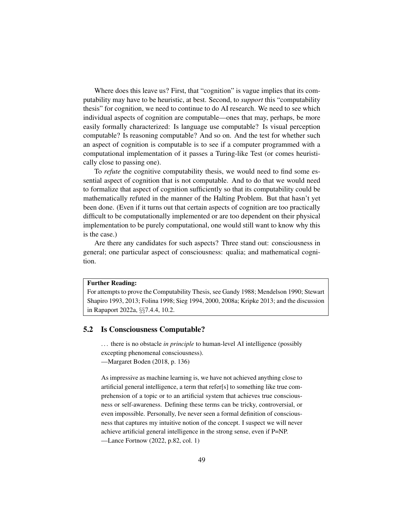Where does this leave us? First, that "cognition" is vague implies that its computability may have to be heuristic, at best. Second, to *support* this "computability thesis" for cognition, we need to continue to do AI research. We need to see which individual aspects of cognition are computable—ones that may, perhaps, be more easily formally characterized: Is language use computable? Is visual perception computable? Is reasoning computable? And so on. And the test for whether such an aspect of cognition is computable is to see if a computer programmed with a computational implementation of it passes a Turing-like Test (or comes heuristically close to passing one).

To *refute* the cognitive computability thesis, we would need to find some essential aspect of cognition that is not computable. And to do that we would need to formalize that aspect of cognition sufficiently so that its computability could be mathematically refuted in the manner of the Halting Problem. But that hasn't yet been done. (Even if it turns out that certain aspects of cognition are too practically difficult to be computationally implemented or are too dependent on their physical implementation to be purely computational, one would still want to know why this is the case.)

Are there any candidates for such aspects? Three stand out: consciousness in general; one particular aspect of consciousness: qualia; and mathematical cognition.

## Further Reading:

For attempts to prove the Computability Thesis, see Gandy 1988; Mendelson 1990; Stewart Shapiro 1993, 2013; Folina 1998; Sieg 1994, 2000, 2008a; Kripke 2013; and the discussion in Rapaport 2022a, §§7.4.4, 10.2.

#### 5.2 Is Consciousness Computable?

. . . there is no obstacle *in principle* to human-level AI intelligence (possibly excepting phenomenal consciousness).

—Margaret Boden (2018, p. 136)

As impressive as machine learning is, we have not achieved anything close to artificial general intelligence, a term that refer[s] to something like true comprehension of a topic or to an artificial system that achieves true consciousness or self-awareness. Defining these terms can be tricky, controversial, or even impossible. Personally, Ive never seen a formal definition of consciousness that captures my intuitive notion of the concept. I suspect we will never achieve artificial general intelligence in the strong sense, even if P=NP.

—Lance Fortnow (2022, p.82, col. 1)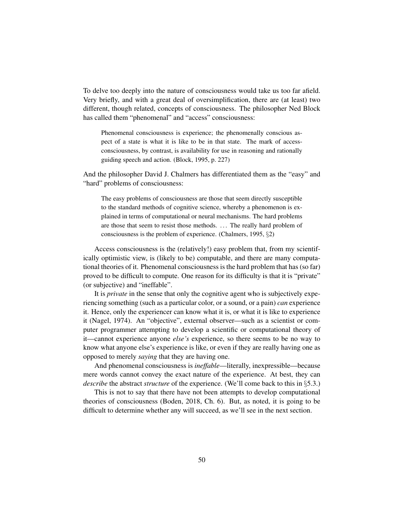To delve too deeply into the nature of consciousness would take us too far afield. Very briefly, and with a great deal of oversimplification, there are (at least) two different, though related, concepts of consciousness. The philosopher Ned Block has called them "phenomenal" and "access" consciousness:

Phenomenal consciousness is experience; the phenomenally conscious aspect of a state is what it is like to be in that state. The mark of accessconsciousness, by contrast, is availability for use in reasoning and rationally guiding speech and action. (Block, 1995, p. 227)

And the philosopher David J. Chalmers has differentiated them as the "easy" and "hard" problems of consciousness:

The easy problems of consciousness are those that seem directly susceptible to the standard methods of cognitive science, whereby a phenomenon is explained in terms of computational or neural mechanisms. The hard problems are those that seem to resist those methods. . . . The really hard problem of consciousness is the problem of experience. (Chalmers, 1995, §2)

Access consciousness is the (relatively!) easy problem that, from my scientifically optimistic view, is (likely to be) computable, and there are many computational theories of it. Phenomenal consciousness is the hard problem that has (so far) proved to be difficult to compute. One reason for its difficulty is that it is "private" (or subjective) and "ineffable".

It is *private* in the sense that only the cognitive agent who is subjectively experiencing something (such as a particular color, or a sound, or a pain) *can* experience it. Hence, only the experiencer can know what it is, or what it is like to experience it (Nagel, 1974). An "objective", external observer—such as a scientist or computer programmer attempting to develop a scientific or computational theory of it—cannot experience anyone *else's* experience, so there seems to be no way to know what anyone else's experience is like, or even if they are really having one as opposed to merely *saying* that they are having one.

And phenomenal consciousness is *ineffable*—literally, inexpressible—because mere words cannot convey the exact nature of the experience. At best, they can *describe* the abstract *structure* of the experience. (We'll come back to this in §5.3.)

This is not to say that there have not been attempts to develop computational theories of consciousness (Boden, 2018, Ch. 6). But, as noted, it is going to be difficult to determine whether any will succeed, as we'll see in the next section.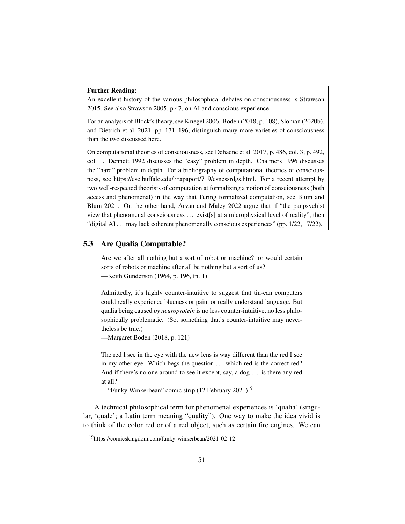#### Further Reading:

An excellent history of the various philosophical debates on consciousness is Strawson 2015. See also Strawson 2005, p.47, on AI and conscious experience.

For an analysis of Block's theory, see Kriegel 2006. Boden (2018, p. 108), Sloman (2020b), and Dietrich et al. 2021, pp. 171–196, distinguish many more varieties of consciousness than the two discussed here.

On computational theories of consciousness, see Dehaene et al. 2017, p. 486, col. 3; p. 492, col. 1. Dennett 1992 discusses the "easy" problem in depth. Chalmers 1996 discusses the "hard" problem in depth. For a bibliography of computational theories of consciousness, see https://cse.buffalo.edu/∼rapaport/719/csnessrdgs.html. For a recent attempt by two well-respected theorists of computation at formalizing a notion of consciousness (both access and phenomenal) in the way that Turing formalized computation, see Blum and Blum 2021. On the other hand, Arvan and Maley 2022 argue that if "the panpsychist view that phenomenal consciousness . . . exist[s] at a microphysical level of reality", then "digital AI ... may lack coherent phenomenally conscious experiences" (pp. 1/22, 17/22).

#### 5.3 Are Qualia Computable?

Are we after all nothing but a sort of robot or machine? or would certain sorts of robots or machine after all be nothing but a sort of us? —Keith Gunderson (1964, p. 196, fn. 1)

Admittedly, it's highly counter-intuitive to suggest that tin-can computers could really experience blueness or pain, or really understand language. But qualia being caused *by neuroprotein* is no less counter-intuitive, no less philosophically problematic. (So, something that's counter-intuitive may nevertheless be true.)

—Margaret Boden (2018, p. 121)

The red I see in the eye with the new lens is way different than the red I see in my other eye. Which begs the question ... which red is the correct red? And if there's no one around to see it except, say, a dog ... is there any red at all?

— "Funky Winkerbean" comic strip  $(12 \text{ February } 2021)^{19}$ 

A technical philosophical term for phenomenal experiences is 'qualia' (singular, 'quale'; a Latin term meaning "quality"). One way to make the idea vivid is to think of the color red or of a red object, such as certain fire engines. We can

<sup>19</sup>https://comicskingdom.com/funky-winkerbean/2021-02-12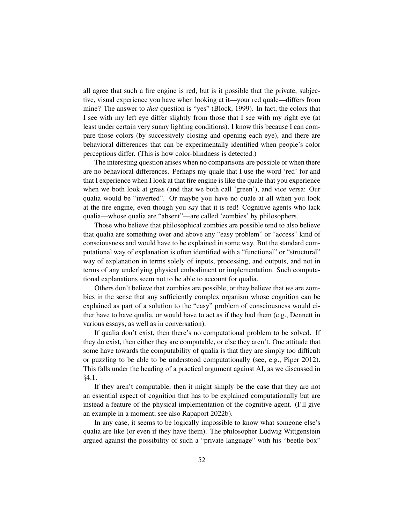all agree that such a fire engine is red, but is it possible that the private, subjective, visual experience you have when looking at it—your red quale—differs from mine? The answer to *that* question is "yes" (Block, 1999). In fact, the colors that I see with my left eye differ slightly from those that I see with my right eye (at least under certain very sunny lighting conditions). I know this because I can compare those colors (by successively closing and opening each eye), and there are behavioral differences that can be experimentally identified when people's color perceptions differ. (This is how color-blindness is detected.)

The interesting question arises when no comparisons are possible or when there are no behavioral differences. Perhaps my quale that I use the word 'red' for and that I experience when I look at that fire engine is like the quale that you experience when we both look at grass (and that we both call 'green'), and vice versa: Our qualia would be "inverted". Or maybe you have no quale at all when you look at the fire engine, even though you *say* that it is red! Cognitive agents who lack qualia—whose qualia are "absent"—are called 'zombies' by philosophers.

Those who believe that philosophical zombies are possible tend to also believe that qualia are something over and above any "easy problem" or "access" kind of consciousness and would have to be explained in some way. But the standard computational way of explanation is often identified with a "functional" or "structural" way of explanation in terms solely of inputs, processing, and outputs, and not in terms of any underlying physical embodiment or implementation. Such computational explanations seem not to be able to account for qualia.

Others don't believe that zombies are possible, or they believe that *we* are zombies in the sense that any sufficiently complex organism whose cognition can be explained as part of a solution to the "easy" problem of consciousness would either have to have qualia, or would have to act as if they had them (e.g., Dennett in various essays, as well as in conversation).

If qualia don't exist, then there's no computational problem to be solved. If they do exist, then either they are computable, or else they aren't. One attitude that some have towards the computability of qualia is that they are simply too difficult or puzzling to be able to be understood computationally (see, e.g., Piper 2012). This falls under the heading of a practical argument against AI, as we discussed in §4.1.

If they aren't computable, then it might simply be the case that they are not an essential aspect of cognition that has to be explained computationally but are instead a feature of the physical implementation of the cognitive agent. (I'll give an example in a moment; see also Rapaport 2022b).

In any case, it seems to be logically impossible to know what someone else's qualia are like (or even if they have them). The philosopher Ludwig Wittgenstein argued against the possibility of such a "private language" with his "beetle box"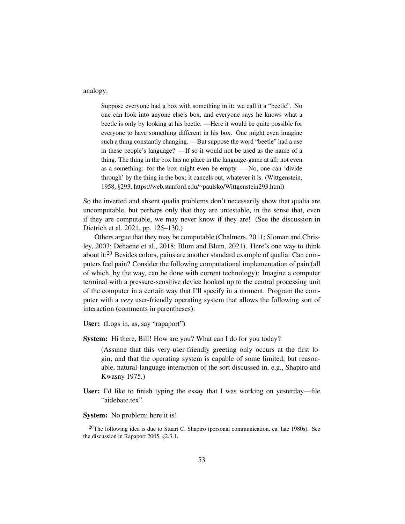analogy:

Suppose everyone had a box with something in it: we call it a "beetle". No one can look into anyone else's box, and everyone says he knows what a beetle is only by looking at his beetle. —Here it would be quite possible for everyone to have something different in his box. One might even imagine such a thing constantly changing. —But suppose the word "beetle" had a use in these people's language? —If so it would not be used as the name of a thing. The thing in the box has no place in the language-game at all; not even as a something: for the box might even be empty. —No, one can 'divide through' by the thing in the box; it cancels out, whatever it is. (Wittgenstein, 1958, §293, https://web.stanford.edu/∼paulsko/Wittgenstein293.html)

So the inverted and absent qualia problems don't necessarily show that qualia are uncomputable, but perhaps only that they are untestable, in the sense that, even if they are computable, we may never know if they are! (See the discussion in Dietrich et al. 2021, pp. 125–130.)

Others argue that they may be computable (Chalmers, 2011; Sloman and Chrisley, 2003; Dehaene et al., 2018; Blum and Blum, 2021). Here's one way to think about it:<sup>20</sup> Besides colors, pains are another standard example of qualia: Can computers feel pain? Consider the following computational implementation of pain (all of which, by the way, can be done with current technology): Imagine a computer terminal with a pressure-sensitive device hooked up to the central processing unit of the computer in a certain way that I'll specify in a moment. Program the computer with a *very* user-friendly operating system that allows the following sort of interaction (comments in parentheses):

User: (Logs in, as, say "rapaport")

System: Hi there, Bill! How are you? What can I do for you today?

(Assume that this very-user-friendly greeting only occurs at the first login, and that the operating system is capable of some limited, but reasonable, natural-language interaction of the sort discussed in, e.g., Shapiro and Kwasny 1975.)

User: I'd like to finish typing the essay that I was working on yesterday—file "aidebate.tex".

System: No problem; here it is!

<sup>&</sup>lt;sup>20</sup>The following idea is due to Stuart C. Shapiro (personal communication, ca. late 1980s). See the discussion in Rapaport 2005, §2.3.1.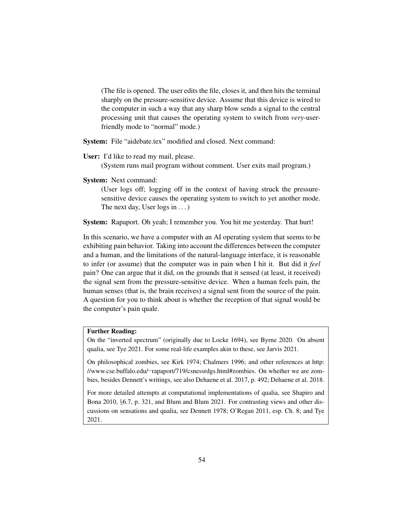(The file is opened. The user edits the file, closes it, and then hits the terminal sharply on the pressure-sensitive device. Assume that this device is wired to the computer in such a way that any sharp blow sends a signal to the central processing unit that causes the operating system to switch from *very*-userfriendly mode to "normal" mode.)

System: File "aidebate.tex" modified and closed. Next command:

User: I'd like to read my mail, please.

(System runs mail program without comment. User exits mail program.)

System: Next command:

(User logs off; logging off in the context of having struck the pressuresensitive device causes the operating system to switch to yet another mode. The next day, User logs in ...)

System: Rapaport. Oh yeah; I remember you. You hit me yesterday. That hurt!

In this scenario, we have a computer with an AI operating system that seems to be exhibiting pain behavior. Taking into account the differences between the computer and a human, and the limitations of the natural-language interface, it is reasonable to infer (or assume) that the computer was in pain when I hit it. But did it *feel* pain? One can argue that it did, on the grounds that it sensed (at least, it received) the signal sent from the pressure-sensitive device. When a human feels pain, the human senses (that is, the brain receives) a signal sent from the source of the pain. A question for you to think about is whether the reception of that signal would be the computer's pain quale.

## Further Reading:

On the "inverted spectrum" (originally due to Locke 1694), see Byrne 2020. On absent qualia, see Tye 2021. For some real-life examples akin to these, see Jarvis 2021.

On philosophical zombies, see Kirk 1974; Chalmers 1996; and other references at http: //www.cse.buffalo.edu/∼rapaport/719/csnessrdgs.html#zombies. On whether we are zombies, besides Dennett's writings, see also Dehaene et al. 2017, p. 492; Dehaene et al. 2018.

For more detailed attempts at computational implementations of qualia, see Shapiro and Bona 2010, §6.7, p. 321, and Blum and Blum 2021. For contrasting views and other discussions on sensations and qualia, see Dennett 1978; O'Regan 2011, esp. Ch. 8; and Tye 2021.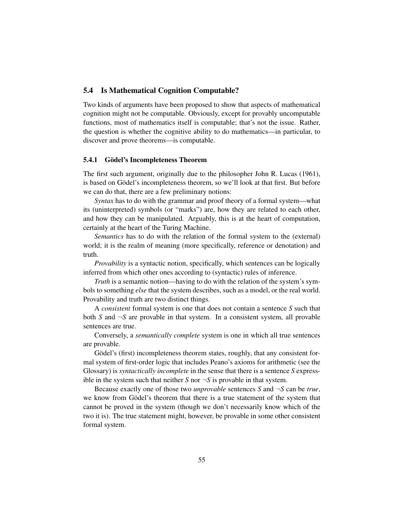### 5.4 Is Mathematical Cognition Computable?

Two kinds of arguments have been proposed to show that aspects of mathematical cognition might not be computable. Obviously, except for provably uncomputable functions, most of mathematics itself is computable; that's not the issue. Rather, the question is whether the cognitive ability to do mathematics—in particular, to discover and prove theorems—is computable.

### 5.4.1 Gödel's Incompleteness Theorem

The first such argument, originally due to the philosopher John R. Lucas (1961), is based on Gödel's incompleteness theorem, so we'll look at that first. But before we can do that, there are a few preliminary notions:

*Syntax* has to do with the grammar and proof theory of a formal system—what its (uninterpreted) symbols (or "marks") are, how they are related to each other, and how they can be manipulated. Arguably, this is at the heart of computation, certainly at the heart of the Turing Machine.

*Semantics* has to do with the relation of the formal system to the (external) world; it is the realm of meaning (more specifically, reference or denotation) and truth.

*Provability* is a syntactic notion, specifically, which sentences can be logically inferred from which other ones according to (syntactic) rules of inference.

*Truth* is a semantic notion—having to do with the relation of the system's symbols to something *else* that the system describes, such as a model, or the real world. Provability and truth are two distinct things.

A *consistent* formal system is one that does not contain a sentence *S* such that both *S* and  $\neg$ *S* are provable in that system. In a consistent system, all provable sentences are true.

Conversely, a *semantically complete* system is one in which all true sentences are provable.

Gödel's (first) incompleteness theorem states, roughly, that any consistent formal system of first-order logic that includes Peano's axioms for arithmetic (see the Glossary) is *syntactically incomplete* in the sense that there is a sentence *S* expressible in the system such that neither *S* nor  $\neg$ *S* is provable in that system.

Because exactly one of those two *unprovable* sentences *S* and ¬*S* can be *true*, we know from Gödel's theorem that there is a true statement of the system that cannot be proved in the system (though we don't necessarily know which of the two it is). The true statement might, however, be provable in some other consistent formal system.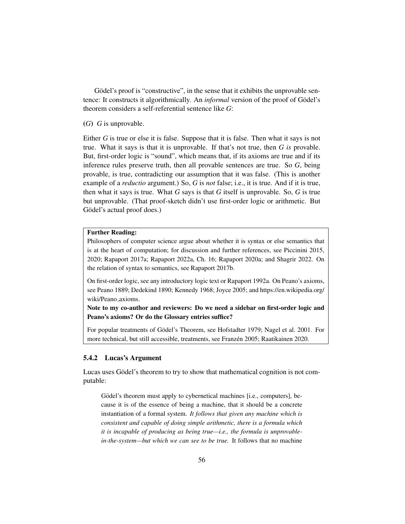Gödel's proof is "constructive", in the sense that it exhibits the unprovable sentence: It constructs it algorithmically. An *informal* version of the proof of Gödel's theorem considers a self-referential sentence like *G*:

#### (*G*) *G* is unprovable.

Either *G* is true or else it is false. Suppose that it is false. Then what it says is not true. What it says is that it is unprovable. If that's not true, then *G is* provable. But, first-order logic is "sound", which means that, if its axioms are true and if its inference rules preserve truth, then all provable sentences are true. So *G*, being provable, is true, contradicting our assumption that it was false. (This is another example of a *reductio* argument.) So, *G* is *not* false; i.e., it is true. And if it is true, then what it says is true. What *G* says is that *G* itself is unprovable. So, *G* is true but unprovable. (That proof-sketch didn't use first-order logic or arithmetic. But Gödel's actual proof does.)

### Further Reading:

Philosophers of computer science argue about whether it is syntax or else semantics that is at the heart of computation; for discussion and further references, see Piccinini 2015, 2020; Rapaport 2017a; Rapaport 2022a, Ch. 16; Rapaport 2020a; and Shagrir 2022. On the relation of syntax to semantics, see Rapaport 2017b.

On first-order logic, see any introductory logic text or Rapaport 1992a. On Peano's axioms, see Peano 1889; Dedekind 1890; Kennedy 1968; Joyce 2005; and https://en.wikipedia.org/ wiki/Peano axioms.

Note to my co-author and reviewers: Do we need a sidebar on first-order logic and Peano's axioms? Or do the Glossary entries suffice?

For popular treatments of Gödel's Theorem, see Hofstadter 1979; Nagel et al. 2001. For more technical, but still accessible, treatments, see Franzén 2005; Raatikainen 2020.

#### 5.4.2 Lucas's Argument

Lucas uses Gödel's theorem to try to show that mathematical cognition is not computable:

Gödel's theorem must apply to cybernetical machines [i.e., computers], because it is of the essence of being a machine, that it should be a concrete instantiation of a formal system. *It follows that given any machine which is consistent and capable of doing simple arithmetic, there is a formula which it is incapable of producing as being true—i.e., the formula is unprovablein-the-system—but which we can see to be true.* It follows that no machine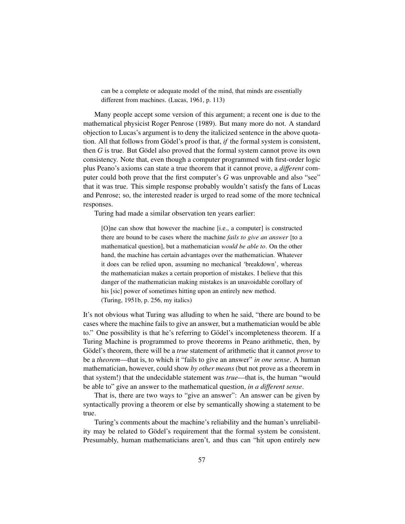can be a complete or adequate model of the mind, that minds are essentially different from machines. (Lucas, 1961, p. 113)

Many people accept some version of this argument; a recent one is due to the mathematical physicist Roger Penrose (1989). But many more do not. A standard objection to Lucas's argument is to deny the italicized sentence in the above quotation. All that follows from Gödel's proof is that, *if* the formal system is consistent, then  $G$  is true. But Gödel also proved that the formal system cannot prove its own consistency. Note that, even though a computer programmed with first-order logic plus Peano's axioms can state a true theorem that it cannot prove, a *different* computer could both prove that the first computer's *G* was unprovable and also "see" that it was true. This simple response probably wouldn't satisfy the fans of Lucas and Penrose; so, the interested reader is urged to read some of the more technical responses.

Turing had made a similar observation ten years earlier:

[O]ne can show that however the machine [i.e., a computer] is constructed there are bound to be cases where the machine *fails to give an answer* [to a mathematical question], but a mathematician *would be able to*. On the other hand, the machine has certain advantages over the mathematician. Whatever it does can be relied upon, assuming no mechanical 'breakdown', whereas the mathematician makes a certain proportion of mistakes. I believe that this danger of the mathematician making mistakes is an unavoidable corollary of his [sic] power of sometimes hitting upon an entirely new method. (Turing, 1951b, p. 256, my italics)

It's not obvious what Turing was alluding to when he said, "there are bound to be cases where the machine fails to give an answer, but a mathematician would be able to." One possibility is that he's referring to Gödel's incompleteness theorem. If a Turing Machine is programmed to prove theorems in Peano arithmetic, then, by Gödel's theorem, there will be a *true* statement of arithmetic that it cannot *prove* to be a *theorem*—that is, to which it "fails to give an answer" *in one sense*. A human mathematician, however, could show *by other means* (but not prove as a theorem in that system!) that the undecidable statement was *true*—that is, the human "would be able to" give an answer to the mathematical question, *in a different sense*.

That is, there are two ways to "give an answer": An answer can be given by syntactically proving a theorem or else by semantically showing a statement to be true.

Turing's comments about the machine's reliability and the human's unreliability may be related to Gödel's requirement that the formal system be consistent. Presumably, human mathematicians aren't, and thus can "hit upon entirely new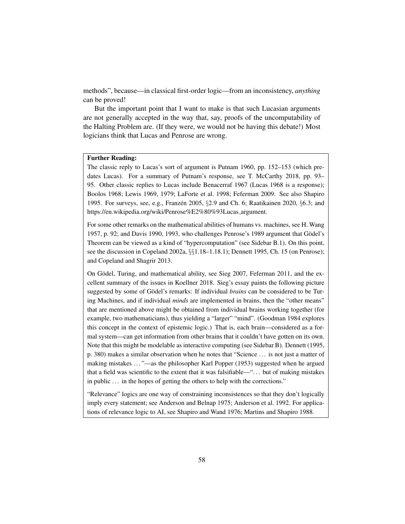methods", because—in classical first-order logic—from an inconsistency, *anything* can be proved!

But the important point that I want to make is that such Lucasian arguments are not generally accepted in the way that, say, proofs of the uncomputability of the Halting Problem are. (If they were, we would not be having this debate!) Most logicians think that Lucas and Penrose are wrong.

#### Further Reading:

The classic reply to Lucas's sort of argument is Putnam 1960, pp. 152–153 (which predates Lucas). For a summary of Putnam's response, see T. McCarthy 2018, pp. 93– 95. Other classic replies to Lucas include Benacerraf 1967 (Lucas 1968 is a response); Boolos 1968; Lewis 1969, 1979; LaForte et al. 1998; Feferman 2009. See also Shapiro 1995. For surveys, see, e.g., Franzén 2005,  $\S 2.9$  and Ch. 6; Raatikainen 2020,  $\S 6.3$ ; and https://en.wikipedia.org/wiki/Penrose%E2%80%93Lucas argument.

For some other remarks on the mathematical abilities of humans vs. machines, see H. Wang 1957, p. 92; and Davis 1990, 1993, who challenges Penrose's 1989 argument that Godel's ¨ Theorem can be viewed as a kind of "hypercomputation" (see Sidebar B.1). On this point, see the discussion in Copeland 2002a, §§1.18–1.18.1); Dennett 1995, Ch. 15 (on Penrose); and Copeland and Shagrir 2013.

On Gödel, Turing, and mathematical ability, see Sieg 2007, Feferman 2011, and the excellent summary of the issues in Koellner 2018. Sieg's essay paints the following picture suggested by some of Gödel's remarks: If individual *brains* can be considered to be Turing Machines, and if individual *minds* are implemented in brains, then the "other means" that are mentioned above might be obtained from individual brains working together (for example, two mathematicians), thus yielding a "larger" "mind". (Goodman 1984 explores this concept in the context of epistemic logic.) That is, each brain—considered as a formal system—can get information from other brains that it couldn't have gotten on its own. Note that this might be modelable as interactive computing (see Sidebar B). Dennett (1995, p. 380) makes a similar observation when he notes that "Science . . . is not just a matter of making mistakes . . . "—as the philosopher Karl Popper (1953) suggested when he argued that a field was scientific to the extent that it was falsifiable—". . . but of making mistakes in public . . . in the hopes of getting the others to help with the corrections."

"Relevance" logics are one way of constraining inconsistences so that they don't logically imply every statement; see Anderson and Belnap 1975; Anderson et al. 1992. For applications of relevance logic to AI, see Shapiro and Wand 1976; Martins and Shapiro 1988.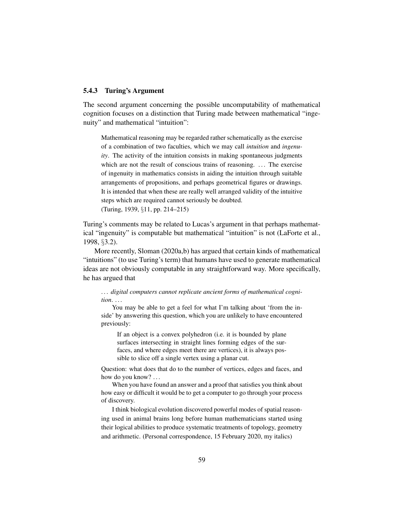#### 5.4.3 Turing's Argument

The second argument concerning the possible uncomputability of mathematical cognition focuses on a distinction that Turing made between mathematical "ingenuity" and mathematical "intuition":

Mathematical reasoning may be regarded rather schematically as the exercise of a combination of two faculties, which we may call *intuition* and *ingenuity*. The activity of the intuition consists in making spontaneous judgments which are not the result of conscious trains of reasoning. ... The exercise of ingenuity in mathematics consists in aiding the intuition through suitable arrangements of propositions, and perhaps geometrical figures or drawings. It is intended that when these are really well arranged validity of the intuitive steps which are required cannot seriously be doubted. (Turing, 1939, §11, pp. 214–215)

Turing's comments may be related to Lucas's argument in that perhaps mathematical "ingenuity" is computable but mathematical "intuition" is not (LaForte et al., 1998, §3.2).

More recently, Sloman (2020a,b) has argued that certain kinds of mathematical "intuitions" (to use Turing's term) that humans have used to generate mathematical ideas are not obviously computable in any straightforward way. More specifically, he has argued that

... digital computers cannot replicate ancient forms of mathematical cogni*tion*. . . .

You may be able to get a feel for what I'm talking about 'from the inside' by answering this question, which you are unlikely to have encountered previously:

If an object is a convex polyhedron (i.e. it is bounded by plane surfaces intersecting in straight lines forming edges of the surfaces, and where edges meet there are vertices), it is always possible to slice off a single vertex using a planar cut.

Question: what does that do to the number of vertices, edges and faces, and how do you know? ...

When you have found an answer and a proof that satisfies you think about how easy or difficult it would be to get a computer to go through your process of discovery.

I think biological evolution discovered powerful modes of spatial reasoning used in animal brains long before human mathematicians started using their logical abilities to produce systematic treatments of topology, geometry and arithmetic. (Personal correspondence, 15 February 2020, my italics)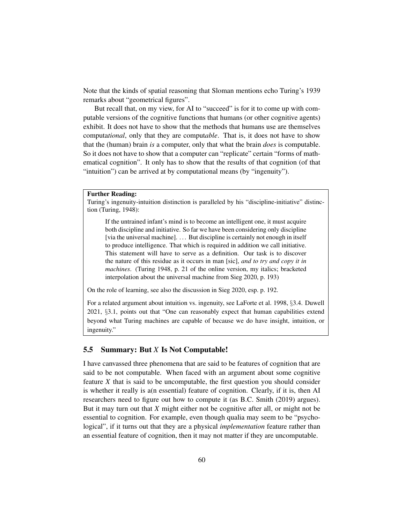Note that the kinds of spatial reasoning that Sloman mentions echo Turing's 1939 remarks about "geometrical figures".

But recall that, on my view, for AI to "succeed" is for it to come up with computable versions of the cognitive functions that humans (or other cognitive agents) exhibit. It does not have to show that the methods that humans use are themselves computa*tional*, only that they are comput*able*. That is, it does not have to show that the (human) brain *is* a computer, only that what the brain *does* is computable. So it does not have to show that a computer can "replicate" certain "forms of mathematical cognition". It only has to show that the results of that cognition (of that "intuition") can be arrived at by computational means (by "ingenuity").

#### Further Reading:

Turing's ingenuity-intuition distinction is paralleled by his "discipline-initiative" distinction (Turing, 1948):

If the untrained infant's mind is to become an intelligent one, it must acquire both discipline and initiative. So far we have been considering only discipline [via the universal machine]. ... But discipline is certainly not enough in itself to produce intelligence. That which is required in addition we call initiative. This statement will have to serve as a definition. Our task is to discover the nature of this residue as it occurs in man [sic], *and to try and copy it in machines*. (Turing 1948, p. 21 of the online version, my italics; bracketed interpolation about the universal machine from Sieg 2020, p. 193)

On the role of learning, see also the discussion in Sieg 2020, esp. p. 192.

For a related argument about intuition vs. ingenuity, see LaForte et al. 1998, §3.4. Duwell 2021, §3.1, points out that "One can reasonably expect that human capabilities extend beyond what Turing machines are capable of because we do have insight, intuition, or ingenuity."

## 5.5 Summary: But *X* Is Not Computable!

I have canvassed three phenomena that are said to be features of cognition that are said to be not computable. When faced with an argument about some cognitive feature *X* that is said to be uncomputable, the first question you should consider is whether it really is a(n essential) feature of cognition. Clearly, if it is, then AI researchers need to figure out how to compute it (as B.C. Smith (2019) argues). But it may turn out that *X* might either not be cognitive after all, or might not be essential to cognition. For example, even though qualia may seem to be "psychological", if it turns out that they are a physical *implementation* feature rather than an essential feature of cognition, then it may not matter if they are uncomputable.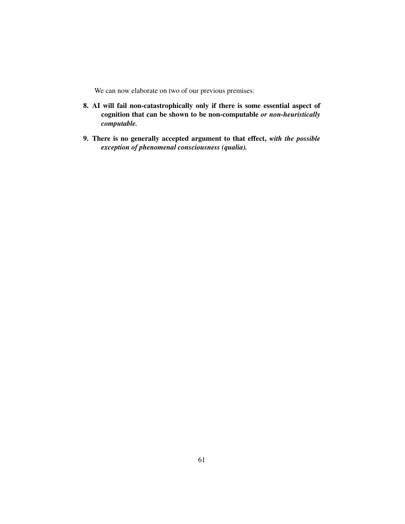We can now elaborate on two of our previous premises:

- 8. AI will fail non-catastrophically only if there is some essential aspect of cognition that can be shown to be non-computable *or non-heuristically computable.*
- 9. There is no generally accepted argument to that effect, *with the possible exception of phenomenal consciousness (qualia).*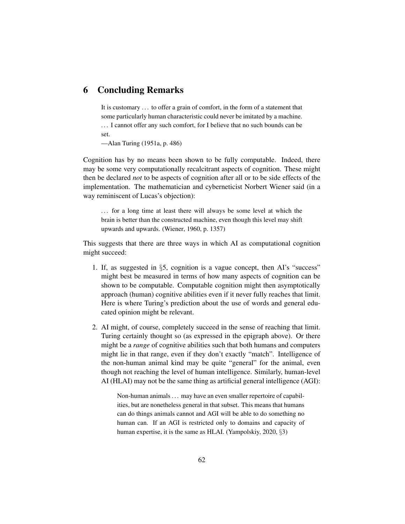# 6 Concluding Remarks

It is customary . . . to offer a grain of comfort, in the form of a statement that some particularly human characteristic could never be imitated by a machine. . . . I cannot offer any such comfort, for I believe that no such bounds can be set.

—Alan Turing (1951a, p. 486)

Cognition has by no means been shown to be fully computable. Indeed, there may be some very computationally recalcitrant aspects of cognition. These might then be declared *not* to be aspects of cognition after all or to be side effects of the implementation. The mathematician and cyberneticist Norbert Wiener said (in a way reminiscent of Lucas's objection):

... for a long time at least there will always be some level at which the brain is better than the constructed machine, even though this level may shift upwards and upwards. (Wiener, 1960, p. 1357)

This suggests that there are three ways in which AI as computational cognition might succeed:

- 1. If, as suggested in §5, cognition is a vague concept, then AI's "success" might best be measured in terms of how many aspects of cognition can be shown to be computable. Computable cognition might then asymptotically approach (human) cognitive abilities even if it never fully reaches that limit. Here is where Turing's prediction about the use of words and general educated opinion might be relevant.
- 2. AI might, of course, completely succeed in the sense of reaching that limit. Turing certainly thought so (as expressed in the epigraph above). Or there might be a *range* of cognitive abilities such that both humans and computers might lie in that range, even if they don't exactly "match". Intelligence of the non-human animal kind may be quite "general" for the animal, even though not reaching the level of human intelligence. Similarly, human-level AI (HLAI) may not be the same thing as artificial general intelligence (AGI):

Non-human animals ... may have an even smaller repertoire of capabilities, but are nonetheless general in that subset. This means that humans can do things animals cannot and AGI will be able to do something no human can. If an AGI is restricted only to domains and capacity of human expertise, it is the same as HLAI. (Yampolskiy, 2020, §3)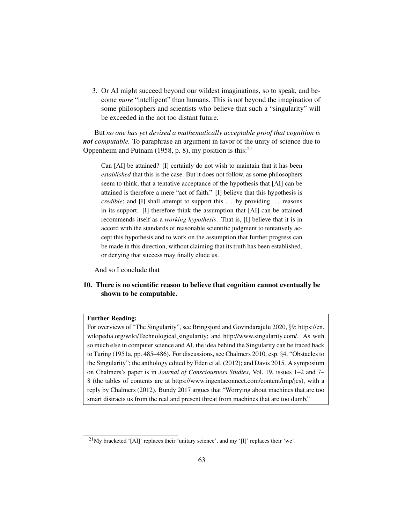3. Or AI might succeed beyond our wildest imaginations, so to speak, and become *more* "intelligent" than humans. This is not beyond the imagination of some philosophers and scientists who believe that such a "singularity" will be exceeded in the not too distant future.

But *no one has yet devised a mathematically acceptable proof that cognition is not computable.* To paraphrase an argument in favor of the unity of science due to Oppenheim and Putnam (1958, p. 8), my position is this:<sup>21</sup>

Can [AI] be attained? [I] certainly do not wish to maintain that it has been *established* that this is the case. But it does not follow, as some philosophers seem to think, that a tentative acceptance of the hypothesis that [AI] can be attained is therefore a mere "act of faith." [I] believe that this hypothesis is *credible*; and [I] shall attempt to support this ... by providing ... reasons in its support. [I] therefore think the assumption that [AI] can be attained recommends itself as a *working hypothesis*. That is, [I] believe that it is in accord with the standards of reasonable scientific judgment to tentatively accept this hypothesis and to work on the assumption that further progress can be made in this direction, without claiming that its truth has been established, or denying that success may finally elude us.

And so I conclude that

## 10. There is no scientific reason to believe that cognition cannot eventually be shown to be computable.

#### Further Reading:

For overviews of "The Singularity", see Bringsjord and Govindarajulu 2020, §9; https://en. wikipedia.org/wiki/Technological singularity; and http://www.singularity.com/. As with so much else in computer science and AI, the idea behind the Singularity can be traced back to Turing (1951a, pp. 485–486). For discussions, see Chalmers 2010, esp. §4, "Obstacles to the Singularity"; the anthology edited by Eden et al. (2012); and Davis 2015. A symposium on Chalmers's paper is in *Journal of Consciousness Studies*, Vol. 19, issues 1–2 and 7– 8 (the tables of contents are at https://www.ingentaconnect.com/content/imp/jcs), with a reply by Chalmers (2012). Bundy 2017 argues that "Worrying about machines that are too smart distracts us from the real and present threat from machines that are too dumb."

<sup>21</sup>My bracketed '[AI]' replaces their 'unitary science', and my '[I]' replaces their 'we'.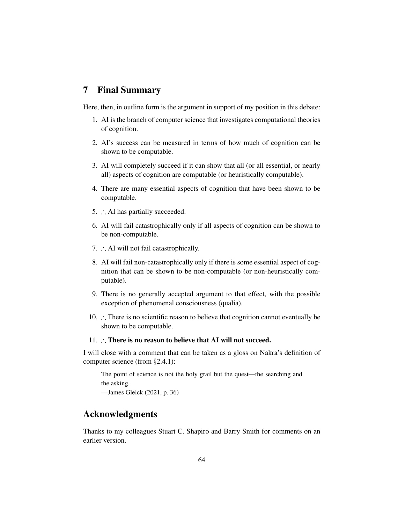## 7 Final Summary

Here, then, in outline form is the argument in support of my position in this debate:

- 1. AI is the branch of computer science that investigates computational theories of cognition.
- 2. AI's success can be measured in terms of how much of cognition can be shown to be computable.
- 3. AI will completely succeed if it can show that all (or all essential, or nearly all) aspects of cognition are computable (or heuristically computable).
- 4. There are many essential aspects of cognition that have been shown to be computable.
- 5. ∴ AI has partially succeeded.
- 6. AI will fail catastrophically only if all aspects of cognition can be shown to be non-computable.
- 7. ∴ AI will not fail catastrophically.
- 8. AI will fail non-catastrophically only if there is some essential aspect of cognition that can be shown to be non-computable (or non-heuristically computable).
- 9. There is no generally accepted argument to that effect, with the possible exception of phenomenal consciousness (qualia).
- 10. ∴ There is no scientific reason to believe that cognition cannot eventually be shown to be computable.

#### 11. ∴ There is no reason to believe that AI will not succeed.

I will close with a comment that can be taken as a gloss on Nakra's definition of computer science (from §2.4.1):

The point of science is not the holy grail but the quest—the searching and the asking. —James Gleick (2021, p. 36)

# Acknowledgments

Thanks to my colleagues Stuart C. Shapiro and Barry Smith for comments on an earlier version.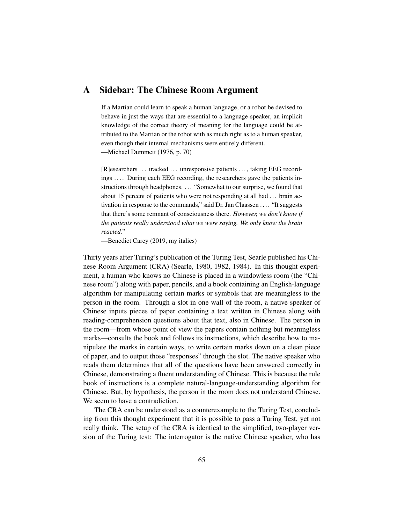## A Sidebar: The Chinese Room Argument

If a Martian could learn to speak a human language, or a robot be devised to behave in just the ways that are essential to a language-speaker, an implicit knowledge of the correct theory of meaning for the language could be attributed to the Martian or the robot with as much right as to a human speaker, even though their internal mechanisms were entirely different. —Michael Dummett (1976, p. 70)

[R]esearchers ... tracked ... unresponsive patients ..., taking EEG recordings .... During each EEG recording, the researchers gave the patients instructions through headphones. . . . "Somewhat to our surprise, we found that about 15 percent of patients who were not responding at all had . . . brain activation in response to the commands," said Dr. Jan Claassen . . . . "It suggests that there's some remnant of consciousness there. *However, we don't know if the patients really understood what we were saying. We only know the brain reacted.*"

—Benedict Carey (2019, my italics)

Thirty years after Turing's publication of the Turing Test, Searle published his Chinese Room Argument (CRA) (Searle, 1980, 1982, 1984). In this thought experiment, a human who knows no Chinese is placed in a windowless room (the "Chinese room") along with paper, pencils, and a book containing an English-language algorithm for manipulating certain marks or symbols that are meaningless to the person in the room. Through a slot in one wall of the room, a native speaker of Chinese inputs pieces of paper containing a text written in Chinese along with reading-comprehension questions about that text, also in Chinese. The person in the room—from whose point of view the papers contain nothing but meaningless marks—consults the book and follows its instructions, which describe how to manipulate the marks in certain ways, to write certain marks down on a clean piece of paper, and to output those "responses" through the slot. The native speaker who reads them determines that all of the questions have been answered correctly in Chinese, demonstrating a fluent understanding of Chinese. This is because the rule book of instructions is a complete natural-language-understanding algorithm for Chinese. But, by hypothesis, the person in the room does not understand Chinese. We seem to have a contradiction.

The CRA can be understood as a counterexample to the Turing Test, concluding from this thought experiment that it is possible to pass a Turing Test, yet not really think. The setup of the CRA is identical to the simplified, two-player version of the Turing test: The interrogator is the native Chinese speaker, who has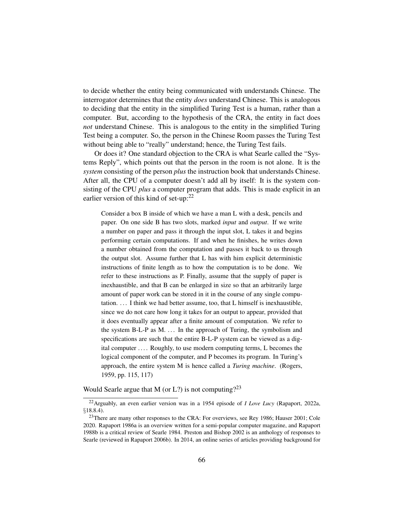to decide whether the entity being communicated with understands Chinese. The interrogator determines that the entity *does* understand Chinese. This is analogous to deciding that the entity in the simplified Turing Test is a human, rather than a computer. But, according to the hypothesis of the CRA, the entity in fact does *not* understand Chinese. This is analogous to the entity in the simplified Turing Test being a computer. So, the person in the Chinese Room passes the Turing Test without being able to "really" understand; hence, the Turing Test fails.

Or does it? One standard objection to the CRA is what Searle called the "Systems Reply", which points out that the person in the room is not alone. It is the *system* consisting of the person *plus* the instruction book that understands Chinese. After all, the CPU of a computer doesn't add all by itself: It is the system consisting of the CPU *plus* a computer program that adds. This is made explicit in an earlier version of this kind of set-up: $22$ 

Consider a box B inside of which we have a man L with a desk, pencils and paper. On one side B has two slots, marked *input* and *output*. If we write a number on paper and pass it through the input slot, L takes it and begins performing certain computations. If and when he finishes, he writes down a number obtained from the computation and passes it back to us through the output slot. Assume further that L has with him explicit deterministic instructions of finite length as to how the computation is to be done. We refer to these instructions as P. Finally, assume that the supply of paper is inexhaustible, and that B can be enlarged in size so that an arbitrarily large amount of paper work can be stored in it in the course of any single computation. . . . I think we had better assume, too, that L himself is inexhaustible, since we do not care how long it takes for an output to appear, provided that it does eventually appear after a finite amount of computation. We refer to the system B-L-P as M.  $\ldots$  In the approach of Turing, the symbolism and specifications are such that the entire B-L-P system can be viewed as a digital computer .... Roughly, to use modern computing terms, L becomes the logical component of the computer, and P becomes its program. In Turing's approach, the entire system M is hence called a *Turing machine*. (Rogers, 1959, pp. 115, 117)

Would Searle argue that M (or L?) is not computing?<sup>23</sup>

<sup>22</sup>Arguably, an even earlier version was in a 1954 episode of *I Love Lucy* (Rapaport, 2022a, §18.8.4).

<sup>&</sup>lt;sup>23</sup>There are many other responses to the CRA: For overviews, see Rey 1986; Hauser 2001; Cole 2020. Rapaport 1986a is an overview written for a semi-popular computer magazine, and Rapaport 1988b is a critical review of Searle 1984. Preston and Bishop 2002 is an anthology of responses to Searle (reviewed in Rapaport 2006b). In 2014, an online series of articles providing background for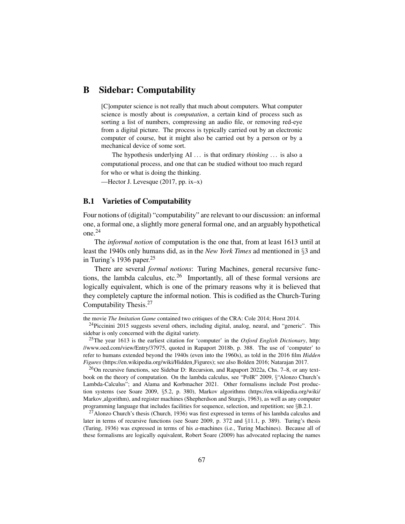# B Sidebar: Computability

[C]omputer science is not really that much about computers. What computer science is mostly about is *computation*, a certain kind of process such as sorting a list of numbers, compressing an audio file, or removing red-eye from a digital picture. The process is typically carried out by an electronic computer of course, but it might also be carried out by a person or by a mechanical device of some sort.

The hypothesis underlying AI ... is that ordinary *thinking* ... is also a computational process, and one that can be studied without too much regard for who or what is doing the thinking.

—Hector J. Levesque (2017, pp. ix–x)

#### B.1 Varieties of Computability

Four notions of (digital) "computability" are relevant to our discussion: an informal one, a formal one, a slightly more general formal one, and an arguably hypothetical one.<sup>24</sup>

The *informal notion* of computation is the one that, from at least 1613 until at least the 1940s only humans did, as in the *New York Times* ad mentioned in §3 and in Turing's 1936 paper. $25$ 

There are several *formal notions*: Turing Machines, general recursive functions, the lambda calculus, etc.<sup>26</sup> Importantly, all of these formal versions are logically equivalent, which is one of the primary reasons why it is believed that they completely capture the informal notion. This is codified as the Church-Turing Computability Thesis.<sup>27</sup>

<sup>26</sup>On recursive functions, see Sidebar D: Recursion, and Rapaport 2022a, Chs. 7–8, or any textbook on the theory of computation. On the lambda calculus, see "PolR" 2009, §"Alonzo Church's Lambda-Calculus"; and Alama and Korbmacher 2021. Other formalisms include Post production systems (see Soare 2009, §5.2, p. 380), Markov algorithms (https://en.wikipedia.org/wiki/ Markov algorithm), and register machines (Shepherdson and Sturgis, 1963), as well as any computer programming language that includes facilities for sequence, selection, and repetition; see §B.2.1.

 $^{27}$ Alonzo Church's thesis (Church, 1936) was first expressed in terms of his lambda calculus and later in terms of recursive functions (see Soare 2009, p. 372 and §11.1, p. 389). Turing's thesis (Turing, 1936) was expressed in terms of his *a*-machines (i.e., Turing Machines). Because all of these formalisms are logically equivalent, Robert Soare (2009) has advocated replacing the names

the movie *The Imitation Game* contained two critiques of the CRA: Cole 2014; Horst 2014.

<sup>&</sup>lt;sup>24</sup>Piccinini 2015 suggests several others, including digital, analog, neural, and "generic". This sidebar is only concerned with the digital variety.

<sup>25</sup>The year 1613 is the earliest citation for 'computer' in the *Oxford English Dictionary*, http: //www.oed.com/view/Entry/37975, quoted in Rapaport 2018b, p. 388. The use of 'computer' to refer to humans extended beyond the 1940s (even into the 1960s), as told in the 2016 film *Hidden Figures* (https://en.wikipedia.org/wiki/Hidden Figures); see also Bolden 2016; Natarajan 2017.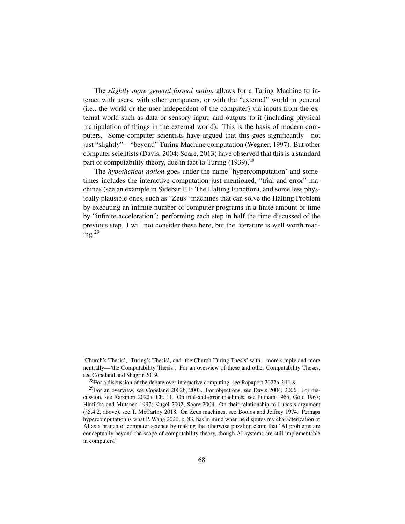The *slightly more general formal notion* allows for a Turing Machine to interact with users, with other computers, or with the "external" world in general (i.e., the world or the user independent of the computer) via inputs from the external world such as data or sensory input, and outputs to it (including physical manipulation of things in the external world). This is the basis of modern computers. Some computer scientists have argued that this goes significantly—not just "slightly"—"beyond" Turing Machine computation (Wegner, 1997). But other computer scientists (Davis, 2004; Soare, 2013) have observed that this is a standard part of computability theory, due in fact to Turing  $(1939)$ <sup>28</sup>

The *hypothetical notion* goes under the name 'hypercomputation' and sometimes includes the interactive computation just mentioned, "trial-and-error" machines (see an example in Sidebar F.1: The Halting Function), and some less physically plausible ones, such as "Zeus" machines that can solve the Halting Problem by executing an infinite number of computer programs in a finite amount of time by "infinite acceleration": performing each step in half the time discussed of the previous step. I will not consider these here, but the literature is well worth reading. $^{29}$ 

<sup>&#</sup>x27;Church's Thesis', 'Turing's Thesis', and 'the Church-Turing Thesis' with—more simply and more neutrally—'the Computability Thesis'. For an overview of these and other Computability Theses, see Copeland and Shagrir 2019.

<sup>&</sup>lt;sup>28</sup>For a discussion of the debate over interactive computing, see Rapaport 2022a,  $\S 11.8$ .

<sup>&</sup>lt;sup>29</sup>For an overview, see Copeland 2002b, 2003. For objections, see Davis 2004, 2006. For discussion, see Rapaport 2022a, Ch. 11. On trial-and-error machines, see Putnam 1965; Gold 1967; Hintikka and Mutanen 1997; Kugel 2002; Soare 2009. On their relationship to Lucas's argument (§5.4.2, above), see T. McCarthy 2018. On Zeus machines, see Boolos and Jeffrey 1974. Perhaps hypercomputation is what P. Wang 2020, p. 83, has in mind when he disputes my characterization of AI as a branch of computer science by making the otherwise puzzling claim that "AI problems are conceptually beyond the scope of computability theory, though AI systems are still implementable in computers."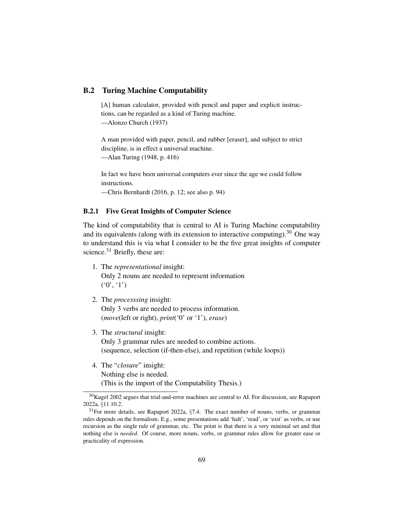## B.2 Turing Machine Computability

[A] human calculator, provided with pencil and paper and explicit instructions, can be regarded as a kind of Turing machine. —Alonzo Church (1937)

A man provided with paper, pencil, and rubber [eraser], and subject to strict discipline, is in effect a universal machine.

—Alan Turing (1948, p. 416)

In fact we have been universal computers ever since the age we could follow instructions.

—Chris Bernhardt (2016, p. 12; see also p. 94)

## B.2.1 Five Great Insights of Computer Science

The kind of computability that is central to AI is Turing Machine computability and its equivalents (along with its extension to interactive computing).<sup>30</sup> One way to understand this is via what I consider to be the five great insights of computer science. $31$  Briefly, these are:

- 1. The *representational* insight: Only 2 nouns are needed to represent information  $(0', 1')$
- 2. The *processsing* insight: Only 3 verbs are needed to process information. (*move*(left or right), *print*('0' or '1'), *erase*)
- 3. The *structural* insight: Only 3 grammar rules are needed to combine actions. (sequence, selection (if-then-else), and repetition (while loops))
- 4. The "*closure*" insight: Nothing else is needed. (This is the import of the Computability Thesis.)

<sup>&</sup>lt;sup>30</sup>Kugel 2002 argues that trial-and-error machines are central to AI. For discussion, see Rapaport 2022a, §11.10.2.

<sup>31</sup>For more details, see Rapaport 2022a, §7.4. The exact number of nouns, verbs, or grammar rules depends on the formalism. E.g., some presentations add 'halt', 'read', or 'exit' as verbs, or use recursion as the single rule of grammar, etc. The point is that there is a very minimal set and that nothing else is *needed*. Of course, more nouns, verbs, or grammar rules allow for greater ease or practicality of expression.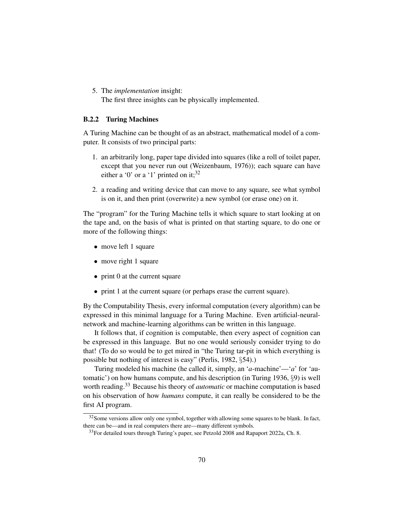5. The *implementation* insight: The first three insights can be physically implemented.

#### B.2.2 Turing Machines

A Turing Machine can be thought of as an abstract, mathematical model of a computer. It consists of two principal parts:

- 1. an arbitrarily long, paper tape divided into squares (like a roll of toilet paper, except that you never run out (Weizenbaum, 1976)); each square can have either a '0' or a '1' printed on it;  $32$
- 2. a reading and writing device that can move to any square, see what symbol is on it, and then print (overwrite) a new symbol (or erase one) on it.

The "program" for the Turing Machine tells it which square to start looking at on the tape and, on the basis of what is printed on that starting square, to do one or more of the following things:

- move left 1 square
- move right 1 square
- print 0 at the current square
- print 1 at the current square (or perhaps erase the current square).

By the Computability Thesis, every informal computation (every algorithm) can be expressed in this minimal language for a Turing Machine. Even artificial-neuralnetwork and machine-learning algorithms can be written in this language.

It follows that, if cognition is computable, then every aspect of cognition can be expressed in this language. But no one would seriously consider trying to do that! (To do so would be to get mired in "the Turing tar-pit in which everything is possible but nothing of interest is easy" (Perlis, 1982, §54).)

Turing modeled his machine (he called it, simply, an '*a*-machine'—'*a*' for 'automatic') on how humans compute, and his description (in Turing 1936, §9) is well worth reading.<sup>33</sup> Because his theory of *automatic* or machine computation is based on his observation of how *humans* compute, it can really be considered to be the first AI program.

<sup>&</sup>lt;sup>32</sup> Some versions allow only one symbol, together with allowing some squares to be blank. In fact, there can be—and in real computers there are—many different symbols.

<sup>&</sup>lt;sup>33</sup>For detailed tours through Turing's paper, see Petzold 2008 and Rapaport 2022a, Ch. 8.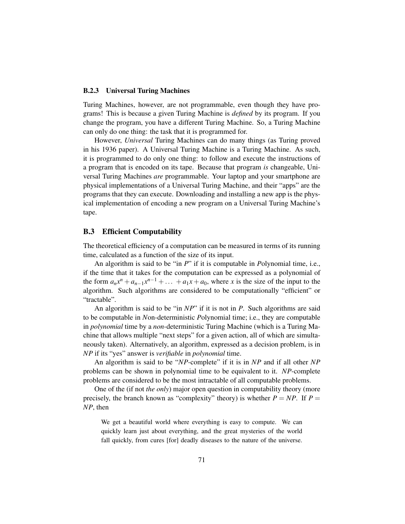#### B.2.3 Universal Turing Machines

Turing Machines, however, are not programmable, even though they have programs! This is because a given Turing Machine is *defined* by its program. If you change the program, you have a different Turing Machine. So, a Turing Machine can only do one thing: the task that it is programmed for.

However, *Universal* Turing Machines can do many things (as Turing proved in his 1936 paper). A Universal Turing Machine is a Turing Machine. As such, it is programmed to do only one thing: to follow and execute the instructions of a program that is encoded on its tape. Because that program *is* changeable, Universal Turing Machines *are* programmable. Your laptop and your smartphone are physical implementations of a Universal Turing Machine, and their "apps" are the programs that they can execute. Downloading and installing a new app is the physical implementation of encoding a new program on a Universal Turing Machine's tape.

#### B.3 Efficient Computability

The theoretical efficiency of a computation can be measured in terms of its running time, calculated as a function of the size of its input.

An algorithm is said to be "in *P*" if it is computable in *P*olynomial time, i.e., if the time that it takes for the computation can be expressed as a polynomial of the form  $a_n x^n + a_{n-1} x^{n-1} + \ldots + a_1 x + a_0$ , where *x* is the size of the input to the algorithm. Such algorithms are considered to be computationally "efficient" or "tractable".

An algorithm is said to be "in *NP*" if it is not in *P*. Such algorithms are said to be computable in *N*on-deterministic *P*olynomial time; i.e., they are computable in *polynomial* time by a *non*-deterministic Turing Machine (which is a Turing Machine that allows multiple "next steps" for a given action, all of which are simultaneously taken). Alternatively, an algorithm, expressed as a decision problem, is in *NP* if its "yes" answer is *verifiable* in *polynomial* time.

An algorithm is said to be "*NP*-complete" if it is in *NP* and if all other *NP* problems can be shown in polynomial time to be equivalent to it. *NP*-complete problems are considered to be the most intractable of all computable problems.

One of the (if not *the only*) major open question in computability theory (more precisely, the branch known as "complexity" theory) is whether  $P = NP$ . If  $P =$ *NP*, then

We get a beautiful world where everything is easy to compute. We can quickly learn just about everything, and the great mysteries of the world fall quickly, from cures [for] deadly diseases to the nature of the universe.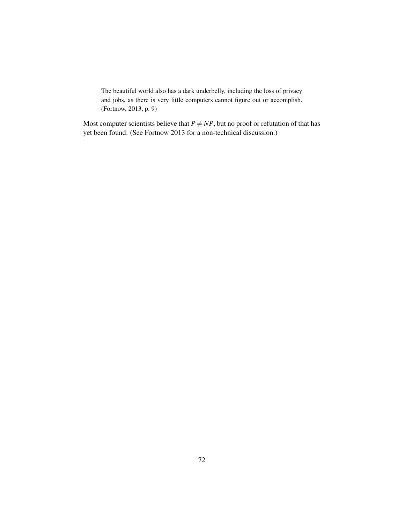The beautiful world also has a dark underbelly, including the loss of privacy and jobs, as there is very little computers cannot figure out or accomplish. (Fortnow, 2013, p. 9)

Most computer scientists believe that  $P \neq NP$ , but no proof or refutation of that has yet been found. (See Fortnow 2013 for a non-technical discussion.)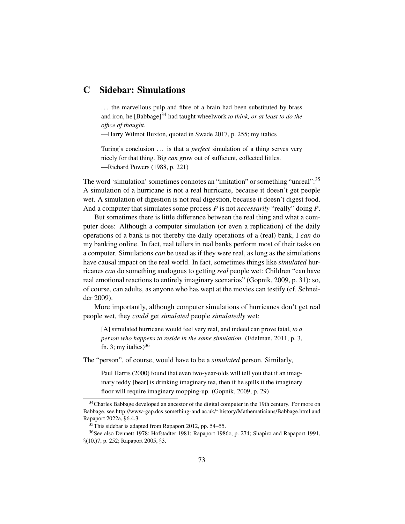# C Sidebar: Simulations

... the marvellous pulp and fibre of a brain had been substituted by brass and iron, he [Babbage]<sup>34</sup> had taught wheelwork *to think, or at least to do the office of thought*.

—Harry Wilmot Buxton, quoted in Swade 2017, p. 255; my italics

Turing's conclusion ... is that a *perfect* simulation of a thing serves very nicely for that thing. Big *can* grow out of sufficient, collected littles. —Richard Powers (1988, p. 221)

The word 'simulation' sometimes connotes an "imitation" or something "unreal":<sup>35</sup> A simulation of a hurricane is not a real hurricane, because it doesn't get people wet. A simulation of digestion is not real digestion, because it doesn't digest food. And a computer that simulates some process *P* is not *necessarily* "really" doing *P*.

But sometimes there is little difference between the real thing and what a computer does: Although a computer simulation (or even a replication) of the daily operations of a bank is not thereby the daily operations of a (real) bank, I *can* do my banking online. In fact, real tellers in real banks perform most of their tasks on a computer. Simulations *can* be used as if they were real, as long as the simulations have causal impact on the real world. In fact, sometimes things like *simulated* hurricanes *can* do something analogous to getting *real* people wet: Children "can have real emotional reactions to entirely imaginary scenarios" (Gopnik, 2009, p. 31); so, of course, can adults, as anyone who has wept at the movies can testify (cf. Schneider 2009).

More importantly, although computer simulations of hurricanes don't get real people wet, they *could* get *simulated* people *simulatedly* wet:

[A] simulated hurricane would feel very real, and indeed can prove fatal, *to a person who happens to reside in the same simulation*. (Edelman, 2011, p. 3, fn. 3; my italics) $36$ 

The "person", of course, would have to be a *simulated* person. Similarly,

Paul Harris (2000) found that even two-year-olds will tell you that if an imaginary teddy [bear] is drinking imaginary tea, then if he spills it the imaginary floor will require imaginary mopping-up. (Gopnik, 2009, p. 29)

<sup>&</sup>lt;sup>34</sup>Charles Babbage developed an ancestor of the digital computer in the 19th century. For more on Babbage, see http://www-gap.dcs.something-and.ac.uk/∼history/Mathematicians/Babbage.html and Rapaport 2022a, §6.4.3.

 $35$ This sidebar is adapted from Rapaport 2012, pp. 54–55.

<sup>36</sup>See also Dennett 1978; Hofstadter 1981; Rapaport 1986c, p. 274; Shapiro and Rapaport 1991, §(10.)7, p. 252; Rapaport 2005, §3.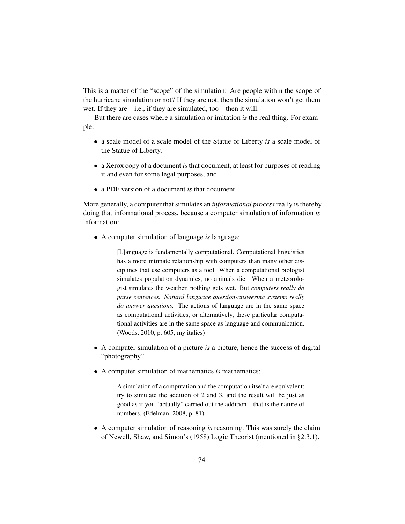This is a matter of the "scope" of the simulation: Are people within the scope of the hurricane simulation or not? If they are not, then the simulation won't get them wet. If they are—i.e., if they are simulated, too—then it will.

But there are cases where a simulation or imitation *is* the real thing. For example:

- a scale model of a scale model of the Statue of Liberty *is* a scale model of the Statue of Liberty,
- a Xerox copy of a document *is* that document, at least for purposes of reading it and even for some legal purposes, and
- a PDF version of a document *is* that document.

More generally, a computer that simulates an *informational process*really is thereby doing that informational process, because a computer simulation of information *is* information:

• A computer simulation of language *is* language:

[L]anguage is fundamentally computational. Computational linguistics has a more intimate relationship with computers than many other disciplines that use computers as a tool. When a computational biologist simulates population dynamics, no animals die. When a meteorologist simulates the weather, nothing gets wet. But *computers really do parse sentences. Natural language question-answering systems really do answer questions.* The actions of language are in the same space as computational activities, or alternatively, these particular computational activities are in the same space as language and communication. (Woods, 2010, p. 605, my italics)

- A computer simulation of a picture *is* a picture, hence the success of digital "photography".
- A computer simulation of mathematics *is* mathematics:

A simulation of a computation and the computation itself are equivalent: try to simulate the addition of 2 and 3, and the result will be just as good as if you "actually" carried out the addition—that is the nature of numbers. (Edelman, 2008, p. 81)

• A computer simulation of reasoning *is* reasoning. This was surely the claim of Newell, Shaw, and Simon's (1958) Logic Theorist (mentioned in §2.3.1).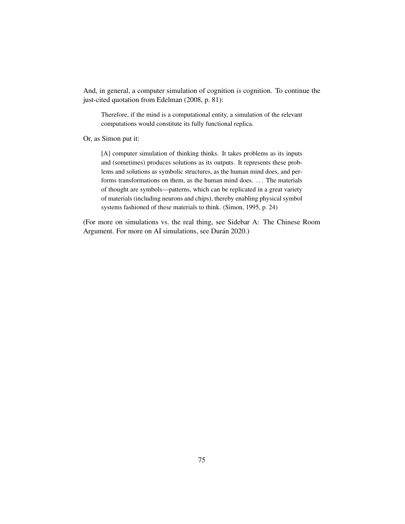And, in general, a computer simulation of cognition *is* cognition. To continue the just-cited quotation from Edelman (2008, p. 81):

Therefore, if the mind is a computational entity, a simulation of the relevant computations would constitute its fully functional replica.

Or, as Simon put it:

[A] computer simulation of thinking thinks. It takes problems as its inputs and (sometimes) produces solutions as its outputs. It represents these problems and solutions as symbolic structures, as the human mind does, and performs transformations on them, as the human mind does. ... The materials of thought are symbols—patterns, which can be replicated in a great variety of materials (including neurons and chips), thereby enabling physical symbol systems fashioned of these materials to think. (Simon, 1995, p. 24)

(For more on simulations vs. the real thing, see Sidebar A: The Chinese Room Argument. For more on AI simulations, see Durán 2020.)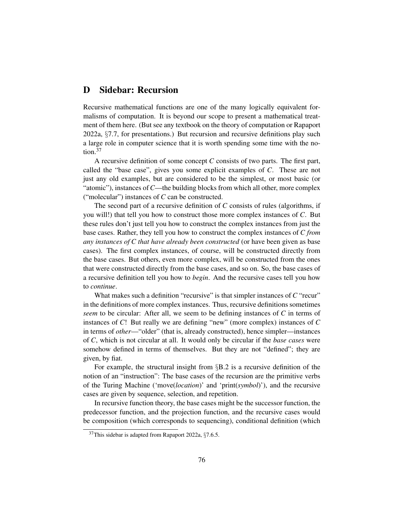# D Sidebar: Recursion

Recursive mathematical functions are one of the many logically equivalent formalisms of computation. It is beyond our scope to present a mathematical treatment of them here. (But see any textbook on the theory of computation or Rapaport 2022a, §7.7, for presentations.) But recursion and recursive definitions play such a large role in computer science that it is worth spending some time with the notion.<sup>37</sup>

A recursive definition of some concept *C* consists of two parts. The first part, called the "base case", gives you some explicit examples of *C*. These are not just any old examples, but are considered to be the simplest, or most basic (or "atomic"), instances of*C*—the building blocks from which all other, more complex ("molecular") instances of *C* can be constructed.

The second part of a recursive definition of *C* consists of rules (algorithms, if you will!) that tell you how to construct those more complex instances of *C*. But these rules don't just tell you how to construct the complex instances from just the base cases. Rather, they tell you how to construct the complex instances of *C from any instances of C that have already been constructed* (or have been given as base cases). The first complex instances, of course, will be constructed directly from the base cases. But others, even more complex, will be constructed from the ones that were constructed directly from the base cases, and so on. So, the base cases of a recursive definition tell you how to *begin*. And the recursive cases tell you how to *continue*.

What makes such a definition "recursive" is that simpler instances of C "recur" in the definitions of more complex instances. Thus, recursive definitions sometimes *seem* to be circular: After all, we seem to be defining instances of *C* in terms of instances of *C*! But really we are defining "new" (more complex) instances of *C* in terms of *other*—"older" (that is, already constructed), hence simpler—instances of *C*, which is not circular at all. It would only be circular if the *base cases* were somehow defined in terms of themselves. But they are not "defined"; they are given, by fiat.

For example, the structural insight from  $\S$ B.2 is a recursive definition of the notion of an "instruction": The base cases of the recursion are the primitive verbs of the Turing Machine ('move(*location*)' and 'print(*symbol*)'), and the recursive cases are given by sequence, selection, and repetition.

In recursive function theory, the base cases might be the successor function, the predecessor function, and the projection function, and the recursive cases would be composition (which corresponds to sequencing), conditional definition (which

 $37$ This sidebar is adapted from Rapaport 2022a, §7.6.5.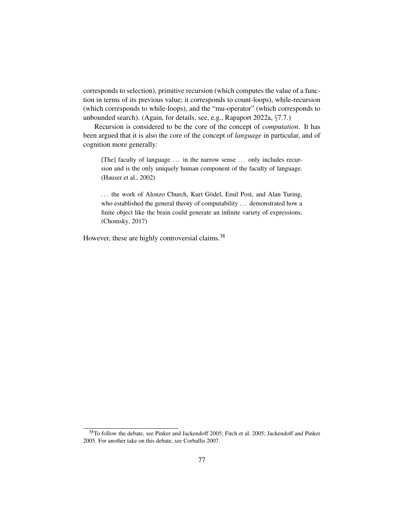corresponds to selection), primitive recursion (which computes the value of a function in terms of its previous value; it corresponds to count-loops), while-recursion (which corresponds to while-loops), and the "mu-operator" (which corresponds to unbounded search). (Again, for details, see, e.g., Rapaport 2022a, §7.7.)

Recursion is considered to be the core of the concept of *computation*. It has been argued that it is also the core of the concept of *language* in particular, and of cognition more generally:

[The] faculty of language ... in the narrow sense ... only includes recursion and is the only uniquely human component of the faculty of language. (Hauser et al., 2002)

... the work of Alonzo Church, Kurt Gödel, Emil Post, and Alan Turing, who established the general theory of computability ... demonstrated how a finite object like the brain could generate an infinite variety of expressions. (Chomsky, 2017)

However, these are highly controversial claims.<sup>38</sup>

<sup>38</sup>To follow the debate, see Pinker and Jackendoff 2005; Fitch et al. 2005; Jackendoff and Pinker 2005. For another take on this debate, see Corballis 2007.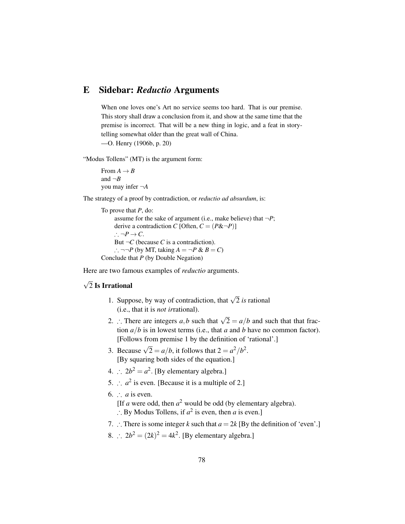## E Sidebar: *Reductio* Arguments

When one loves one's Art no service seems too hard. That is our premise. This story shall draw a conclusion from it, and show at the same time that the premise is incorrect. That will be a new thing in logic, and a feat in storytelling somewhat older than the great wall of China. —O. Henry (1906b, p. 20)

"Modus Tollens" (MT) is the argument form:

From  $A \rightarrow B$ and  $\neg B$ you may infer ¬*A*

The strategy of a proof by contradiction, or *reductio ad absurdum*, is:

To prove that *P*, do: assume for the sake of argument (i.e., make believe) that  $\neg P$ ; derive a contradiction *C* [Often,  $C = (P\&\neg P)$ ]  $\cdot$  ¬*P* → *C*. But  $\neg C$  (because *C* is a contradiction). ∴ ¬¬*P* (by MT, taking  $A = \neg P \& B = C$ ) Conclude that *P* (by Double Negation)

Here are two famous examples of *reductio* arguments.

#### √ 2 Is Irrational

- 1. Suppose, by way of contradiction, that  $\sqrt{2}$  *is* rational (i.e., that it is *not ir*rational).
- 2. ∴ There are integers *a*,*b* such that  $\sqrt{2} = a/b$  and such that that fraction *a*/*b* is in lowest terms (i.e., that *a* and *b* have no common factor). [Follows from premise 1 by the definition of 'rational'.]
- 3. Because  $\sqrt{2} = a/b$ , it follows that  $2 = a^2/b^2$ . [By squaring both sides of the equation.]
- 4.  $\therefore$   $2b^2 = a^2$ . [By elementary algebra.]
- 5.  $\therefore$   $a^2$  is even. [Because it is a multiple of 2.]
- 6.  $\cdot$  *a* is even.
	- [If  $a$  were odd, then  $a^2$  would be odd (by elementary algebra).
	- ∴ By Modus Tollens, if  $a^2$  is even, then *a* is even.]
- 7. ∴ There is some integer *k* such that  $a = 2k$  [By the definition of 'even'.]
- 8. ∴  $2b^2 = (2k)^2 = 4k^2$ . [By elementary algebra.]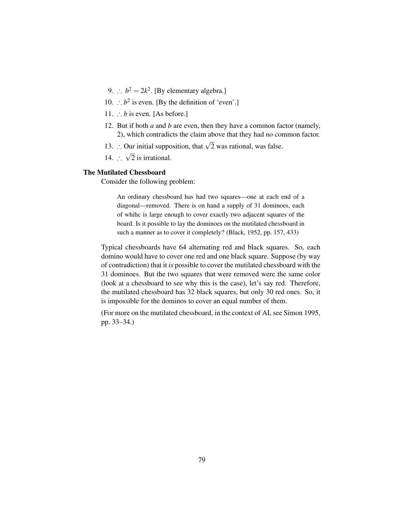- 9.  $\therefore$   $b^2 = 2k^2$ . [By elementary algebra.]
- 10. ∴  $b^2$  is even. [By the definition of 'even'.]
- 11. ∴ *b* is even. [As before.]
- 12. But if both *a* and *b* are even, then they have a common factor (namely, 2), which contradicts the claim above that they had *no* common factor.
- 13. ∴ Our initial supposition, that  $\sqrt{2}$  was rational, was false.
- 14. ∴ √ 2 is irrational.

### The Mutilated Chessboard

Consider the following problem:

An ordinary chessboard has had two squares—one at each end of a diagonal—removed. There is on hand a supply of 31 dominoes, each of whihc is large enough to cover exactly two adjacent squares of the board. Is it possible to lay the dominoes on the mutilated chessboard in such a manner as to cover it completely? (Black, 1952, pp. 157, 433)

Typical chessboards have 64 alternating red and black squares. So, each domino would have to cover one red and one black square. Suppose (by way of contradiction) that it *is* possible to cover the mutilated chessboard with the 31 dominoes. But the two squares that were removed were the same color (look at a chessboard to see why this is the case), let's say red. Therefore, the mutilated chessboard has 32 black squares, but only 30 red ones. So, it is impossible for the dominos to cover an equal number of them.

(For more on the mutilated chessboard, in the context of AI, see Simon 1995, pp. 33–34.)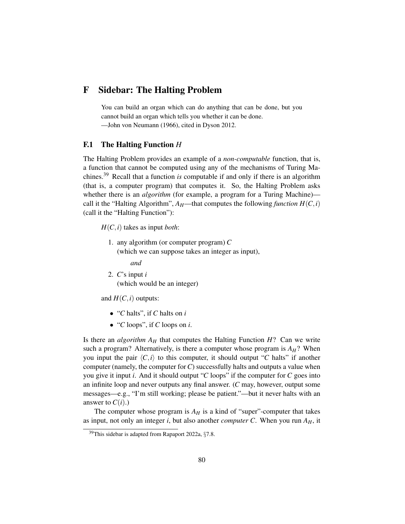## F Sidebar: The Halting Problem

You can build an organ which can do anything that can be done, but you cannot build an organ which tells you whether it can be done. —John von Neumann (1966), cited in Dyson 2012.

#### F.1 The Halting Function *H*

The Halting Problem provides an example of a *non-computable* function, that is, a function that cannot be computed using any of the mechanisms of Turing Machines.<sup>39</sup> Recall that a function *is* computable if and only if there is an algorithm (that is, a computer program) that computes it. So, the Halting Problem asks whether there is an *algorithm* (for example, a program for a Turing Machine) call it the "Halting Algorithm",  $A_H$ —that computes the following *function*  $H(C, i)$ (call it the "Halting Function"):

*H*(*C*,*i*) takes as input *both*:

1. any algorithm (or computer program) *C* (which we can suppose takes an integer as input),

*and*

2. *C*'s input *i* (which would be an integer)

and  $H(C, i)$  outputs:

- "*C* halts", if *C* halts on *i*
- "*C* loops", if *C* loops on *i*.

Is there an *algorithm*  $A_H$  that computes the Halting Function  $H$ ? Can we write such a program? Alternatively, is there a computer whose program is  $A_H$ ? When you input the pair  $\langle C, i \rangle$  to this computer, it should output "*C* halts" if another computer (namely, the computer for*C*) successfully halts and outputs a value when you give it input *i*. And it should output "*C* loops" if the computer for *C* goes into an infinite loop and never outputs any final answer. (*C* may, however, output some messages—e.g., "I'm still working; please be patient."—but it never halts with an answer to  $C(i)$ .)

The computer whose program is  $A_H$  is a kind of "super"-computer that takes as input, not only an integer *i*, but also another *computer C*. When you run  $A_H$ , it

<sup>39</sup>This sidebar is adapted from Rapaport 2022a, §7.8.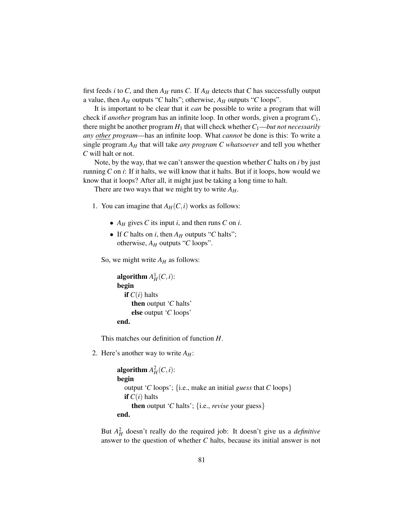first feeds *i* to *C*, and then  $A_H$  runs *C*. If  $A_H$  detects that *C* has successfully output a value, then  $A_H$  outputs "*C* halts"; otherwise,  $A_H$  outputs "*C* loops".

It is important to be clear that it *can* be possible to write a program that will check if *another* program has an infinite loop. In other words, given a program *C*1, there might be another program  $H_1$  that will check whether  $C_1$ —*but not necessarily any other program*—has an infinite loop. What *cannot* be done is this: To write a single program *A<sup>H</sup>* that will take *any program C whatsoever* and tell you whether *C* will halt or not.

Note, by the way, that we can't answer the question whether *C* halts on *i* by just running *C* on *i*: If it halts, we will know that it halts. But if it loops, how would we know that it loops? After all, it might just be taking a long time to halt.

There are two ways that we might try to write  $A_H$ .

- 1. You can imagine that  $A_H(C, i)$  works as follows:
	- *A<sup>H</sup>* gives *C* its input *i*, and then runs *C* on *i*.
	- If *C* halts on *i*, then  $A_H$  outputs "*C* halts"; otherwise, *A<sup>H</sup>* outputs "*C* loops".

So, we might write  $A_H$  as follows:

```
algorithm A_H^1(C, i):
begin
  if C(i) halts
     then output 'C halts'
     else output 'C loops'
end.
```
This matches our definition of function *H*.

2. Here's another way to write  $A_H$ :

```
algorithm A_H^2(C, i):
begin
  output 'C loops'; {i.e., make an initial guess that C loops}
  if C(i) halts
     then output 'C halts'; {i.e., revise your guess}
end.
```
But  $A_H^2$  doesn't really do the required job: It doesn't give us a *definitive* answer to the question of whether *C* halts, because its initial answer is not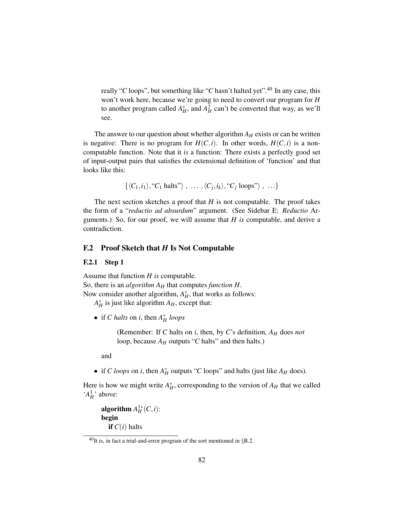really "*C* loops", but something like "*C* hasn't halted yet".<sup>40</sup> In any case, this won't work here, because we're going to need to convert our program for *H* to another program called  $A_H^*$ , and  $A_H^2$  can't be converted that way, as we'll see.

The answer to our question about whether algorithm  $A_H$  exists or can be written is negative: There is no program for  $H(C, i)$ . In other words,  $H(C, i)$  is a noncomputable function. Note that it *is* a function: There exists a perfectly good set of input-output pairs that satisfies the extensional definition of 'function' and that looks like this:

$$
\{ \langle C_1, i_1 \rangle, "C_1 \text{ halts"} \rangle , \ldots , \langle C_j, i_k \rangle, "C_j \text{ loops"} \rangle , \ldots \}
$$

The next section sketches a proof that  $H$  is not computable. The proof takes the form of a "*reductio ad absurdum*" argument. (See Sidebar E: *Reductio* Arguments.) So, for our proof, we will assume that *H is* computable, and derive a contradiction.

#### F.2 Proof Sketch that *H* Is Not Computable

#### F.2.1 Step 1

Assume that function *H is* computable. So, there is an *algorithm A<sup>H</sup>* that computes *function H*. Now consider another algorithm,  $A_H^*$ , that works as follows:

 $A_H^*$  is just like algorithm  $A_H$ , except that:

• if *C halts* on *i*, then  $A_H^*$  *loops* 

(Remember: If *C* halts on *i*, then, by *C*'s definition, *A<sup>H</sup>* does *not* loop, because  $A_H$  outputs "C halts" and then halts.)

and

• if *C loops* on *i*, then  $A_H^*$  outputs "*C* loops" and halts (just like  $A_H$  does).

Here is how we might write  $A_H^*$ , corresponding to the version of  $A_H$  that we called ' $A_H^1$ ' above:

algorithm  $A_H^{1*}(C,i)$ : begin if  $C(i)$  halts

 $^{40}$ It is, in fact a trial-and-error program of the sort mentioned in §B.2.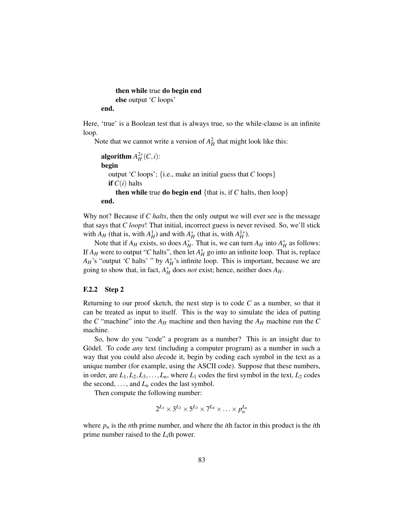# then while true do begin end else output '*C* loops'

end.

Here, 'true' is a Boolean test that is always true, so the while-clause is an infinite loop.

Note that we cannot write a version of  $A_H^2$  that might look like this:

```
algorithm A_H^{2*}(C,i):
begin
  output 'C loops'; {i.e., make an initial guess that C loops}
  if C(i) halts
     then while true do begin end {that is, if C halts, then loop}
end.
```
Why not? Because if *C halts*, then the only output we will ever see is the message that says that *C loops*! That initial, incorrect guess is never revised. So, we'll stick with  $A_H$  (that is, with  $A_H^1$ ) and with  $A_H^*$  (that is, with  $A_H^{1*}$ ).

Note that if  $A_H$  exists, so does  $A_H^*$ . That is, we can turn  $A_H$  into  $A_H^*$  as follows: If  $A_H$  were to output "*C* halts", then let  $A_H^*$  go into an infinite loop. That is, replace  $A_H$ 's "output '*C* halts' " by  $A_H^*$ 's infinite loop. This is important, because we are going to show that, in fact,  $A_H^*$  does *not* exist; hence, neither does  $A_H$ .

#### F.2.2 Step 2

Returning to our proof sketch, the next step is to code  $C$  as a number, so that it can be treated as input to itself. This is the way to simulate the idea of putting the *C* "machine" into the  $A_H$  machine and then having the  $A_H$  machine run the *C* machine.

So, how do you "code" a program as a number? This is an insight due to Gödel. To code *any* text (including a computer program) as a number in such a way that you could also *de*code it, begin by coding each symbol in the text as a unique number (for example, using the ASCII code). Suppose that these numbers, in order, are  $L_1, L_2, L_3, \ldots, L_n$ , where  $L_1$  codes the first symbol in the text,  $L_2$  codes the second,  $\dots$ , and  $L_n$  codes the last symbol.

Then compute the following number:

$$
2^{L_1} \times 3^{L_2} \times 5^{L_3} \times 7^{L_4} \times \ldots \times p_n^{L_n}
$$

where  $p_n$  is the *n*th prime number, and where the *i*th factor in this product is the *i*th prime number raised to the  $L_i$ <sup>th</sup> power.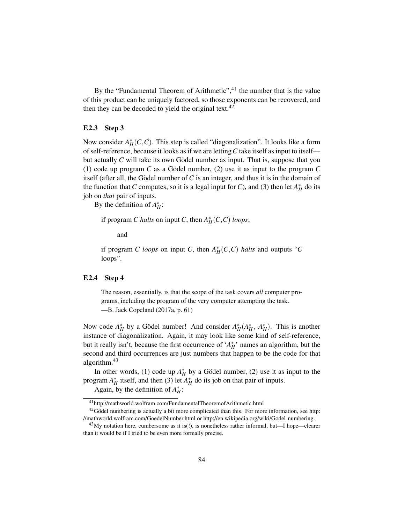By the "Fundamental Theorem of Arithmetic",<sup>41</sup> the number that is the value of this product can be uniquely factored, so those exponents can be recovered, and then they can be decoded to yield the original text. $42$ 

### F.2.3 Step 3

Now consider  $A_H^*(C, C)$ . This step is called "diagonalization". It looks like a form of self-reference, because it looks as if we are letting*C* take itself as input to itself but actually  $C$  will take its own Gödel number as input. That is, suppose that you (1) code up program C as a Godel number, (2) use it as input to the program C itself (after all, the Gödel number of  $C$  is an integer, and thus it is in the domain of the function that *C* computes, so it is a legal input for *C*), and (3) then let  $A_H^*$  do its job on *that* pair of inputs.

By the definition of  $A_H^*$ :

if program *C halts* on input *C*, then  $A_H^*(C, C)$  *loops*;

and

if program *C loops* on input *C*, then  $A_H^*(C, C)$  *halts* and outputs "*C* loops".

#### F.2.4 Step 4

The reason, essentially, is that the scope of the task covers *all* computer programs, including the program of the very computer attempting the task. —B. Jack Copeland (2017a, p. 61)

Now code  $A_H^*$  by a Gödel number! And consider  $A_H^*(A_H^*, A_H^*)$ . This is another instance of diagonalization. Again, it may look like some kind of self-reference, but it really isn't, because the first occurrence of ' $A_H^*$ ' names an algorithm, but the second and third occurrences are just numbers that happen to be the code for that algorithm.<sup>43</sup>

In other words, (1) code up  $A_H^*$  by a Gödel number, (2) use it as input to the program  $A_H^*$  itself, and then (3) let  $A_H^*$  do its job on that pair of inputs.

Again, by the definition of  $A_H^*$ :

<sup>41</sup>http://mathworld.wolfram.com/FundamentalTheoremofArithmetic.html

 $42$ Gödel numbering is actually a bit more complicated than this. For more information, see http: //mathworld.wolfram.com/GoedelNumber.html or http://en.wikipedia.org/wiki/Godel numbering.

 $^{43}$ My notation here, cumbersome as it is(!), is nonetheless rather informal, but—I hope—clearer than it would be if I tried to be even more formally precise.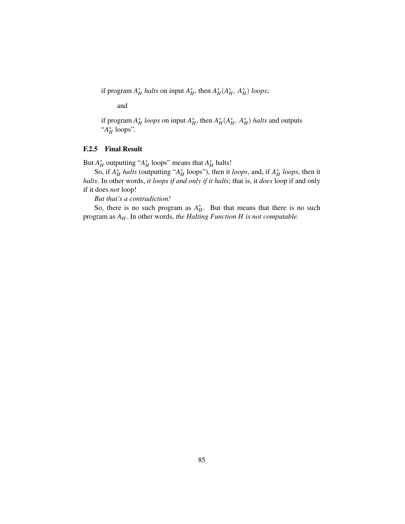if program  $A_H^*$  *halts* on input  $A_H^*$ , then  $A_H^*(A_H^*, A_H^*)$  *loops*;

and

if program  $A_H^*$  *loops* on input  $A_H^*$ , then  $A_H^*(A_H^*, A_H^*)$  *halts* and outputs "*A* ∗ *H* loops".

### F.2.5 Final Result

But  $A_H^*$  outputting " $A_H^*$  loops" means that  $A_H^*$  halts!

So, if  $A_H^*$  *halts* (outputting " $A_H^*$  loops"), then it *loops*, and, if  $A_H^*$  *loops*, then it *halts*. In other words, *it loops if and only if it halts*; that is, it *does* loop if and only if it does *not* loop!

*But that's a contradiction!*

So, there is no such program as  $A_H^*$ . But that means that there is no such program as *AH*. In other words, *the Halting Function H is not computable.*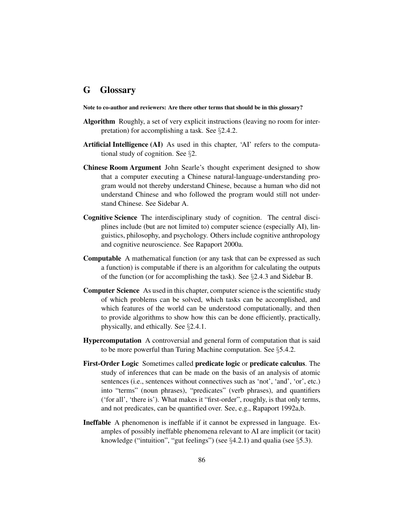## G Glossary

Note to co-author and reviewers: Are there other terms that should be in this glossary?

- Algorithm Roughly, a set of very explicit instructions (leaving no room for interpretation) for accomplishing a task. See §2.4.2.
- Artificial Intelligence (AI) As used in this chapter, 'AI' refers to the computational study of cognition. See §2.
- Chinese Room Argument John Searle's thought experiment designed to show that a computer executing a Chinese natural-language-understanding program would not thereby understand Chinese, because a human who did not understand Chinese and who followed the program would still not understand Chinese. See Sidebar A.
- Cognitive Science The interdisciplinary study of cognition. The central disciplines include (but are not limited to) computer science (especially AI), linguistics, philosophy, and psychology. Others include cognitive anthropology and cognitive neuroscience. See Rapaport 2000a.
- Computable A mathematical function (or any task that can be expressed as such a function) is computable if there is an algorithm for calculating the outputs of the function (or for accomplishing the task). See §2.4.3 and Sidebar B.
- Computer Science As used in this chapter, computer science is the scientific study of which problems can be solved, which tasks can be accomplished, and which features of the world can be understood computationally, and then to provide algorithms to show how this can be done efficiently, practically, physically, and ethically. See §2.4.1.
- Hypercomputation A controversial and general form of computation that is said to be more powerful than Turing Machine computation. See §5.4.2.
- First-Order Logic Sometimes called predicate logic or predicate calculus. The study of inferences that can be made on the basis of an analysis of atomic sentences (i.e., sentences without connectives such as 'not', 'and', 'or', etc.) into "terms" (noun phrases), "predicates" (verb phrases), and quantifiers ('for all', 'there is'). What makes it "first-order", roughly, is that only terms, and not predicates, can be quantified over. See, e.g., Rapaport 1992a,b.
- Ineffable A phenomenon is ineffable if it cannot be expressed in language. Examples of possibly ineffable phenomena relevant to AI are implicit (or tacit) knowledge ("intuition", "gut feelings") (see  $\S 4.2.1$ ) and qualia (see  $\S 5.3$ ).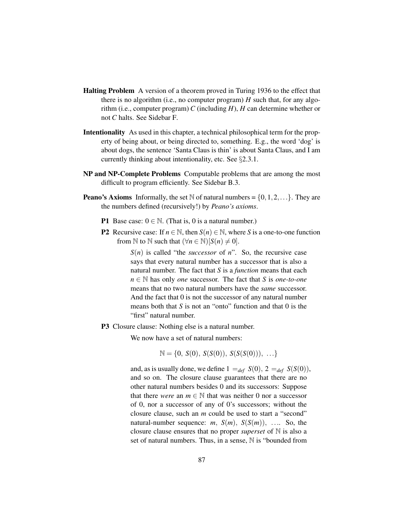- Halting Problem A version of a theorem proved in Turing 1936 to the effect that there is no algorithm (i.e., no computer program)  $H$  such that, for any algorithm (i.e., computer program) *C* (including *H*), *H* can determine whether or not *C* halts. See Sidebar F.
- Intentionality As used in this chapter, a technical philosophical term for the property of being about, or being directed to, something. E.g., the word 'dog' is about dogs, the sentence 'Santa Claus is thin' is about Santa Claus, and I am currently thinking about intentionality, etc. See §2.3.1.
- NP and NP-Complete Problems Computable problems that are among the most difficult to program efficiently. See Sidebar B.3.
- **Peano's Axioms** Informally, the set N of natural numbers =  $\{0, 1, 2, ...\}$ . They are the numbers defined (recursively!) by *Peano's axioms*.
	- **P1** Base case:  $0 \in \mathbb{N}$ . (That is, 0 is a natural number.)
	- **P2** Recursive case: If  $n \in \mathbb{N}$ , then  $S(n) \in \mathbb{N}$ , where *S* is a one-to-one function from N to N such that  $(\forall n \in \mathbb{N})[S(n) \neq 0].$

*S*(*n*) is called "the *successor* of *n*". So, the recursive case says that every natural number has a successor that is also a natural number. The fact that *S* is a *function* means that each *n* ∈ N has only *one* successor. The fact that *S* is *one-to-one* means that no two natural numbers have the *same* successor. And the fact that 0 is not the successor of any natural number means both that *S* is not an "onto" function and that 0 is the "first" natural number.

P3 Closure clause: Nothing else is a natural number.

We now have a set of natural numbers:

$$
\mathbb{N} = \{0, S(0), S(S(0)), S(S(S(0))), \ldots\}
$$

and, as is usually done, we define  $1 =_{def} S(0), 2 =_{def} S(S(0)),$ and so on. The closure clause guarantees that there are no other natural numbers besides 0 and its successors: Suppose that there *were* an  $m \in \mathbb{N}$  that was neither 0 nor a successor of 0, nor a successor of any of 0's successors; without the closure clause, such an *m* could be used to start a "second" natural-number sequence:  $m$ ,  $S(m)$ ,  $S(S(m))$ , .... So, the closure clause ensures that no proper *superset* of N is also a set of natural numbers. Thus, in a sense,  $\mathbb N$  is "bounded from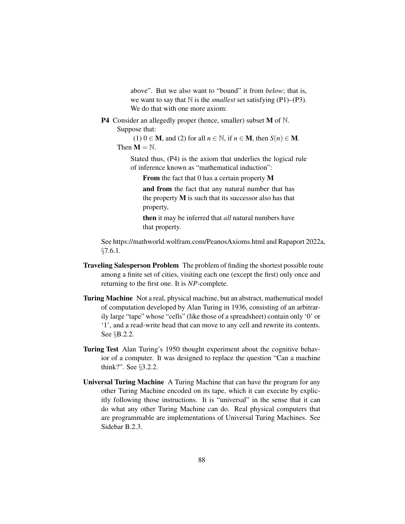above". But we also want to "bound" it from *below*; that is, we want to say that  $\mathbb N$  is the *smallest* set satisfying (P1)–(P3). We do that with one more axiom:

**P4** Consider an allegedly proper (hence, smaller) subset  $M$  of  $N$ . Suppose that:

(1)  $0 \in M$ , and (2) for all  $n \in \mathbb{N}$ , if  $n \in M$ , then  $S(n) \in M$ . Then  $M = N$ .

Stated thus, (P4) is the axiom that underlies the logical rule of inference known as "mathematical induction":

From the fact that 0 has a certain property M

and from the fact that any natural number that has the property  $M$  is such that its successor also has that property,

then it may be inferred that *all* natural numbers have that property.

See https://mathworld.wolfram.com/PeanosAxioms.html and Rapaport 2022a, §7.6.1.

- Traveling Salesperson Problem The problem of finding the shortest possible route among a finite set of cities, visiting each one (except the first) only once and returning to the first one. It is *NP*-complete.
- Turing Machine Not a real, physical machine, but an abstract, mathematical model of computation developed by Alan Turing in 1936, consisting of an arbitrarily large "tape" whose "cells" (like those of a spreadsheet) contain only '0' or '1', and a read-write head that can move to any cell and rewrite its contents. See §B.2.2.
- Turing Test Alan Turing's 1950 thought experiment about the cognitive behavior of a computer. It was designed to replace the question "Can a machine think?". See §3.2.2.
- Universal Turing Machine A Turing Machine that can have the program for any other Turing Machine encoded on its tape, which it can execute by explicitly following those instructions. It is "universal" in the sense that it can do what any other Turing Machine can do. Real physical computers that are programmable are implementations of Universal Turing Machines. See Sidebar B.2.3.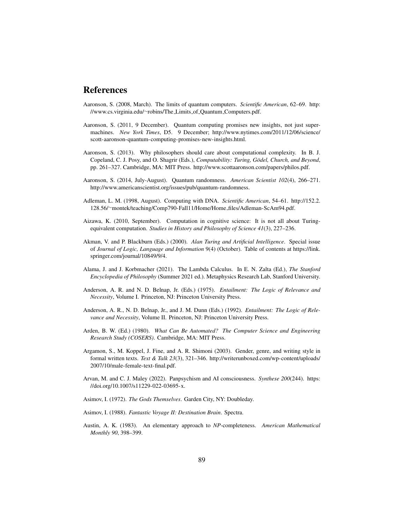## References

- Aaronson, S. (2008, March). The limits of quantum computers. *Scientific American*, 62–69. http: //www.cs.virginia.edu/∼robins/The Limits of Quantum Computers.pdf.
- Aaronson, S. (2011, 9 December). Quantum computing promises new insights, not just supermachines. *New York Times*, D5. 9 December; http://www.nytimes.com/2011/12/06/science/ scott-aaronson-quantum-computing-promises-new-insights.html.
- Aaronson, S. (2013). Why philosophers should care about computational complexity. In B. J. Copeland, C. J. Posy, and O. Shagrir (Eds.), *Computability: Turing, Gödel, Church, and Beyond,* pp. 261–327. Cambridge, MA: MIT Press. http://www.scottaaronson.com/papers/philos.pdf.
- Aaronson, S. (2014, July-August). Quantum randomness. *American Scientist 102*(4), 266–271. http://www.americanscientist.org/issues/pub/quantum-randomness.
- Adleman, L. M. (1998, August). Computing with DNA. *Scientific American*, 54–61. http://152.2. 128.56/∼montek/teaching/Comp790-Fall11/Home/Home files/Adleman-ScAm94.pdf.
- Aizawa, K. (2010, September). Computation in cognitive science: It is not all about Turingequivalent computation. *Studies in History and Philosophy of Science 41*(3), 227–236.
- Akman, V. and P. Blackburn (Eds.) (2000). *Alan Turing and Artificial Intelligence*. Special issue of *Journal of Logic, Language and Information* 9(4) (October). Table of contents at https://link. springer.com/journal/10849/9/4.
- Alama, J. and J. Korbmacher (2021). The Lambda Calculus. In E. N. Zalta (Ed.), *The Stanford Encyclopedia of Philosophy* (Summer 2021 ed.). Metaphysics Research Lab, Stanford University.
- Anderson, A. R. and N. D. Belnap, Jr. (Eds.) (1975). *Entailment: The Logic of Relevance and Necessity*, Volume I. Princeton, NJ: Princeton University Press.
- Anderson, A. R., N. D. Belnap, Jr., and J. M. Dunn (Eds.) (1992). *Entailment: The Logic of Relevance and Necessity*, Volume II. Princeton, NJ: Princeton University Press.
- Arden, B. W. (Ed.) (1980). *What Can Be Automated? The Computer Science and Engineering Research Study (COSERS)*. Cambridge, MA: MIT Press.
- Argamon, S., M. Koppel, J. Fine, and A. R. Shimoni (2003). Gender, genre, and writing style in formal written texts. *Text & Talk 23*(3), 321–346. http://writerunboxed.com/wp-content/uploads/ 2007/10/male-female-text-final.pdf.
- Arvan, M. and C. J. Maley (2022). Panpsychism and AI consciousness. *Synthese 200*(244). https: //doi.org/10.1007/s11229-022-03695-x.
- Asimov, I. (1972). *The Gods Themselves*. Garden City, NY: Doubleday.
- Asimov, I. (1988). *Fantastic Voyage II: Destination Brain*. Spectra.
- Austin, A. K. (1983). An elementary approach to *NP*-completeness. *American Mathematical Monthly 90*, 398–399.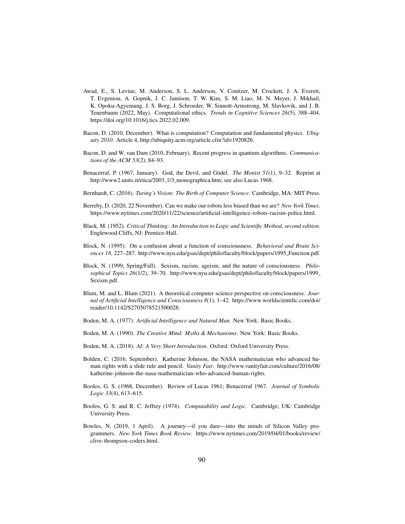- Awad, E., S. Levine, M. Anderson, S. L. Anderson, V. Conitzer, M. Crockett, J. A. Everett, T. Evgeniou, A. Gopnik, J. C. Jamison, T. W. Kim, S. M. Liao, M. N. Meyer, J. Mikhail, K. Opoku-Agyemang, J. S. Borg, J. Schroeder, W. Sinnott-Armstrong, M. Slavkovik, and J. B. Tenenbaum (2022, May). Computational ethics. *Trends in Cognitive Sciences 26*(5), 388–404. https://doi.org/10.1016/j.tics.2022.02.009.
- Bacon, D. (2010, December). What is computation? Computation and fundamental physics. *Ubiquity 2010*. Article 4, http://ubiquity.acm.org/article.cfm?id=1920826.
- Bacon, D. and W. van Dam (2010, February). Recent progress in quantum algorithms. *Communications of the ACM 53*(2), 84–93.
- Benacerraf, P. (1967, January). God, the Devil, and Gödel. *The Monist 51*(1), 9–32. Reprint at http://www2.units.it/etica/2003\_1/3\_monographica.htm; see also Lucas 1968.
- Bernhardt, C. (2016). *Turing's Vision: The Birth of Computer Science*. Cambridge, MA: MIT Press.
- Berreby, D. (2020, 22 November). Can we make our robots less biased than we are? *New York Times*. https://www.nytimes.com/2020/11/22/science/artificial-intelligence-robots-racism-police.html.
- Black, M. (1952). *Critical Thinking: An Introduction to Logic and Scientific Method, second edition*. Englewood Cliffs, NJ: Prentice-Hall.
- Block, N. (1995). On a confusion about a function of consciousness. *Behavioral and Brain Sci*ences 18, 227-287. http://www.nyu.edu/gsas/dept/philo/faculty/block/papers/1995\_Function.pdf.
- Block, N. (1999, Spring/Fall). Sexism, racism, ageism, and the nature of consciousness. *Philosophical Topics 26*(1/2), 39–70. http://www.nyu.edu/gsas/dept/philo/faculty/block/papers/1999 Sexism.pdf.
- Blum, M. and L. Blum (2021). A theoretical computer science perspective on consciousness. *Journal of Artificial Intelligence and Consciousness 8*(1), 1–42. https://www.worldscientific.com/doi/ reader/10.1142/S2705078521500028.
- Boden, M. A. (1977). *Artificial Intelligence and Natural Man*. New York: Basic Books.
- Boden, M. A. (1990). *The Creative Mind: Myths & Mechanisms*. New York: Basic Books.
- Boden, M. A. (2018). *AI: A Very Short Introduction*. Oxford: Oxford University Press.
- Bolden, C. (2016, September). Katherine Johnson, the NASA mathematician who advanced human rights with a slide rule and pencil. *Vanity Fair*. http://www.vanityfair.com/culture/2016/08/ katherine-johnson-the-nasa-mathematician-who-advanced-human-rights.
- Boolos, G. S. (1968, December). Review of Lucas 1961; Benacerraf 1967. *Journal of Symbolic Logic 33*(4), 613–615.
- Boolos, G. S. and R. C. Jeffrey (1974). *Computability and Logic*. Cambridge, UK: Cambridge University Press.
- Bowles, N. (2019, 1 April). A journey—if you dare—into the minds of Silicon Valley programmers. *New York Times Book Review*. https://www.nytimes.com/2019/04/01/books/review/ clive-thompson-coders.html.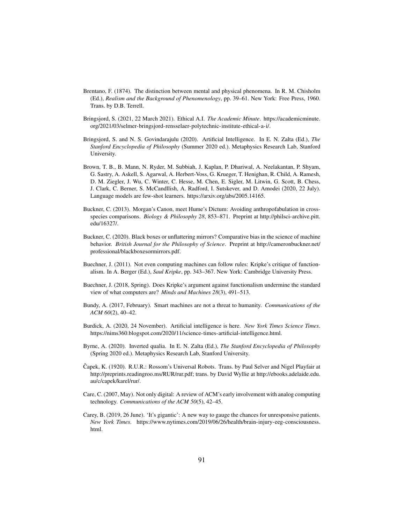- Brentano, F. (1874). The distinction between mental and physical phenomena. In R. M. Chisholm (Ed.), *Realism and the Background of Phenomenology*, pp. 39–61. New York: Free Press, 1960. Trans. by D.B. Terrell.
- Bringsjord, S. (2021, 22 March 2021). Ethical A.I. *The Academic Minute*. https://academicminute. org/2021/03/selmer-bringsjord-rensselaer-polytechnic-institute-ethical-a-i/.
- Bringsjord, S. and N. S. Govindarajulu (2020). Artificial Intelligence. In E. N. Zalta (Ed.), *The Stanford Encyclopedia of Philosophy* (Summer 2020 ed.). Metaphysics Research Lab, Stanford University.
- Brown, T. B., B. Mann, N. Ryder, M. Subbiah, J. Kaplan, P. Dhariwal, A. Neelakantan, P. Shyam, G. Sastry, A. Askell, S. Agarwal, A. Herbert-Voss, G. Krueger, T. Henighan, R. Child, A. Ramesh, D. M. Ziegler, J. Wu, C. Winter, C. Hesse, M. Chen, E. Sigler, M. Litwin, G. Scott, B. Chess, J. Clark, C. Berner, S. McCandllish, A. Radford, I. Sutskever, and D. Amodei (2020, 22 July). Language models are few-shot learners. https://arxiv.org/abs/2005.14165.
- Buckner, C. (2013). Morgan's Canon, meet Hume's Dictum: Avoiding anthropofabulation in crossspecies comparisons. *Biology & Philosophy 28*, 853–871. Preprint at http://philsci-archive.pitt. edu/16327/.
- Buckner, C. (2020). Black boxes or unflattering mirrors? Comparative bias in the science of machine behavior. *British Journal for the Philosophy of Science*. Preprint at http://cameronbuckner.net/ professional/blackboxesormirrors.pdf.
- Buechner, J. (2011). Not even computing machines can follow rules: Kripke's critique of functionalism. In A. Berger (Ed.), *Saul Kripke*, pp. 343–367. New York: Cambridge University Press.
- Buechner, J. (2018, Spring). Does Kripke's argument against functionalism undermine the standard view of what computers are? *Minds and Machines 28*(3), 491–513.
- Bundy, A. (2017, February). Smart machines are not a threat to humanity. *Communications of the ACM 60*(2), 40–42.
- Burdick, A. (2020, 24 November). Artificial intelligence is here. *New York Times Science Times*. https://nims360.blogspot.com/2020/11/science-times-artificial-intelligence.html.
- Byrne, A. (2020). Inverted qualia. In E. N. Zalta (Ed.), *The Stanford Encyclopedia of Philosophy* (Spring 2020 ed.). Metaphysics Research Lab, Stanford University.
- Capek, K. (1920). R.U.R.: Rossom's Universal Robots. Trans. by Paul Selver and Nigel Playfair at ˇ http://preprints.readingroo.ms/RUR/rur.pdf; trans. by David Wyllie at http://ebooks.adelaide.edu. au/c/capek/karel/rur/.
- Care, C. (2007, May). Not only digital: A review of ACM's early involvement with analog computing technology. *Communications of the ACM 50*(5), 42–45.
- Carey, B. (2019, 26 June). 'It's gigantic': A new way to gauge the chances for unresponsive patients. *New York Times*. https://www.nytimes.com/2019/06/26/health/brain-injury-eeg-consciousness. html.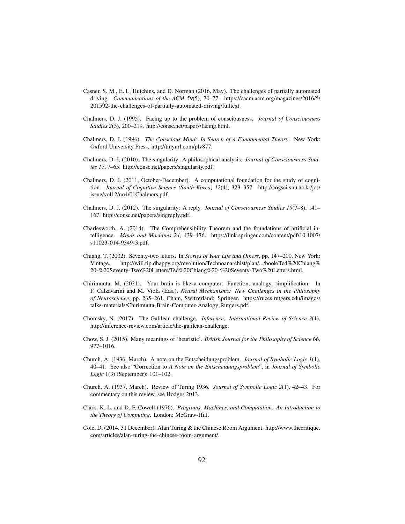- Casner, S. M., E. L. Hutchins, and D. Norman (2016, May). The challenges of partially automated driving. *Communications of the ACM 59*(5), 70–77. https://cacm.acm.org/magazines/2016/5/ 201592-the-challenges-of-partially-automated-driving/fulltext.
- Chalmers, D. J. (1995). Facing up to the problem of consciousness. *Journal of Consciousness Studies 2*(3), 200–219. http://consc.net/papers/facing.html.
- Chalmers, D. J. (1996). *The Conscious Mind: In Search of a Fundamental Theory*. New York: Oxford University Press. http://tinyurl.com/plv877.
- Chalmers, D. J. (2010). The singularity: A philosophical analysis. *Journal of Consciousness Studies 17*, 7–65. http://consc.net/papers/singularity.pdf.
- Chalmers, D. J. (2011, October-December). A computational foundation for the study of cognition. *Journal of Cognitive Science (South Korea) 12*(4), 323–357. http://cogsci.snu.ac.kr/jcs/ issue/vol12/no4/01Chalmers.pdf.
- Chalmers, D. J. (2012). The singularity: A reply. *Journal of Consciousness Studies 19*(7–8), 141– 167. http://consc.net/papers/singreply.pdf.
- Charlesworth, A. (2014). The Comprehensibility Theorem and the foundations of artificial intelligence. *Minds and Machines 24*, 439–476. https://link.springer.com/content/pdf/10.1007/ s11023-014-9349-3.pdf.
- Chiang, T. (2002). Seventy-two letters. In *Stories of Your Life and Others*, pp. 147–200. New York: Vintage. http://will.tip.dhappy.org/revolution/Technoanarchist/plan/.../book/Ted%20Chiang% 20-%20Seventy-Two%20Letters/Ted%20Chiang%20-%20Seventy-Two%20Letters.html.
- Chirimuuta, M. (2021). Your brain is like a computer: Function, analogy, simplification. In F. Calzavarini and M. Viola (Eds.), *Neural Mechanisms: New Challenges in the Philosophy of Neuroscience*, pp. 235–261. Cham, Switzerland: Springer. https://ruccs.rutgers.edu/images/ talks-materials/Chirimuuta Brain-Computer-Analogy Rutgers.pdf.
- Chomsky, N. (2017). The Galilean challenge. *Inference: International Review of Science 3*(1). http://inference-review.com/article/the-galilean-challenge.
- Chow, S. J. (2015). Many meanings of 'heuristic'. *British Journal for the Philosophy of Science 66*, 977–1016.
- Church, A. (1936, March). A note on the Entscheidungsproblem. *Journal of Symbolic Logic 1*(1), 40–41. See also "Correction to *A Note on the Entscheidungsproblem*", in *Journal of Symbolic Logic* 1(3) (September): 101–102.
- Church, A. (1937, March). Review of Turing 1936. *Journal of Symbolic Logic 2*(1), 42–43. For commentary on this review, see Hodges 2013.
- Clark, K. L. and D. F. Cowell (1976). *Programs, Machines, and Computation: An Introduction to the Theory of Computing*. London: McGraw-Hill.
- Cole, D. (2014, 31 December). Alan Turing & the Chinese Room Argument. http://www.thecritique. com/articles/alan-turing-the-chinese-room-argument/.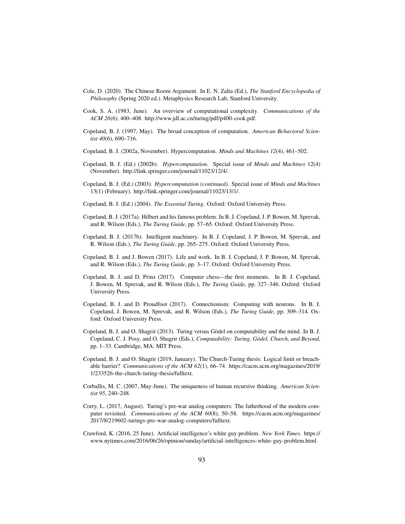- Cole, D. (2020). The Chinese Room Argument. In E. N. Zalta (Ed.), *The Stanford Encyclopedia of Philosophy* (Spring 2020 ed.). Metaphysics Research Lab, Stanford University.
- Cook, S. A. (1983, June). An overview of computational complexity. *Communications of the ACM 26*(6), 400–408. http://www.jdl.ac.cn/turing/pdf/p400-cook.pdf.
- Copeland, B. J. (1997, May). The broad conception of computation. *American Behavioral Scientist 40*(6), 690–716.
- Copeland, B. J. (2002a, November). Hypercomputation. *Minds and Machines 12*(4), 461–502.
- Copeland, B. J. (Ed.) (2002b). *Hypercomputation*. Special issue of *Minds and Machines* 12(4) (November). http://link.springer.com/journal/11023/12/4/.
- Copeland, B. J. (Ed.) (2003). *Hypercomputation (continued)*. Special issue of *Minds and Machines* 13(1) (February). http://link.springer.com/journal/11023/13/1/.
- Copeland, B. J. (Ed.) (2004). *The Essential Turing*. Oxford: Oxford University Press.
- Copeland, B. J. (2017a). Hilbert and his famous problem. In B. J. Copeland, J. P. Bowen, M. Sprevak, and R. Wilson (Eds.), *The Turing Guide*, pp. 57–65. Oxford: Oxford University Press.
- Copeland, B. J. (2017b). Intelligent machinery. In B. J. Copeland, J. P. Bowen, M. Sprevak, and R. Wilson (Eds.), *The Turing Guide*, pp. 265–275. Oxford: Oxford University Press.
- Copeland, B. J. and J. Bowen (2017). Life and work. In B. J. Copeland, J. P. Bowen, M. Sprevak, and R. Wilson (Eds.), *The Turing Guide*, pp. 3–17. Oxford: Oxford University Press.
- Copeland, B. J. and D. Prinz (2017). Computer chess—the first moments. In B. J. Copeland, J. Bowen, M. Sprevak, and R. Wilson (Eds.), *The Turing Guide*, pp. 327–346. Oxford: Oxford University Press.
- Copeland, B. J. and D. Proudfoot (2017). Connectionism: Computing with neurons. In B. J. Copeland, J. Bowen, M. Sprevak, and R. Wilson (Eds.), *The Turing Guide*, pp. 309–314. Oxford: Oxford University Press.
- Copeland, B. J. and O. Shagrir (2013). Turing versus Gödel on computability and the mind. In B. J. Copeland, C. J. Posy, and O. Shagrir (Eds.), *Computability: Turing, Gödel, Church, and Beyond,* pp. 1–33. Cambridge, MA: MIT Press.
- Copeland, B. J. and O. Shagrir (2019, January). The Church-Turing thesis: Logical limit or breachable barrier? *Communications of the ACM 62*(1), 66–74. https://cacm.acm.org/magazines/2019/ 1/233526-the-church-turing-thesis/fulltext.
- Corballis, M. C. (2007, May-June). The uniqueness of human recursive thinking. *American Scientist 95*, 240–248.
- Corry, L. (2017, August). Turing's pre-war analog computers: The fatherhood of the modern computer revisited. *Communications of the ACM 60*(8), 50–58. https://cacm.acm.org/magazines/ 2017/8/219602-turings-pre-war-analog-computers/fulltext.
- Crawford, K. (2016, 25 June). Artificial intelligence's white guy problem. *New York Times*. https:// www.nytimes.com/2016/06/26/opinion/sunday/artificial-intelligences-white-guy-problem.html.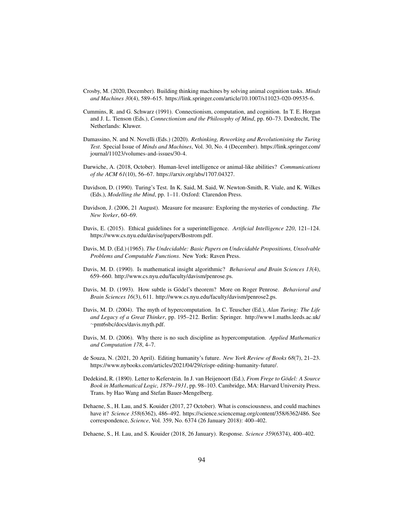- Crosby, M. (2020, December). Building thinking machines by solving animal cognition tasks. *Minds and Machines 30*(4), 589–615. https://link.springer.com/article/10.1007/s11023-020-09535-6.
- Cummins, R. and G. Schwarz (1991). Connectionism, computation, and cognition. In T. E. Horgan and J. L. Tienson (Eds.), *Connectionism and the Philosophy of Mind*, pp. 60–73. Dordrecht, The Netherlands: Kluwer.
- Damassino, N. and N. Novelli (Eds.) (2020). *Rethinking, Reworking and Revolutionising the Turing Test*. Special Issue of *Minds and Machines*, Vol. 30, No. 4 (December). https://link.springer.com/ journal/11023/volumes-and-issues/30-4.
- Darwiche, A. (2018, October). Human-level intelligence or animal-like abilities? *Communications of the ACM 61*(10), 56–67. https://arxiv.org/abs/1707.04327.
- Davidson, D. (1990). Turing's Test. In K. Said, M. Said, W. Newton-Smith, R. Viale, and K. Wilkes (Eds.), *Modelling the Mind*, pp. 1–11. Oxford: Clarendon Press.
- Davidson, J. (2006, 21 August). Measure for measure: Exploring the mysteries of conducting. *The New Yorker*, 60–69.
- Davis, E. (2015). Ethical guidelines for a superintelligence. *Artificial Intelligence 220*, 121–124. https://www.cs.nyu.edu/davise/papers/Bostrom.pdf.
- Davis, M. D. (Ed.) (1965). *The Undecidable: Basic Papers on Undecidable Propositions, Unsolvable Problems and Computable Functions*. New York: Raven Press.
- Davis, M. D. (1990). Is mathematical insight algorithmic? *Behavioral and Brain Sciences 13*(4), 659–660. http://www.cs.nyu.edu/faculty/davism/penrose.ps.
- Davis, M. D. (1993). How subtle is Gödel's theorem? More on Roger Penrose. *Behavioral and Brain Sciences 16*(3), 611. http://www.cs.nyu.edu/faculty/davism/penrose2.ps.
- Davis, M. D. (2004). The myth of hypercomputation. In C. Teuscher (Ed.), *Alan Turing: The Life and Legacy of a Great Thinker*, pp. 195–212. Berlin: Springer. http://www1.maths.leeds.ac.uk/ ∼pmt6sbc/docs/davis.myth.pdf.
- Davis, M. D. (2006). Why there is no such discipline as hypercomputation. *Applied Mathematics and Computation 178*, 4–7.
- de Souza, N. (2021, 20 April). Editing humanity's future. *New York Review of Books 68*(7), 21–23. https://www.nybooks.com/articles/2021/04/29/crispr-editing-humanity-future/.
- Dedekind, R. (1890). Letter to Keferstein. In J. van Heijenoort (Ed.), *From Frege to Godel: A Source ¨ Book in Mathematical Logic, 1879–1931*, pp. 98–103. Cambridge, MA: Harvard University Press. Trans. by Hao Wang and Stefan Bauer-Mengelberg.
- Dehaene, S., H. Lau, and S. Kouider (2017, 27 October). What is consciousness, and could machines have it? *Science 358*(6362), 486–492. https://science.sciencemag.org/content/358/6362/486. See correspondence, *Science*, Vol. 359, No. 6374 (26 January 2018): 400–402.
- Dehaene, S., H. Lau, and S. Kouider (2018, 26 January). Response. *Science 359*(6374), 400–402.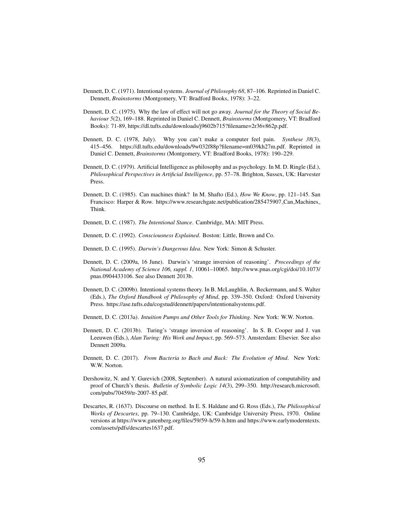- Dennett, D. C. (1971). Intentional systems. *Journal of Philosophy 68*, 87–106. Reprinted in Daniel C. Dennett, *Brainstorms* (Montgomery, VT: Bradford Books, 1978): 3–22.
- Dennett, D. C. (1975). Why the law of effect will not go away. *Journal for the Theory of Social Behaviour 5*(2), 169–188. Reprinted in Daniel C. Dennett, *Brainstorms* (Montgomery, VT: Bradford Books): 71-89, https://dl.tufts.edu/downloads/j9602b715?filename=2r36v862p.pdf.
- Dennett, D. C. (1978, July). Why you can't make a computer feel pain. *Synthese 38*(3), 415–456. https://dl.tufts.edu/downloads/9w032f88p?filename=m039kh27m.pdf. Reprinted in Daniel C. Dennett, *Brainstorms* (Montgomery, VT: Bradford Books, 1978): 190–229.
- Dennett, D. C. (1979). Artificial Intelligence as philosophy and as psychology. In M. D. Ringle (Ed.), *Philosophical Perspectives in Artificial Intelligence*, pp. 57–78. Brighton, Sussex, UK: Harvester Press.
- Dennett, D. C. (1985). Can machines think? In M. Shafto (Ed.), *How We Know*, pp. 121–145. San Francisco: Harper & Row. https://www.researchgate.net/publication/285475907 Can Machines Think.
- Dennett, D. C. (1987). *The Intentional Stance*. Cambridge, MA: MIT Press.
- Dennett, D. C. (1992). *Consciousness Explained*. Boston: Little, Brown and Co.
- Dennett, D. C. (1995). *Darwin's Dangerous Idea*. New York: Simon & Schuster.
- Dennett, D. C. (2009a, 16 June). Darwin's 'strange inversion of reasoning'. *Proceedings of the National Academy of Science 106, suppl. 1*, 10061–10065. http://www.pnas.org/cgi/doi/10.1073/ pnas.0904433106. See also Dennett 2013b.
- Dennett, D. C. (2009b). Intentional systems theory. In B. McLaughlin, A. Beckermann, and S. Walter (Eds.), *The Oxford Handbook of Philosophy of Mind*, pp. 339–350. Oxford: Oxford University Press. https://ase.tufts.edu/cogstud/dennett/papers/intentionalsystems.pdf.
- Dennett, D. C. (2013a). *Intuition Pumps and Other Tools for Thinking*. New York: W.W. Norton.
- Dennett, D. C. (2013b). Turing's 'strange inversion of reasoning'. In S. B. Cooper and J. van Leeuwen (Eds.), *Alan Turing: His Work and Impact*, pp. 569–573. Amsterdam: Elsevier. See also Dennett 2009a.
- Dennett, D. C. (2017). *From Bacteria to Bach and Back: The Evolution of Mind*. New York: W.W. Norton.
- Dershowitz, N. and Y. Gurevich (2008, September). A natural axiomatization of computability and proof of Church's thesis. *Bulletin of Symbolic Logic 14*(3), 299–350. http://research.microsoft. com/pubs/70459/tr-2007-85.pdf.
- Descartes, R. (1637). Discourse on method. In E. S. Haldane and G. Ross (Eds.), *The Philosophical Works of Descartes*, pp. 79–130. Cambridge, UK: Cambridge University Press, 1970. Online versions at https://www.gutenberg.org/files/59/59-h/59-h.htm and https://www.earlymoderntexts. com/assets/pdfs/descartes1637.pdf.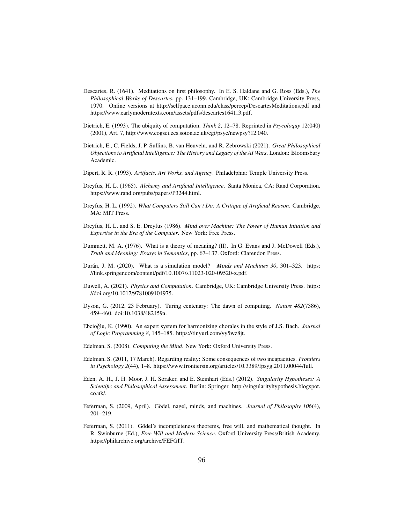- Descartes, R. (1641). Meditations on first philosophy. In E. S. Haldane and G. Ross (Eds.), *The Philosophical Works of Descartes*, pp. 131–199. Cambridge, UK: Cambridge University Press, 1970. Online versions at http://selfpace.uconn.edu/class/percep/DescartesMeditations.pdf and https://www.earlymoderntexts.com/assets/pdfs/descartes1641 3.pdf.
- Dietrich, E. (1993). The ubiquity of computation. *Think 2*, 12–78. Reprinted in *Psycoloquy* 12(040) (2001), Art. 7, http://www.cogsci.ecs.soton.ac.uk/cgi/psyc/newpsy?12.040.
- Dietrich, E., C. Fields, J. P. Sullins, B. van Heuveln, and R. Zebrowski (2021). *Great Philosophical Objections to Artificial Intelligence: The History and Legacy of the AI Wars*. London: Bloomsbury Academic.
- Dipert, R. R. (1993). *Artifacts, Art Works, and Agency*. Philadelphia: Temple University Press.
- Dreyfus, H. L. (1965). *Alchemy and Artificial Intelligence*. Santa Monica, CA: Rand Corporation. https://www.rand.org/pubs/papers/P3244.html.
- Dreyfus, H. L. (1992). *What Computers Still Can't Do: A Critique of Artificial Reason*. Cambridge, MA: MIT Press.
- Dreyfus, H. L. and S. E. Dreyfus (1986). *Mind over Machine: The Power of Human Intuition and Expertise in the Era of the Computer*. New York: Free Press.
- Dummett, M. A. (1976). What is a theory of meaning? (II). In G. Evans and J. McDowell (Eds.), *Truth and Meaning: Essays in Semantics*, pp. 67–137. Oxford: Clarendon Press.
- Durán, J. M. (2020). What is a simulation model? *Minds and Machines 30*, 301–323. https: //link.springer.com/content/pdf/10.1007/s11023-020-09520-z.pdf.
- Duwell, A. (2021). *Physics and Computation*. Cambridge, UK: Cambridge University Press. https: //doi.org/10.1017/9781009104975.
- Dyson, G. (2012, 23 February). Turing centenary: The dawn of computing. *Nature 482*(7386), 459–460. doi:10.1038/482459a.
- Ebcioğlu, K. (1990). An expert system for harmonizing chorales in the style of J.S. Bach. *Journal of Logic Programming 8*, 145–185. https://tinyurl.com/yy5wz8jt.
- Edelman, S. (2008). *Computing the Mind*. New York: Oxford University Press.
- Edelman, S. (2011, 17 March). Regarding reality: Some consequences of two incapacities. *Frontiers in Psychology 2*(44), 1–8. https://www.frontiersin.org/articles/10.3389/fpsyg.2011.00044/full.
- Eden, A. H., J. H. Moor, J. H. Søraker, and E. Steinhart (Eds.) (2012). *Singularity Hypotheses: A Scientific and Philosophical Assessment*. Berlin: Springer. http://singularityhypothesis.blogspot. co.uk/.
- Feferman, S. (2009, April). Gödel, nagel, minds, and machines. *Journal of Philosophy 106(4)*, 201–219.
- Feferman, S. (2011). Gödel's incompleteness theorems, free will, and mathematical thought. In R. Swinburne (Ed.), *Free Will and Modern Science*. Oxford University Press/British Academy. https://philarchive.org/archive/FEFGIT.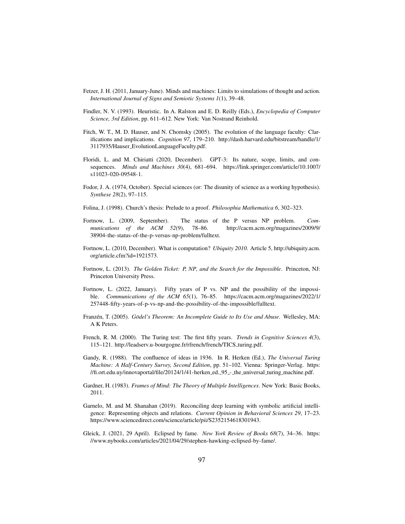- Fetzer, J. H. (2011, January-June). Minds and machines: Limits to simulations of thought and action. *International Journal of Signs and Semiotic Systems 1*(1), 39–48.
- Findler, N. V. (1993). Heuristic. In A. Ralston and E. D. Reilly (Eds.), *Encyclopedia of Computer Science, 3rd Edition*, pp. 611–612. New York: Van Nostrand Reinhold.
- Fitch, W. T., M. D. Hauser, and N. Chomsky (2005). The evolution of the language faculty: Clarifications and implications. *Cognition 97*, 179–210. http://dash.harvard.edu/bitstream/handle/1/ 3117935/Hauser EvolutionLanguageFaculty.pdf.
- Floridi, L. and M. Chiriatti (2020, December). GPT-3: Its nature, scope, limits, and consequences. *Minds and Machines 30*(4), 681–694. https://link.springer.com/article/10.1007/ s11023-020-09548-1.
- Fodor, J. A. (1974, October). Special sciences (or: The disunity of science as a working hypothesis). *Synthese 28*(2), 97–115.
- Folina, J. (1998). Church's thesis: Prelude to a proof. *Philosophia Mathematica 6*, 302–323.
- Fortnow, L. (2009, September). The status of the P versus NP problem. *Communications of the ACM 52*(9), 78–86. http://cacm.acm.org/magazines/2009/9/ 38904-the-status-of-the-p-versus-np-problem/fulltext.
- Fortnow, L. (2010, December). What is computation? *Ubiquity 2010*. Article 5, http://ubiquity.acm. org/article.cfm?id=1921573.
- Fortnow, L. (2013). *The Golden Ticket: P, NP, and the Search for the Impossible*. Princeton, NJ: Princeton University Press.
- Fortnow, L. (2022, January). Fifty years of P vs. NP and the possibility of the impossible. *Communications of the ACM 65*(1), 76–85. https://cacm.acm.org/magazines/2022/1/ 257448-fifty-years-of-p-vs-np-and-the-possibility-of-the-impossible/fulltext.
- Franzén, T. (2005). Gödel's Theorem: An Incomplete Guide to Its Use and Abuse. Wellesley, MA: A K Peters.
- French, R. M. (2000). The Turing test: The first fifty years. *Trends in Cognitive Sciences 4*(3), 115–121. http://leadserv.u-bourgogne.fr/rfrench/french/TICS turing.pdf.
- Gandy, R. (1988). The confluence of ideas in 1936. In R. Herken (Ed.), *The Universal Turing Machine: A Half-Century Survey, Second Edition*, pp. 51–102. Vienna: Springer-Verlag. https: //fi.ort.edu.uy/innovaportal/file/20124/1/41-herken ed. 95 - the universal turing machine.pdf.
- Gardner, H. (1983). *Frames of Mind: The Theory of Multiple Intelligences*. New York: Basic Books, 2011.
- Garnelo, M. and M. Shanahan (2019). Reconciling deep learning with symbolic artificial intelligence: Representing objects and relations. *Current Opinion in Behavioral Sciences 29*, 17–23. https://www.sciencedirect.com/science/article/pii/S2352154618301943.
- Gleick, J. (2021, 29 April). Eclipsed by fame. *New York Review of Books 68*(7), 34–36. https: //www.nybooks.com/articles/2021/04/29/stephen-hawking-eclipsed-by-fame/.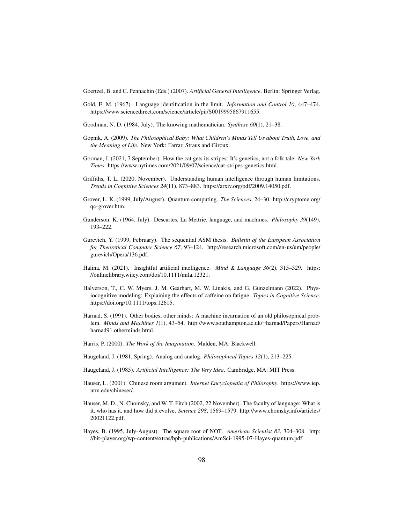Goertzel, B. and C. Pennachin (Eds.) (2007). *Artificial General Intelligence*. Berlin: Springer Verlag.

- Gold, E. M. (1967). Language identification in the limit. *Information and Control 10*, 447–474. https://www.sciencedirect.com/science/article/pii/S0019995867911655.
- Goodman, N. D. (1984, July). The knowing mathematician. *Synthese 60*(1), 21–38.
- Gopnik, A. (2009). *The Philosophical Baby: What Children's Minds Tell Us about Truth, Love, and the Meaning of Life*. New York: Farrar, Straus and Giroux.
- Gorman, J. (2021, 7 September). How the cat gets its stripes: It's genetics, not a folk tale. *New York Times*. https://www.nytimes.com/2021/09/07/science/cat-stripes-genetics.html.
- Griffiths, T. L. (2020, November). Understanding human intelligence through human limitations. *Trends in Cognitive Sciences 24*(11), 873–883. https://arxiv.org/pdf/2009.14050.pdf.
- Grover, L. K. (1999, July/August). Quantum computing. *The Sciences*, 24–30. http://cryptome.org/ qc-grover.htm.
- Gunderson, K. (1964, July). Descartes, La Mettrie, language, and machines. *Philosophy 39*(149), 193–222.
- Gurevich, Y. (1999, February). The sequential ASM thesis. *Bulletin of the European Association for Theoretical Computer Science 67*, 93–124. http://research.microsoft.com/en-us/um/people/ gurevich/Opera/136.pdf.
- Halina, M. (2021). Insightful artificial intelligence. *Mind & Language 36*(2), 315–329. https: //onlinelibrary.wiley.com/doi/10.1111/mila.12321.
- Halverson, T., C. W. Myers, J. M. Gearhart, M. W. Linakis, and G. Gunzelmann (2022). Physiocognitive modeling: Explaining the effects of caffeine on fatigue. *Topics in Cognitive Science*. https://doi.org/10.1111/tops.12615.
- Harnad, S. (1991). Other bodies, other minds: A machine incarnation of an old philosophical problem. *Minds and Machines 1*(1), 43–54. http://www.southampton.ac.uk/∼harnad/Papers/Harnad/ harnad91.otherminds.html.
- Harris, P. (2000). *The Work of the Imagination*. Malden, MA: Blackwell.
- Haugeland, J. (1981, Spring). Analog and analog. *Philosophical Topics 12*(1), 213–225.
- Haugeland, J. (1985). *Artificial Intelligence: The Very Idea*. Cambridge, MA: MIT Press.
- Hauser, L. (2001). Chinese room argument. *Internet Encyclopedia of Philosophy*. https://www.iep. utm.edu/chineser/.
- Hauser, M. D., N. Chomsky, and W. T. Fitch (2002, 22 November). The faculty of language: What is it, who has it, and how did it evolve. *Science 298*, 1569–1579. http://www.chomsky.info/articles/ 20021122.pdf.
- Hayes, B. (1995, July-August). The square root of NOT. *American Scientist 83*, 304–308. http: //bit-player.org/wp-content/extras/bph-publications/AmSci-1995-07-Hayes-quantum.pdf.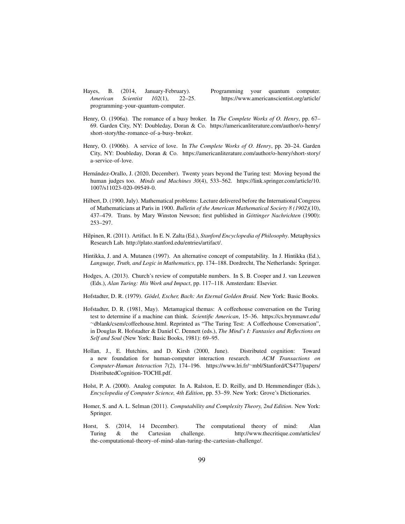Hayes, B. (2014, January-February). Programming your quantum computer. programming-your-quantum-computer.

*American Scientist 102*(1), 22–25. https://www.americanscientist.org/article/

- Henry, O. (1906a). The romance of a busy broker. In *The Complete Works of O. Henry*, pp. 67– 69. Garden City, NY: Doubleday, Doran & Co. https://americanliterature.com/author/o-henry/ short-story/the-romance-of-a-busy-broker.
- Henry, O. (1906b). A service of love. In *The Complete Works of O. Henry*, pp. 20–24. Garden City, NY: Doubleday, Doran & Co. https://americanliterature.com/author/o-henry/short-story/ a-service-of-love.
- Hernández-Orallo, J. (2020, December). Twenty years beyond the Turing test: Moving beyond the human judges too. *Minds and Machines 30*(4), 533–562. https://link.springer.com/article/10. 1007/s11023-020-09549-0.
- Hilbert, D. (1900, July). Mathematical problems: Lecture delivered before the International Congress of Mathematicians at Paris in 1900. *Bulletin of the American Mathematical Society 8 (1902)*(10), 437–479. Trans. by Mary Winston Newson; first published in *Göttinger Nachrichten* (1900): 253–297.
- Hilpinen, R. (2011). Artifact. In E. N. Zalta (Ed.), *Stanford Encyclopedia of Philosophy*. Metaphysics Research Lab. http://plato.stanford.edu/entries/artifact/.
- Hintikka, J. and A. Mutanen (1997). An alternative concept of computability. In J. Hintikka (Ed.), *Language, Truth, and Logic in Mathematics*, pp. 174–188. Dordrecht, The Netherlands: Springer.
- Hodges, A. (2013). Church's review of computable numbers. In S. B. Cooper and J. van Leeuwen (Eds.), *Alan Turing: His Work and Impact*, pp. 117–118. Amsterdam: Elsevier.
- Hofstadter, D. R. (1979). *Godel, Escher, Bach: An Eternal Golden Braid ¨* . New York: Basic Books.
- Hofstadter, D. R. (1981, May). Metamagical themas: A coffeehouse conversation on the Turing test to determine if a machine can think. *Scientific American*, 15–36. https://cs.brynmawr.edu/ ∼dblank/csem/coffeehouse.html. Reprinted as "The Turing Test: A Coffeehouse Conversation", in Douglas R. Hofstadter & Daniel C. Dennett (eds.), *The Mind's I: Fantasies and Reflections on Self and Soul* (New York: Basic Books, 1981): 69–95.
- Hollan, J., E. Hutchins, and D. Kirsh (2000, June). Distributed cognition: Toward a new foundation for human-computer interaction research. *ACM Transactions on Computer-Human Interaction 7*(2), 174–196. https://www.lri.fr/∼mbl/Stanford/CS477/papers/ DistributedCognition-TOCHI.pdf.
- Holst, P. A. (2000). Analog computer. In A. Ralston, E. D. Reilly, and D. Hemmendinger (Eds.), *Encyclopedia of Computer Science, 4th Edition*, pp. 53–59. New York: Grove's Dictionaries.
- Homer, S. and A. L. Selman (2011). *Computability and Complexity Theory, 2nd Edition*. New York: Springer.
- Horst, S. (2014, 14 December). The computational theory of mind: Alan Turing & the Cartesian challenge. http://www.thecritique.com/articles/ the-computational-theory-of-mind-alan-turing-the-cartesian-challenge/.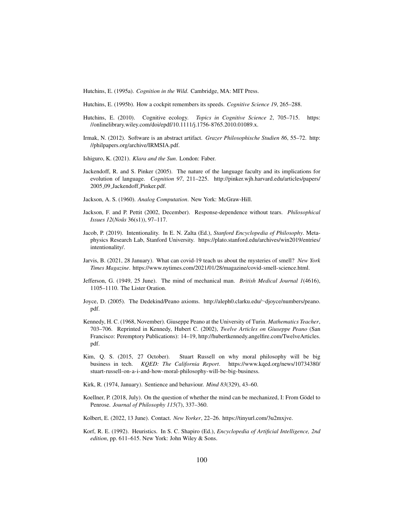Hutchins, E. (1995a). *Cognition in the Wild*. Cambridge, MA: MIT Press.

Hutchins, E. (1995b). How a cockpit remembers its speeds. *Cognitive Science 19*, 265–288.

- Hutchins, E. (2010). Cognitive ecology. *Topics in Cognitive Science 2*, 705–715. https: //onlinelibrary.wiley.com/doi/epdf/10.1111/j.1756-8765.2010.01089.x.
- Irmak, N. (2012). Software is an abstract artifact. *Grazer Philosophische Studien 86*, 55–72. http: //philpapers.org/archive/IRMSIA.pdf.
- Ishiguro, K. (2021). *Klara and the Sun*. London: Faber.
- Jackendoff, R. and S. Pinker (2005). The nature of the language faculty and its implications for evolution of language. *Cognition 97*, 211–225. http://pinker.wjh.harvard.edu/articles/papers/ 2005 09 Jackendoff Pinker.pdf.
- Jackson, A. S. (1960). *Analog Computation*. New York: McGraw-Hill.
- Jackson, F. and P. Pettit (2002, December). Response-dependence without tears. *Philosophical Issues 12*(*Nousˆ* 36(s1)), 97–117.
- Jacob, P. (2019). Intentionality. In E. N. Zalta (Ed.), *Stanford Encyclopedia of Philosophy*. Metaphysics Research Lab, Stanford University. https://plato.stanford.edu/archives/win2019/entries/ intentionality/.
- Jarvis, B. (2021, 28 January). What can covid-19 teach us about the mysteries of smell? *New York Times Magazine*. https://www.nytimes.com/2021/01/28/magazine/covid-smell-science.html.
- Jefferson, G. (1949, 25 June). The mind of mechanical man. *British Medical Journal 1*(4616), 1105–1110. The Lister Oration.
- Joyce, D. (2005). The Dedekind/Peano axioms. http://aleph0.clarku.edu/∼djoyce/numbers/peano. pdf.
- Kennedy, H. C. (1968, November). Giuseppe Peano at the University of Turin. *Mathematics Teacher*, 703–706. Reprinted in Kennedy, Hubert C. (2002), *Twelve Articles on Giuseppe Peano* (San Francisco: Peremptory Publications): 14–19, http://hubertkennedy.angelfire.com/TwelveArticles. pdf.
- Kim, Q. S. (2015, 27 October). Stuart Russell on why moral philosophy will be big business in tech. *KQED: The California Report*. https://www.kqed.org/news/10734380/ stuart-russell-on-a-i-and-how-moral-philosophy-will-be-big-business.
- Kirk, R. (1974, January). Sentience and behaviour. *Mind 83*(329), 43–60.
- Koellner, P. (2018, July). On the question of whether the mind can be mechanized, I: From Gödel to Penrose. *Journal of Philosophy 115*(7), 337–360.
- Kolbert, E. (2022, 13 June). Contact. *New Yorker*, 22–26. https://tinyurl.com/3u2mxjve.
- Korf, R. E. (1992). Heuristics. In S. C. Shapiro (Ed.), *Encyclopedia of Artificial Intelligence, 2nd edition*, pp. 611–615. New York: John Wiley & Sons.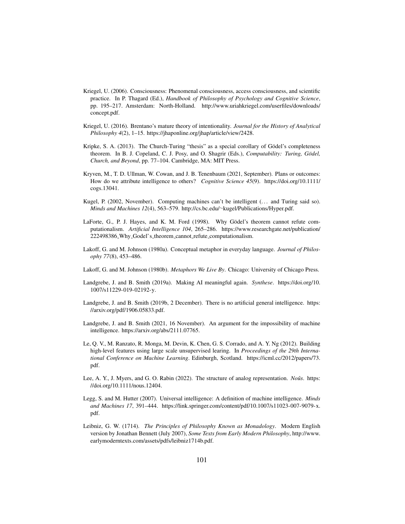- Kriegel, U. (2006). Consciousness: Phenomenal consciousness, access consciousness, and scientific practice. In P. Thagard (Ed.), *Handbook of Philosophy of Psychology and Cognitive Science*, pp. 195–217. Amsterdam: North-Holland. http://www.uriahkriegel.com/userfiles/downloads/ concept.pdf.
- Kriegel, U. (2016). Brentano's mature theory of intentionality. *Journal for the History of Analytical Philosophy 4*(2), 1–15. https://jhaponline.org/jhap/article/view/2428.
- Kripke, S. A. (2013). The Church-Turing "thesis" as a special corollary of Gödel's completeness theorem. In B. J. Copeland, C. J. Posy, and O. Shagrir (Eds.), *Computability: Turing, Godel, ¨ Church, and Beyond*, pp. 77–104. Cambridge, MA: MIT Press.
- Kryven, M., T. D. Ullman, W. Cowan, and J. B. Tenenbaum (2021, September). Plans or outcomes: How do we attribute intelligence to others? *Cognitive Science 45*(9). https://doi.org/10.1111/ cogs.13041.
- Kugel, P. (2002, November). Computing machines can't be intelligent (... and Turing said so). *Minds and Machines 12*(4), 563–579. http://cs.bc.edu/∼kugel/Publications/Hyper.pdf.
- LaForte, G., P. J. Hayes, and K. M. Ford (1998). Why Gödel's theorem cannot refute computationalism. *Artificial Intelligence 104*, 265–286. https://www.researchgate.net/publication/ 222498386 Why Godel's theorem cannot refute computationalism.
- Lakoff, G. and M. Johnson (1980a). Conceptual metaphor in everyday language. *Journal of Philosophy 77*(8), 453–486.
- Lakoff, G. and M. Johnson (1980b). *Metaphors We Live By*. Chicago: University of Chicago Press.
- Landgrebe, J. and B. Smith (2019a). Making AI meaningful again. *Synthese*. https://doi.org/10. 1007/s11229-019-02192-y.
- Landgrebe, J. and B. Smith (2019b, 2 December). There is no artificial general intelligence. https: //arxiv.org/pdf/1906.05833.pdf.
- Landgrebe, J. and B. Smith (2021, 16 November). An argument for the impossibility of machine intelligence. https://arxiv.org/abs/2111.07765.
- Le, Q. V., M. Ranzato, R. Monga, M. Devin, K. Chen, G. S. Corrado, and A. Y. Ng (2012). Building high-level features using large scale unsupervised learing. In *Proceedings of the 29th International Conference on Machine Learning*. Edinburgh, Scotland. https://icml.cc/2012/papers/73. pdf.
- Lee, A. Y., J. Myers, and G. O. Rabin (2022). The structure of analog representation. *Noûs*. https: //doi.org/10.1111/nous.12404.
- Legg, S. and M. Hutter (2007). Universal intelligence: A definition of machine intelligence. *Minds and Machines 17*, 391–444. https://link.springer.com/content/pdf/10.1007/s11023-007-9079-x. pdf.
- Leibniz, G. W. (1714). *The Principles of Philosophy Known as Monadology*. Modern English version by Jonathan Bennett (July 2007), *Some Texts from Early Modern Philosophy*, http://www. earlymoderntexts.com/assets/pdfs/leibniz1714b.pdf.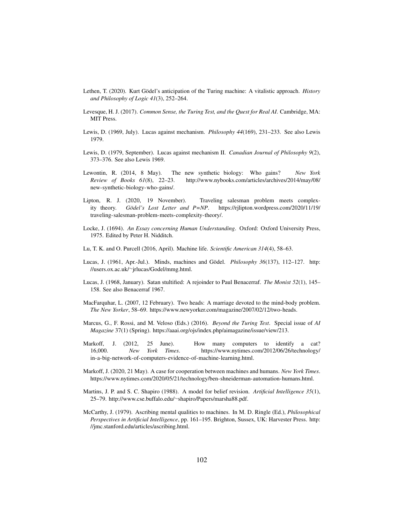- Lethen, T. (2020). Kurt Gödel's anticipation of the Turing machine: A vitalistic approach. *History and Philosophy of Logic 41*(3), 252–264.
- Levesque, H. J. (2017). *Common Sense, the Turing Test, and the Quest for Real AI*. Cambridge, MA: MIT Press.
- Lewis, D. (1969, July). Lucas against mechanism. *Philosophy 44*(169), 231–233. See also Lewis 1979.
- Lewis, D. (1979, September). Lucas against mechanism II. *Canadian Journal of Philosophy 9*(2), 373–376. See also Lewis 1969.
- Lewontin, R. (2014, 8 May). The new synthetic biology: Who gains? *New York Review of Books 61*(8), 22–23. http://www.nybooks.com/articles/archives/2014/may/08/ new-synthetic-biology-who-gains/.
- Lipton, R. J. (2020, 19 November). Traveling salesman problem meets complexity theory. *Gödel's Lost Letter and P=NP*. https://rjlipton.wordpress.com/2020/11/19/ traveling-salesman-problem-meets-complexity-theory/.
- Locke, J. (1694). *An Essay concerning Human Understanding*. Oxford: Oxford University Press, 1975. Edited by Peter H. Nidditch.
- Lu, T. K. and O. Purcell (2016, April). Machine life. *Scientific American 314*(4), 58–63.
- Lucas, J. (1961, Apr.-Jul.). Minds, machines and Gödel. *Philosophy 36*(137), 112–127. http: //users.ox.ac.uk/∼jrlucas/Godel/mmg.html.
- Lucas, J. (1968, January). Satan stultified: A rejoinder to Paul Benacerraf. *The Monist 52*(1), 145– 158. See also Benacerraf 1967.
- MacFarquhar, L. (2007, 12 February). Two heads: A marriage devoted to the mind-body problem. *The New Yorker*, 58–69. https://www.newyorker.com/magazine/2007/02/12/two-heads.
- Marcus, G., F. Rossi, and M. Veloso (Eds.) (2016). *Beyond the Turing Test*. Special issue of *AI Magazine* 37(1) (Spring). https://aaai.org/ojs/index.php/aimagazine/issue/view/213.
- Markoff, J. (2012, 25 June). How many computers to identify a cat? 16,000. *New York Times*. https://www.nytimes.com/2012/06/26/technology/ in-a-big-network-of-computers-evidence-of-machine-learning.html.
- Markoff, J. (2020, 21 May). A case for cooperation between machines and humans. *New York Times*. https://www.nytimes.com/2020/05/21/technology/ben-shneiderman-automation-humans.html.
- Martins, J. P. and S. C. Shapiro (1988). A model for belief revision. *Artificial Intelligence 35*(1), 25–79. http://www.cse.buffalo.edu/∼shapiro/Papers/marsha88.pdf.
- McCarthy, J. (1979). Ascribing mental qualities to machines. In M. D. Ringle (Ed.), *Philosophical Perspectives in Artificial Intelligence*, pp. 161–195. Brighton, Sussex, UK: Harvester Press. http: //jmc.stanford.edu/articles/ascribing.html.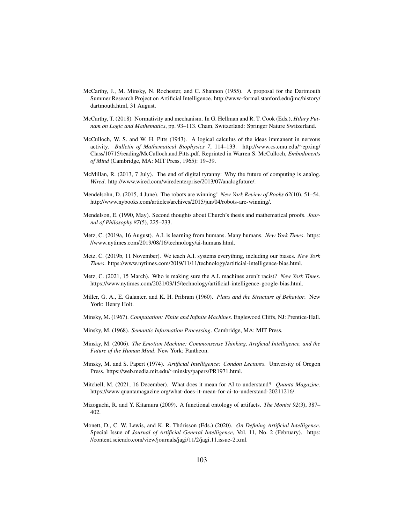- McCarthy, J., M. Minsky, N. Rochester, and C. Shannon (1955). A proposal for the Dartmouth Summer Research Project on Artificial Intelligence. http://www-formal.stanford.edu/jmc/history/ dartmouth.html, 31 August.
- McCarthy, T. (2018). Normativity and mechanism. In G. Hellman and R. T. Cook (Eds.), *Hilary Putnam on Logic and Mathematics*, pp. 93–113. Cham, Switzerland: Springer Nature Switzerland.
- McCulloch, W. S. and W. H. Pitts (1943). A logical calculus of the ideas immanent in nervous activity. *Bulletin of Mathematical Biophysics 7*, 114–133. http://www.cs.cmu.edu/∼epxing/ Class/10715/reading/McCulloch.and.Pitts.pdf. Reprinted in Warren S. McCulloch, *Embodiments of Mind* (Cambridge, MA: MIT Press, 1965): 19–39.
- McMillan, R. (2013, 7 July). The end of digital tyranny: Why the future of computing is analog. *Wired*. http://www.wired.com/wiredenterprise/2013/07/analogfuture/.
- Mendelsohn, D. (2015, 4 June). The robots are winning! *New York Review of Books 62*(10), 51–54. http://www.nybooks.com/articles/archives/2015/jun/04/robots-are-winning/.
- Mendelson, E. (1990, May). Second thoughts about Church's thesis and mathematical proofs. *Journal of Philosophy 87*(5), 225–233.
- Metz, C. (2019a, 16 August). A.I. is learning from humans. Many humans. *New York Times*. https: //www.nytimes.com/2019/08/16/technology/ai-humans.html.
- Metz, C. (2019b, 11 November). We teach A.I. systems everything, including our biases. *New York Times*. https://www.nytimes.com/2019/11/11/technology/artificial-intelligence-bias.html.
- Metz, C. (2021, 15 March). Who is making sure the A.I. machines aren't racist? *New York Times*. https://www.nytimes.com/2021/03/15/technology/artificial-intelligence-google-bias.html.
- Miller, G. A., E. Galanter, and K. H. Pribram (1960). *Plans and the Structure of Behavior*. New York: Henry Holt.
- Minsky, M. (1967). *Computation: Finite and Infinite Machines*. Englewood Cliffs, NJ: Prentice-Hall.
- Minsky, M. (1968). *Semantic Information Processing*. Cambridge, MA: MIT Press.
- Minsky, M. (2006). *The Emotion Machine: Commonsense Thinking, Artificial Intelligence, and the Future of the Human Mind*. New York: Pantheon.
- Minsky, M. and S. Papert (1974). *Artificial Intelligence: Condon Lectures*. University of Oregon Press. https://web.media.mit.edu/∼minsky/papers/PR1971.html.
- Mitchell, M. (2021, 16 December). What does it mean for AI to understand? *Quanta Magazine*. https://www.quantamagazine.org/what-does-it-mean-for-ai-to-understand-20211216/.
- Mizoguchi, R. and Y. Kitamura (2009). A functional ontology of artifacts. *The Monist 92*(3), 387– 402.
- Monett, D., C. W. Lewis, and K. R. Thórisson (Eds.) (2020). On Defining Artificial Intelligence. Special Issue of *Journal of Artificial General Intelligence*, Vol. 11, No. 2 (February). https: //content.sciendo.com/view/journals/jagi/11/2/jagi.11.issue-2.xml.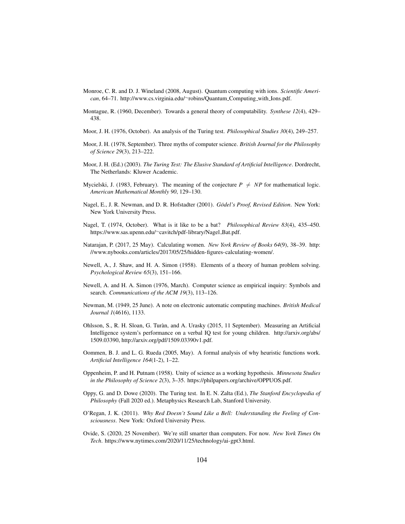- Monroe, C. R. and D. J. Wineland (2008, August). Quantum computing with ions. *Scientific American*, 64–71. http://www.cs.virginia.edu/∼robins/Quantum Computing with Ions.pdf.
- Montague, R. (1960, December). Towards a general theory of computability. *Synthese 12*(4), 429– 438.
- Moor, J. H. (1976, October). An analysis of the Turing test. *Philosophical Studies 30*(4), 249–257.
- Moor, J. H. (1978, September). Three myths of computer science. *British Journal for the Philosophy of Science 29*(3), 213–222.
- Moor, J. H. (Ed.) (2003). *The Turing Test: The Elusive Standard of Artificial Intelligence*. Dordrecht, The Netherlands: Kluwer Academic.
- Mycielski, J. (1983, February). The meaning of the conjecture  $P \neq NP$  for mathematical logic. *American Mathematical Monthly 90*, 129–130.
- Nagel, E., J. R. Newman, and D. R. Hofstadter (2001). *Gödel's Proof, Revised Edition*. New York: New York University Press.
- Nagel, T. (1974, October). What is it like to be a bat? *Philosophical Review 83*(4), 435–450. https://www.sas.upenn.edu/∼cavitch/pdf-library/Nagel Bat.pdf.
- Natarajan, P. (2017, 25 May). Calculating women. *New York Review of Books 64*(9), 38–39. http: //www.nybooks.com/articles/2017/05/25/hidden-figures-calculating-women/.
- Newell, A., J. Shaw, and H. A. Simon (1958). Elements of a theory of human problem solving. *Psychological Review 65*(3), 151–166.
- Newell, A. and H. A. Simon (1976, March). Computer science as empirical inquiry: Symbols and search. *Communications of the ACM 19*(3), 113–126.
- Newman, M. (1949, 25 June). A note on electronic automatic computing machines. *British Medical Journal 1*(4616), 1133.
- Ohlsson, S., R. H. Sloan, G. Turan, and A. Urasky (2015, 11 September). Measuring an Artificial ` Intelligence system's performance on a verbal IQ test for young children. http://arxiv.org/abs/ 1509.03390, http://arxiv.org/pdf/1509.03390v1.pdf.
- Oommen, B. J. and L. G. Rueda (2005, May). A formal analysis of why heuristic functions work. *Artificial Intelligence 164*(1-2), 1–22.
- Oppenheim, P. and H. Putnam (1958). Unity of science as a working hypothesis. *Minnesota Studies in the Philosophy of Science 2*(3), 3–35. https://philpapers.org/archive/OPPUOS.pdf.
- Oppy, G. and D. Dowe (2020). The Turing test. In E. N. Zalta (Ed.), *The Stanford Encyclopedia of Philosophy* (Fall 2020 ed.). Metaphysics Research Lab, Stanford University.
- O'Regan, J. K. (2011). *Why Red Doesn't Sound Like a Bell: Understanding the Feeling of Consciousness*. New York: Oxford University Press.
- Ovide, S. (2020, 25 November). We're still smarter than computers. For now. *New York Times On Tech*. https://www.nytimes.com/2020/11/25/technology/ai-gpt3.html.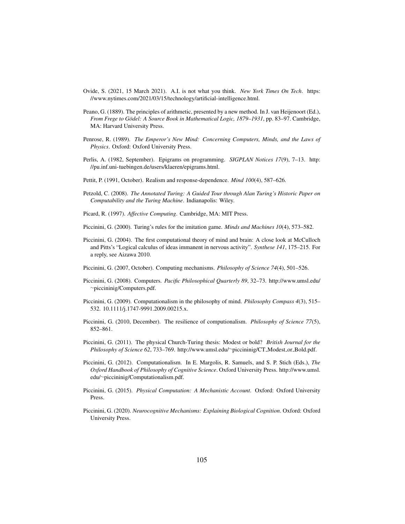- Ovide, S. (2021, 15 March 2021). A.I. is not what you think. *New York Times On Tech*. https: //www.nytimes.com/2021/03/15/technology/artificial-intelligence.html.
- Peano, G. (1889). The principles of arithmetic, presented by a new method. In J. van Heijenoort (Ed.), *From Frege to Gödel: A Source Book in Mathematical Logic, 1879–1931*, pp. 83–97. Cambridge, MA: Harvard University Press.
- Penrose, R. (1989). *The Emperor's New Mind: Concerning Computers, Minds, and the Laws of Physics*. Oxford: Oxford University Press.
- Perlis, A. (1982, September). Epigrams on programming. *SIGPLAN Notices 17*(9), 7–13. http: //pu.inf.uni-tuebingen.de/users/klaeren/epigrams.html.
- Pettit, P. (1991, October). Realism and response-dependence. *Mind 100*(4), 587–626.
- Petzold, C. (2008). *The Annotated Turing: A Guided Tour through Alan Turing's Historic Paper on Computability and the Turing Machine*. Indianapolis: Wiley.
- Picard, R. (1997). *Affective Computing*. Cambridge, MA: MIT Press.
- Piccinini, G. (2000). Turing's rules for the imitation game. *Minds and Machines 10*(4), 573–582.
- Piccinini, G. (2004). The first computational theory of mind and brain: A close look at McCulloch and Pitts's "Logical calculus of ideas immanent in nervous activity". *Synthese 141*, 175–215. For a reply, see Aizawa 2010.
- Piccinini, G. (2007, October). Computing mechanisms. *Philosophy of Science 74*(4), 501–526.
- Piccinini, G. (2008). Computers. *Pacific Philosophical Quarterly 89*, 32–73. http://www.umsl.edu/ ∼piccininig/Computers.pdf.
- Piccinini, G. (2009). Computationalism in the philosophy of mind. *Philosophy Compass 4*(3), 515– 532. 10.1111/j.1747-9991.2009.00215.x.
- Piccinini, G. (2010, December). The resilience of computionalism. *Philosophy of Science 77*(5), 852–861.
- Piccinini, G. (2011). The physical Church-Turing thesis: Modest or bold? *British Journal for the Philosophy of Science 62*, 733–769. http://www.umsl.edu/∼piccininig/CT Modest or Bold.pdf.
- Piccinini, G. (2012). Computationalism. In E. Margolis, R. Samuels, and S. P. Stich (Eds.), *The Oxford Handbook of Philosophy of Cognitive Science*. Oxford University Press. http://www.umsl. edu/∼piccininig/Computationalism.pdf.
- Piccinini, G. (2015). *Physical Computation: A Mechanistic Account*. Oxford: Oxford University Press.
- Piccinini, G. (2020). *Neurocognitive Mechanisms: Explaining Biological Cognition*. Oxford: Oxford University Press.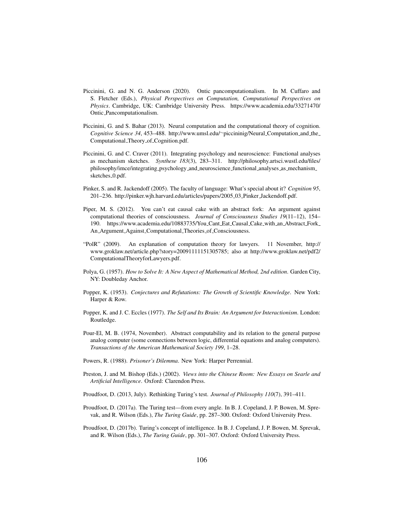- Piccinini, G. and N. G. Anderson (2020). Ontic pancomputationalism. In M. Cuffaro and S. Fletcher (Eds.), *Physical Perspectives on Computation, Computational Perspectives on Physics*. Cambridge, UK: Cambridge University Press. https://www.academia.edu/33271470/ Ontic Pancomputationalism.
- Piccinini, G. and S. Bahar (2013). Neural computation and the computational theory of cognition. *Cognitive Science 34*, 453–488. http://www.umsl.edu/∼piccininig/Neural Computation and the Computational Theory of Cognition.pdf.
- Piccinini, G. and C. Craver (2011). Integrating psychology and neuroscience: Functional analyses as mechanism sketches. *Synthese 183*(3), 283–311. http://philosophy.artsci.wustl.edu/files/ philosophy/imce/integrating\_psychology\_and\_neuroscience\_functional\_analyses\_as\_mechanism\_ sketches\_0.pdf.
- Pinker, S. and R. Jackendoff (2005). The faculty of language: What's special about it? *Cognition 95*, 201–236. http://pinker.wjh.harvard.edu/articles/papers/2005 03 Pinker Jackendoff.pdf.
- Piper, M. S. (2012). You can't eat causal cake with an abstract fork: An argument against computational theories of consciousness. *Journal of Consciousness Studies 19*(11–12), 154– 190. https://www.academia.edu/10883735/You Cant Eat Causal Cake with an Abstract Fork An Argument Against Computational Theories of Consciousness.
- "PolR" (2009). An explanation of computation theory for lawyers. 11 November, http:// www.groklaw.net/article.php?story=20091111151305785; also at http://www.groklaw.net/pdf2/ ComputationalTheoryforLawyers.pdf.
- Polya, G. (1957). *How to Solve It: A New Aspect of Mathematical Method, 2nd edition*. Garden City, NY: Doubleday Anchor.
- Popper, K. (1953). *Conjectures and Refutations: The Growth of Scientific Knowledge*. New York: Harper & Row.
- Popper, K. and J. C. Eccles (1977). *The Self and Its Brain: An Argument for Interactionism*. London: Routledge.
- Pour-El, M. B. (1974, November). Abstract computability and its relation to the general purpose analog computer (some connections between logic, differential equations and analog computers). *Transactions of the American Mathematical Society 199*, 1–28.
- Powers, R. (1988). *Prisoner's Dilemma*. New York: Harper Perrennial.
- Preston, J. and M. Bishop (Eds.) (2002). *Views into the Chinese Room: New Essays on Searle and Artificial Intelligence*. Oxford: Clarendon Press.
- Proudfoot, D. (2013, July). Rethinking Turing's test. *Journal of Philosophy 110*(7), 391–411.
- Proudfoot, D. (2017a). The Turing test—from every angle. In B. J. Copeland, J. P. Bowen, M. Sprevak, and R. Wilson (Eds.), *The Turing Guide*, pp. 287–300. Oxford: Oxford University Press.
- Proudfoot, D. (2017b). Turing's concept of intelligence. In B. J. Copeland, J. P. Bowen, M. Sprevak, and R. Wilson (Eds.), *The Turing Guide*, pp. 301–307. Oxford: Oxford University Press.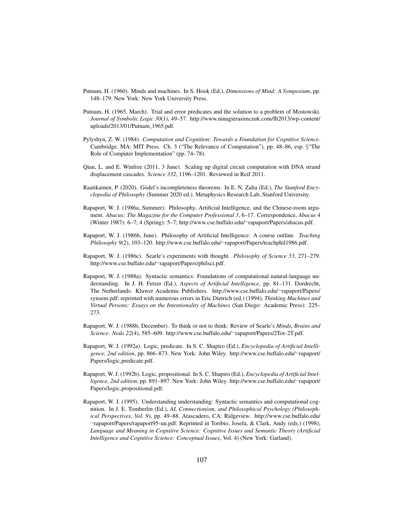- Putnam, H. (1960). Minds and machines. In S. Hook (Ed.), *Dimensions of Mind: A Symposium*, pp. 148–179. New York: New York University Press.
- Putnam, H. (1965, March). Trial and error predicates and the solution to a problem of Mostowski. *Journal of Symbolic Logic 30*(1), 49–57. http://www.ninagierasimczuk.com/flt2013/wp-content/ uploads/2013/01/Putnam 1965.pdf.
- Pylyshyn, Z. W. (1984). *Computation and Cognition: Towards a Foundation for Cognitive Science*. Cambridge, MA: MIT Press. Ch. 3 ("The Relevance of Computation"), pp. 48–86, esp. §"The Role of Computer Implementation" (pp. 74–78).
- Qian, L. and E. Winfree (2011, 3 June). Scaling up digital circuit computation with DNA strand displacement cascades. *Science 332*, 1196–1201. Reviewed in Reif 2011.
- Raatikainen, P. (2020). Gödel's incompleteness theorems. In E. N. Zalta (Ed.), The Stanford Ency*clopedia of Philosophy* (Summer 2020 ed.). Metaphysics Research Lab, Stanford University.
- Rapaport, W. J. (1986a, Summer). Philosophy, Artificial Intelligence, and the Chinese-room argument. *Abacus: The Magazine for the Computer Professional 3*, 6–17. Correspondence, *Abacus* 4 (Winter 1987): 6–7; 4 (Spring): 5–7; http://www.cse.buffalo.edu/∼rapaport/Papers/abacus.pdf.
- Rapaport, W. J. (1986b, June). Philosophy of Artificial Intelligence: A course outline. *Teaching Philosophy 9*(2), 103–120. http://www.cse.buffalo.edu/∼rapaport/Papers/teachphil1986.pdf.
- Rapaport, W. J. (1986c). Searle's experiments with thought. *Philosophy of Science 53*, 271–279. http://www.cse.buffalo.edu/∼rapaport/Papers/philsci.pdf.
- Rapaport, W. J. (1988a). Syntactic semantics: Foundations of computational natural-language understanding. In J. H. Fetzer (Ed.), *Aspects of Artificial Intelligence*, pp. 81–131. Dordrecht, The Netherlands: Kluwer Academic Publishers. http://www.cse.buffalo.edu/∼rapaport/Papers/ synsem.pdf; reprinted with numerous errors in Eric Dietrich (ed.) (1994), *Thinking Machines and Virtual Persons: Essays on the Intentionality of Machines* (San Diego: Academic Press): 225– 273.
- Rapaport, W. J. (1988b, December). To think or not to think: Review of Searle's *Minds, Brains and Science*. *Nous 22 ˆ* (4), 585–609. http://www.cse.buffalo.edu/∼rapaport/Papers/2Tor-2T.pdf.
- Rapaport, W. J. (1992a). Logic, predicate. In S. C. Shapiro (Ed.), *Encyclopedia of Artificial Intelligence, 2nd edition*, pp. 866–873. New York: John Wiley. http://www.cse.buffalo.edu/∼rapaport/ Papers/logic,predicate.pdf.
- Rapaport, W. J. (1992b). Logic, propositional. In S. C. Shapiro (Ed.), *Encyclopedia of Artificial Intelligence, 2nd edition*, pp. 891–897. New York: John Wiley. http://www.cse.buffalo.edu/∼rapaport/ Papers/logic,propositional.pdf.
- Rapaport, W. J. (1995). Understanding understanding: Syntactic semantics and computational cognition. In J. E. Tomberlin (Ed.), *AI, Connectionism, and Philosophical Psychology (Philosophical Perspectives, Vol. 9)*, pp. 49–88. Atascadero, CA: Ridgeview. http://www.cse.buffalo.edu/ ∼rapaport/Papers/rapaport95-uu.pdf. Reprinted in Toribio, Josefa, & Clark, Andy (eds.) (1998), *Language and Meaning in Cognitive Science: Cognitive Issues and Semantic Theory (Artificial Intelligence and Cognitive Science: Conceptual Issues*, Vol. 4) (New York: Garland).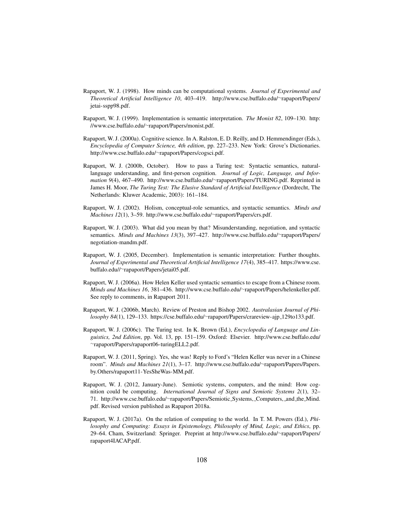- Rapaport, W. J. (1998). How minds can be computational systems. *Journal of Experimental and Theoretical Artificial Intelligence 10*, 403–419. http://www.cse.buffalo.edu/∼rapaport/Papers/ jetai-sspp98.pdf.
- Rapaport, W. J. (1999). Implementation is semantic interpretation. *The Monist 82*, 109–130. http: //www.cse.buffalo.edu/∼rapaport/Papers/monist.pdf.
- Rapaport, W. J. (2000a). Cognitive science. In A. Ralston, E. D. Reilly, and D. Hemmendinger (Eds.), *Encyclopedia of Computer Science, 4th edition*, pp. 227–233. New York: Grove's Dictionaries. http://www.cse.buffalo.edu/∼rapaport/Papers/cogsci.pdf.
- Rapaport, W. J. (2000b, October). How to pass a Turing test: Syntactic semantics, naturallanguage understanding, and first-person cognition. *Journal of Logic, Language, and Information 9*(4), 467–490. http://www.cse.buffalo.edu/∼rapaport/Papers/TURING.pdf. Reprinted in James H. Moor, *The Turing Test: The Elusive Standard of Artificial Intelligence* (Dordrecht, The Netherlands: Kluwer Academic, 2003): 161–184.
- Rapaport, W. J. (2002). Holism, conceptual-role semantics, and syntactic semantics. *Minds and Machines 12*(1), 3–59. http://www.cse.buffalo.edu/∼rapaport/Papers/crs.pdf.
- Rapaport, W. J. (2003). What did you mean by that? Misunderstanding, negotiation, and syntactic semantics. *Minds and Machines 13*(3), 397–427. http://www.cse.buffalo.edu/∼rapaport/Papers/ negotiation-mandm.pdf.
- Rapaport, W. J. (2005, December). Implementation is semantic interpretation: Further thoughts. *Journal of Experimental and Theoretical Artificial Intelligence 17*(4), 385–417. https://www.cse. buffalo.edu//∼rapaport/Papers/jetai05.pdf.
- Rapaport, W. J. (2006a). How Helen Keller used syntactic semantics to escape from a Chinese room. *Minds and Machines 16*, 381–436. http://www.cse.buffalo.edu/∼rapaport/Papers/helenkeller.pdf. See reply to comments, in Rapaport 2011.
- Rapaport, W. J. (2006b, March). Review of Preston and Bishop 2002. *Australasian Journal of Philosophy 84*(1), 129–133. https://cse.buffalo.edu/∼rapaport/Papers/crareview-ajp 129to133.pdf.
- Rapaport, W. J. (2006c). The Turing test. In K. Brown (Ed.), *Encyclopedia of Language and Linguistics, 2nd Edition*, pp. Vol. 13, pp. 151–159. Oxford: Elsevier. http://www.cse.buffalo.edu/ ∼rapaport/Papers/rapaport06-turingELL2.pdf.
- Rapaport, W. J. (2011, Spring). Yes, she was! Reply to Ford's "Helen Keller was never in a Chinese room". *Minds and Machines 21*(1), 3–17. http://www.cse.buffalo.edu/∼rapaport/Papers/Papers. by.Others/rapaport11-YesSheWas-MM.pdf.
- Rapaport, W. J. (2012, January-June). Semiotic systems, computers, and the mind: How cognition could be computing. *International Journal of Signs and Semiotic Systems 2*(1), 32– 71. http://www.cse.buffalo.edu/∼rapaport/Papers/Semiotic Systems, Computers, and the Mind. pdf. Revised version published as Rapaport 2018a.
- Rapaport, W. J. (2017a). On the relation of computing to the world. In T. M. Powers (Ed.), *Philosophy and Computing: Essays in Epistemology, Philosophy of Mind, Logic, and Ethics*, pp. 29–64. Cham, Switzerland: Springer. Preprint at http://www.cse.buffalo.edu/∼rapaport/Papers/ rapaport4IACAP.pdf.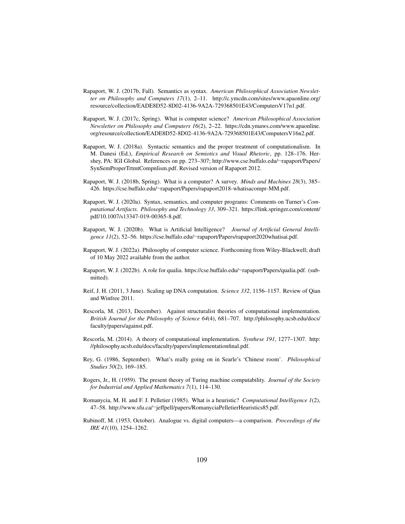- Rapaport, W. J. (2017b, Fall). Semantics as syntax. *American Philosophical Association Newsletter on Philosophy and Computers 17*(1), 2–11. http://c.ymcdn.com/sites/www.apaonline.org/ resource/collection/EADE8D52-8D02-4136-9A2A-729368501E43/ComputersV17n1.pdf.
- Rapaport, W. J. (2017c, Spring). What is computer science? *American Philosophical Association Newsletter on Philosophy and Computers 16*(2), 2–22. https://cdn.ymaws.com/www.apaonline. org/resource/collection/EADE8D52-8D02-4136-9A2A-729368501E43/ComputersV16n2.pdf.
- Rapaport, W. J. (2018a). Syntactic semantics and the proper treatment of computationalism. In M. Danesi (Ed.), *Empirical Research on Semiotics and Visual Rhetoric*, pp. 128–176. Hershey, PA: IGI Global. References on pp. 273–307; http://www.cse.buffalo.edu/∼rapaport/Papers/ SynSemProperTrtmtCompnlism.pdf. Revised version of Rapaport 2012.
- Rapaport, W. J. (2018b, Spring). What is a computer? A survey. *Minds and Machines 28*(3), 385– 426. https://cse.buffalo.edu/∼rapaport/Papers/rapaport2018-whatisacompr-MM.pdf.
- Rapaport, W. J. (2020a). Syntax, semantics, and computer programs: Comments on Turner's *Computational Artifacts*. *Philosophy and Technology 33*, 309–321. https://link.springer.com/content/ pdf/10.1007/s13347-019-00365-8.pdf.
- Rapaport, W. J. (2020b). What is Artificial Intelligence? *Journal of Artificial General Intelligence 11*(2), 52–56. https://cse.buffalo.edu/∼rapaport/Papers/rapaport2020whatisai.pdf.
- Rapaport, W. J. (2022a). Philosophy of computer science. Forthcoming from Wiley-Blackwell; draft of 10 May 2022 available from the author.
- Rapaport, W. J. (2022b). A role for qualia. https://cse.buffalo.edu/∼rapaport/Papers/qualia.pdf. (submitted).
- Reif, J. H. (2011, 3 June). Scaling up DNA computation. *Science 332*, 1156–1157. Review of Qian and Winfree 2011.
- Rescorla, M. (2013, December). Against structuralist theories of computational implementation. *British Journal for the Philosophy of Science 64*(4), 681–707. http://philosophy.ucsb.edu/docs/ faculty/papers/against.pdf.
- Rescorla, M. (2014). A theory of computational implementation. *Synthese 191*, 1277–1307. http: //philosophy.ucsb.edu/docs/faculty/papers/implementationfinal.pdf.
- Rey, G. (1986, September). What's really going on in Searle's 'Chinese room'. *Philosophical Studies 50*(2), 169–185.
- Rogers, Jr., H. (1959). The present theory of Turing machine computability. *Journal of the Society for Industrial and Applied Mathematics 7*(1), 114–130.
- Romanycia, M. H. and F. J. Pelletier (1985). What is a heuristic? *Computational Intelligence 1*(2), 47–58. http://www.sfu.ca/∼jeffpell/papers/RomanyciaPelletierHeuristics85.pdf.
- Rubinoff, M. (1953, October). Analogue vs. digital computers—a comparison. *Proceedings of the IRE 41*(10), 1254–1262.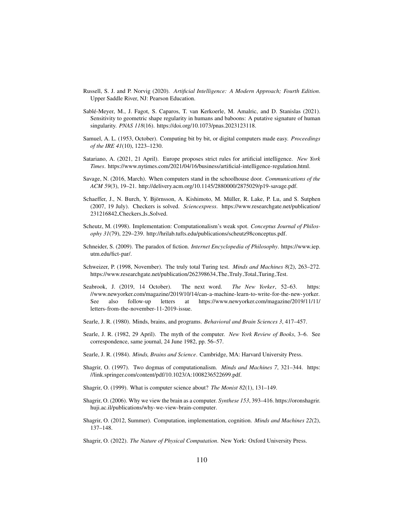- Russell, S. J. and P. Norvig (2020). *Artificial Intelligence: A Modern Approach; Fourth Edition*. Upper Saddle River, NJ: Pearson Education.
- Sable-Meyer, M., J. Fagot, S. Caparos, T. van Kerkoerle, M. Amalric, and D. Stanislas (2021). ´ Sensitivity to geometric shape regularity in humans and baboons: A putative signature of human singularity. *PNAS 118*(16). https://doi.org/10.1073/pnas.2023123118.
- Samuel, A. L. (1953, October). Computing bit by bit, or digital computers made easy. *Proceedings of the IRE 41*(10), 1223–1230.
- Satariano, A. (2021, 21 April). Europe proposes strict rules for artificial intelligence. *New York Times*. https://www.nytimes.com/2021/04/16/business/artificial-intelligence-regulation.html.
- Savage, N. (2016, March). When computers stand in the schoolhouse door. *Communications of the ACM 59*(3), 19–21. http://delivery.acm.org/10.1145/2880000/2875029/p19-savage.pdf.
- Schaeffer, J., N. Burch, Y. Björnsson, A. Kishimoto, M. Müller, R. Lake, P. Lu, and S. Sutphen (2007, 19 July). Checkers is solved. *Sciencexpress*. https://www.researchgate.net/publication/ 231216842 Checkers Is Solved.
- Scheutz, M. (1998). Implementation: Computationalism's weak spot. *Conceptus Journal of Philosophy 31*(79), 229–239. http://hrilab.tufts.edu/publications/scheutz98conceptus.pdf.
- Schneider, S. (2009). The paradox of fiction. *Internet Encyclopedia of Philosophy*. https://www.iep. utm.edu/fict-par/.
- Schweizer, P. (1998, November). The truly total Turing test. *Minds and Machines 8*(2), 263–272. https://www.researchgate.net/publication/262398634\_The\_Truly\_Total\_Turing\_Test.
- Seabrook, J. (2019, 14 October). The next word. *The New Yorker*, 52–63. https: //www.newyorker.com/magazine/2019/10/14/can-a-machine-learn-to-write-for-the-new-yorker. See also follow-up letters at https://www.newyorker.com/magazine/2019/11/11/ letters-from-the-november-11-2019-issue.
- Searle, J. R. (1980). Minds, brains, and programs. *Behavioral and Brain Sciences 3*, 417–457.
- Searle, J. R. (1982, 29 April). The myth of the computer. *New York Review of Books*, 3–6. See correspondence, same journal, 24 June 1982, pp. 56–57.
- Searle, J. R. (1984). *Minds, Brains and Science*. Cambridge, MA: Harvard University Press.
- Shagrir, O. (1997). Two dogmas of computationalism. *Minds and Machines 7*, 321–344. https: //link.springer.com/content/pdf/10.1023/A:1008236522699.pdf.
- Shagrir, O. (1999). What is computer science about? *The Monist 82*(1), 131–149.
- Shagrir, O. (2006). Why we view the brain as a computer. *Synthese 153*, 393–416. https://oronshagrir. huji.ac.il/publications/why-we-view-brain-computer.
- Shagrir, O. (2012, Summer). Computation, implementation, cognition. *Minds and Machines 22*(2), 137–148.
- Shagrir, O. (2022). *The Nature of Physical Computation*. New York: Oxford University Press.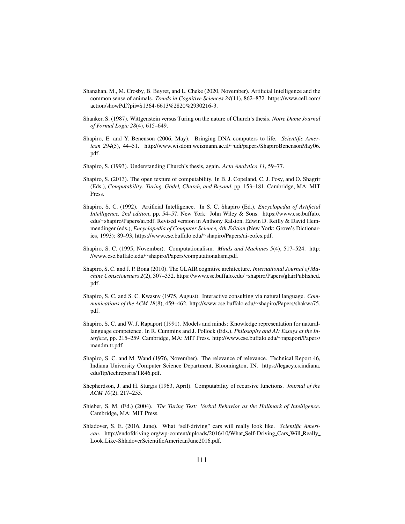- Shanahan, M., M. Crosby, B. Beyret, and L. Cheke (2020, November). Artificial Intelligence and the common sense of animals. *Trends in Cognitive Sciences 24*(11), 862–872. https://www.cell.com/ action/showPdf?pii=S1364-6613%2820%2930216-3.
- Shanker, S. (1987). Wittgenstein versus Turing on the nature of Church's thesis. *Notre Dame Journal of Formal Logic 28*(4), 615–649.
- Shapiro, E. and Y. Benenson (2006, May). Bringing DNA computers to life. *Scientific American 294*(5), 44–51. http://www.wisdom.weizmann.ac.il/∼udi/papers/ShapiroBenensonMay06. pdf.
- Shapiro, S. (1993). Understanding Church's thesis, again. *Acta Analytica 11*, 59–77.
- Shapiro, S. (2013). The open texture of computability. In B. J. Copeland, C. J. Posy, and O. Shagrir (Eds.), *Computability: Turing, Gödel, Church, and Beyond, pp.* 153–181. Cambridge, MA: MIT Press.
- Shapiro, S. C. (1992). Artificial Intelligence. In S. C. Shapiro (Ed.), *Encyclopedia of Artificial Intelligence, 2nd edition*, pp. 54–57. New York: John Wiley & Sons. https://www.cse.buffalo. edu/∼shapiro/Papers/ai.pdf. Revised version in Anthony Ralston, Edwin D. Reilly & David Hemmendinger (eds.), *Encyclopedia of Computer Science, 4th Edition* (New York: Grove's Dictionaries, 1993): 89–93, https://www.cse.buffalo.edu/∼shapiro/Papers/ai-eofcs.pdf.
- Shapiro, S. C. (1995, November). Computationalism. *Minds and Machines 5*(4), 517–524. http: //www.cse.buffalo.edu/∼shapiro/Papers/computationalism.pdf.
- Shapiro, S. C. and J. P. Bona (2010). The GLAIR cognitive architecture. *International Journal of Machine Consciousness 2*(2), 307–332. https://www.cse.buffalo.edu/∼shapiro/Papers/glairPublished. pdf.
- Shapiro, S. C. and S. C. Kwasny (1975, August). Interactive consulting via natural language. *Communications of the ACM 18*(8), 459–462. http://www.cse.buffalo.edu/∼shapiro/Papers/shakwa75. pdf.
- Shapiro, S. C. and W. J. Rapaport (1991). Models and minds: Knowledge representation for naturallanguage competence. In R. Cummins and J. Pollock (Eds.), *Philosophy and AI: Essays at the Interface*, pp. 215–259. Cambridge, MA: MIT Press. http://www.cse.buffalo.edu/∼rapaport/Papers/ mandm.tr.pdf.
- Shapiro, S. C. and M. Wand (1976, November). The relevance of relevance. Technical Report 46, Indiana University Computer Science Department, Bloomington, IN. https://legacy.cs.indiana. edu/ftp/techreports/TR46.pdf.
- Shepherdson, J. and H. Sturgis (1963, April). Computability of recursive functions. *Journal of the ACM 10*(2), 217–255.
- Shieber, S. M. (Ed.) (2004). *The Turing Test: Verbal Behavior as the Hallmark of Intelligence*. Cambridge, MA: MIT Press.
- Shladover, S. E. (2016, June). What "self-driving" cars will really look like. *Scientific Ameri*can. http://endofdriving.org/wp-content/uploads/2016/10/What\_Self-Driving\_Cars\_Will\_Really\_ Look Like-ShladoverScientificAmericanJune2016.pdf.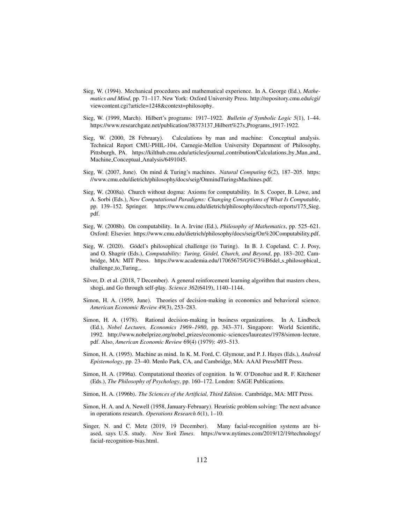- Sieg, W. (1994). Mechanical procedures and mathematical experience. In A. George (Ed.), *Mathematics and Mind*, pp. 71–117. New York: Oxford University Press. http://repository.cmu.edu/cgi/ viewcontent.cgi?article=1248&context=philosophy.
- Sieg, W. (1999, March). Hilbert's programs: 1917–1922. *Bulletin of Symbolic Logic 5*(1), 1–44. https://www.researchgate.net/publication/38373137\_Hilbert%27s\_Programs\_1917-1922.
- Sieg, W. (2000, 28 February). Calculations by man and machine: Conceptual analysis. Technical Report CMU-PHIL-104, Carnegie-Mellon University Department of Philosophy, Pittsburgh, PA. https://kilthub.cmu.edu/articles/journal\_contribution/Calculations\_by\_Man\_and\_ Machine Conceptual Analysis/6491045.
- Sieg, W. (2007, June). On mind & Turing's machines. *Natural Computing 6*(2), 187–205. https: //www.cmu.edu/dietrich/philosophy/docs/seig/OnmindTuringsMachines.pdf.
- Sieg, W. (2008a). Church without dogma: Axioms for computability. In S. Cooper, B. Löwe, and A. Sorbi (Eds.), *New Computational Paradigms: Changing Conceptions of What Is Computable*, pp. 139–152. Springer. https://www.cmu.edu/dietrich/philosophy/docs/tech-reports/175 Sieg. pdf.
- Sieg, W. (2008b). On computability. In A. Irvine (Ed.), *Philosophy of Mathematics*, pp. 525–621. Oxford: Elsevier. https://www.cmu.edu/dietrich/philosophy/docs/seig/On%20Computability.pdf.
- Sieg, W. (2020). Gödel's philosophical challenge (to Turing). In B. J. Copeland, C. J. Posy, and O. Shagrir (Eds.), *Computability: Turing, Gödel, Church, and Beyond*, pp. 183–202. Cambridge, MA: MIT Press. https://www.academia.edu/17065675/G%C3%B6del s philosophical challenge\_to\_Turing\_.
- Silver, D. et al. (2018, 7 December). A general reinforcement learning algorithm that masters chess, shogi, and Go through self-play. *Science 362*(6419), 1140–1144.
- Simon, H. A. (1959, June). Theories of decision-making in economics and behavioral science. *American Economic Review 49*(3), 253–283.
- Simon, H. A. (1978). Rational decision-making in business organizations. In A. Lindbeck (Ed.), *Nobel Lectures, Economics 1969–1980*, pp. 343–371. Singapore: World Scientific, 1992. http://www.nobelprize.org/nobel prizes/economic-sciences/laureates/1978/simon-lecture. pdf. Also, *American Economic Review* 69(4) (1979): 493–513.
- Simon, H. A. (1995). Machine as mind. In K. M. Ford, C. Glymour, and P. J. Hayes (Eds.), *Android Epistemology*, pp. 23–40. Menlo Park, CA, and Cambridge, MA: AAAI Press/MIT Press.
- Simon, H. A. (1996a). Computational theories of cognition. In W. O'Donohue and R. F. Kitchener (Eds.), *The Philosophy of Psychology*, pp. 160–172. London: SAGE Publications.
- Simon, H. A. (1996b). *The Sciences of the Artificial, Third Edition*. Cambridge, MA: MIT Press.
- Simon, H. A. and A. Newell (1958, January-February). Heuristic problem solving: The next advance in operations research. *Operations Research 6*(1), 1–10.
- Singer, N. and C. Metz (2019, 19 December). Many facial-recognition systems are biased, says U.S. study. *New York Times*. https://www.nytimes.com/2019/12/19/technology/ facial-recognition-bias.html.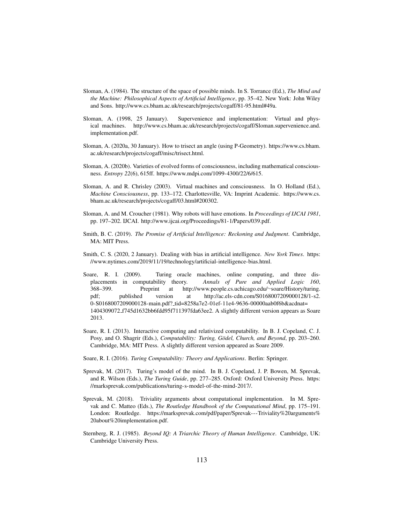- Sloman, A. (1984). The structure of the space of possible minds. In S. Torrance (Ed.), *The Mind and the Machine: Philosophical Aspects of Artificial Intelligence*, pp. 35–42. New York: John Wiley and Sons. http://www.cs.bham.ac.uk/research/projects/cogaff/81-95.html#49a.
- Sloman, A. (1998, 25 January). Supervenience and implementation: Virtual and physical machines. http://www.cs.bham.ac.uk/research/projects/cogaff/Sloman.supervenience.and. implementation.pdf.
- Sloman, A. (2020a, 30 January). How to trisect an angle (using P-Geometry). https://www.cs.bham. ac.uk/research/projects/cogaff/misc/trisect.html.
- Sloman, A. (2020b). Varieties of evolved forms of consciousness, including mathematical consciousness. *Entropy 22*(6), 615ff. https://www.mdpi.com/1099-4300/22/6/615.
- Sloman, A. and R. Chrisley (2003). Virtual machines and consciousness. In O. Holland (Ed.), *Machine Consciousness*, pp. 133–172. Charlottesville, VA: Imprint Academic. https://www.cs. bham.ac.uk/research/projects/cogaff/03.html#200302.
- Sloman, A. and M. Croucher (1981). Why robots will have emotions. In *Proceedings of IJCAI 1981*, pp. 197–202. IJCAI. http://www.ijcai.org/Proceedings/81-1/Papers/039.pdf.
- Smith, B. C. (2019). *The Promise of Artificial Intelligence: Reckoning and Judgment*. Cambridge, MA: MIT Press.
- Smith, C. S. (2020, 2 January). Dealing with bias in artificial intelligence. *New York Times*. https: //www.nytimes.com/2019/11/19/technology/artificial-intelligence-bias.html.
- Soare, R. I. (2009). Turing oracle machines, online computing, and three displacements in computability theory. *Annals of Pure and Applied Logic 160*, 368–399. Preprint at http://www.people.cs.uchicago.edu/∼soare/History/turing. pdf; published version at http://ac.els-cdn.com/S0168007209000128/1-s2. 0-S0168007209000128-main.pdf? tid=8258a7e2-01ef-11e4-9636-00000aab0f6b&acdnat= 1404309072 f745d1632bb6fdd95f711397fda63ee2. A slightly different version appears as Soare 2013.
- Soare, R. I. (2013). Interactive computing and relativized computability. In B. J. Copeland, C. J. Posy, and O. Shagrir (Eds.), *Computability: Turing, Gödel, Church, and Beyond*, pp. 203–260. Cambridge, MA: MIT Press. A slightly different version appeared as Soare 2009.
- Soare, R. I. (2016). *Turing Computability: Theory and Applications*. Berlin: Springer.
- Sprevak, M. (2017). Turing's model of the mind. In B. J. Copeland, J. P. Bowen, M. Sprevak, and R. Wilson (Eds.), *The Turing Guide*, pp. 277–285. Oxford: Oxford University Press. https: //marksprevak.com/publications/turing-s-model-of-the-mind-2017/.
- Sprevak, M. (2018). Triviality arguments about computational implementation. In M. Sprevak and C. Matteo (Eds.), *The Routledge Handbook of the Computational Mind*, pp. 175–191. London: Routledge. https://marksprevak.com/pdf/paper/Sprevak---Triviality%20arguments% 20about%20implementation.pdf.
- Sternberg, R. J. (1985). *Beyond IQ: A Triarchic Theory of Human Intelligence*. Cambridge, UK: Cambridge University Press.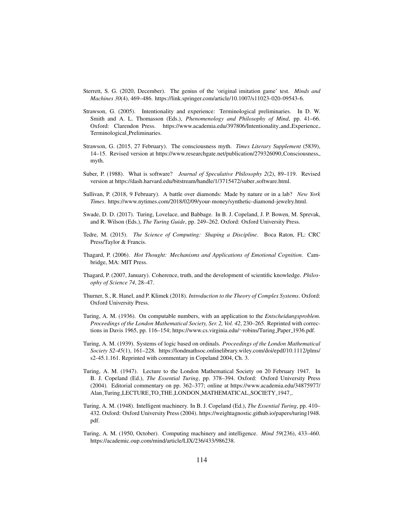- Sterrett, S. G. (2020, December). The genius of the 'original imitation game' test. *Minds and Machines 30*(4), 469–486. https://link.springer.com/article/10.1007/s11023-020-09543-6.
- Strawson, G. (2005). Intentionality and experience: Terminological preliminaries. In D. W. Smith and A. L. Thomasson (Eds.), *Phenomenology and Philosophy of Mind*, pp. 41–66. Oxford: Clarendon Press. https://www.academia.edu/397806/Intentionality and Experience Terminological Preliminaries.
- Strawson, G. (2015, 27 February). The consciousness myth. *Times Literary Supplement* (5839), 14–15. Revised version at https://www.researchgate.net/publication/279326090 Consciousness myth.
- Suber, P. (1988). What is software? *Journal of Speculative Philosophy 2*(2), 89–119. Revised version at https://dash.harvard.edu/bitstream/handle/1/3715472/suber\_software.html.
- Sullivan, P. (2018, 9 February). A battle over diamonds: Made by nature or in a lab? *New York Times*. https://www.nytimes.com/2018/02/09/your-money/synthetic-diamond-jewelry.html.
- Swade, D. D. (2017). Turing, Lovelace, and Babbage. In B. J. Copeland, J. P. Bowen, M. Sprevak, and R. Wilson (Eds.), *The Turing Guide*, pp. 249–262. Oxford: Oxford University Press.
- Tedre, M. (2015). *The Science of Computing: Shaping a Discipline*. Boca Raton, FL: CRC Press/Taylor & Francis.
- Thagard, P. (2006). *Hot Thought: Mechanisms and Applications of Emotional Cognition*. Cambridge, MA: MIT Press.
- Thagard, P. (2007, January). Coherence, truth, and the development of scientific knowledge. *Philosophy of Science 74*, 28–47.
- Thurner, S., R. Hanel, and P. Klimek (2018). *Introduction to the Theory of Complex Systems*. Oxford: Oxford University Press.
- Turing, A. M. (1936). On computable numbers, with an application to the *Entscheidungsproblem*. *Proceedings of the London Mathematical Society, Ser. 2, Vol. 42*, 230–265. Reprinted with corrections in Davis 1965, pp. 116–154; https://www.cs.virginia.edu/∼robins/Turing Paper 1936.pdf.
- Turing, A. M. (1939). Systems of logic based on ordinals. *Proceedings of the London Mathematical Society S2-45*(1), 161–228. https://londmathsoc.onlinelibrary.wiley.com/doi/epdf/10.1112/plms/ s2-45.1.161. Reprinted with commentary in Copeland 2004, Ch. 3.
- Turing, A. M. (1947). Lecture to the London Mathematical Society on 20 February 1947. In B. J. Copeland (Ed.), *The Essential Turing*, pp. 378–394. Oxford: Oxford University Press (2004). Editorial commentary on pp. 362–377; online at https://www.academia.edu/34875977/ Alan\_Turing\_LECTURE\_TO\_THE\_LONDON\_MATHEMATICAL\_SOCIETY\_1947\_.
- Turing, A. M. (1948). Intelligent machinery. In B. J. Copeland (Ed.), *The Essential Turing*, pp. 410– 432. Oxford: Oxford University Press (2004). https://weightagnostic.github.io/papers/turing1948. pdf.
- Turing, A. M. (1950, October). Computing machinery and intelligence. *Mind 59*(236), 433–460. https://academic.oup.com/mind/article/LIX/236/433/986238.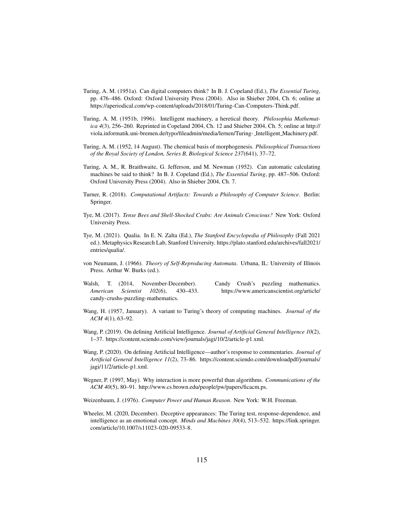- Turing, A. M. (1951a). Can digital computers think? In B. J. Copeland (Ed.), *The Essential Turing*, pp. 476–486. Oxford: Oxford University Press (2004). Also in Shieber 2004, Ch. 6; online at https://aperiodical.com/wp-content/uploads/2018/01/Turing-Can-Computers-Think.pdf.
- Turing, A. M. (1951b, 1996). Intelligent machinery, a heretical theory. *Philosophia Mathematica 4*(3), 256–260. Reprinted in Copeland 2004, Ch. 12 and Shieber 2004, Ch. 5; online at http:// viola.informatik.uni-bremen.de/typo/fileadmin/media/lernen/Turing- Intelligent Machinery.pdf.
- Turing, A. M. (1952, 14 August). The chemical basis of morphogenesis. *Philosophical Transactions of the Royal Society of London, Series B, Biological Science 237*(641), 37–72.
- Turing, A. M., R. Braithwaite, G. Jefferson, and M. Newman (1952). Can automatic calculating machines be said to think? In B. J. Copeland (Ed.), *The Essential Turing*, pp. 487–506. Oxford: Oxford University Press (2004). Also in Shieber 2004, Ch. 7.
- Turner, R. (2018). *Computational Artifacts: Towards a Philosophy of Computer Science*. Berlin: Springer.
- Tye, M. (2017). *Tense Bees and Shell-Shocked Crabs: Are Animals Conscious?* New York: Oxford University Press.
- Tye, M. (2021). Qualia. In E. N. Zalta (Ed.), *The Stanford Encyclopedia of Philosophy* (Fall 2021 ed.). Metaphysics Research Lab, Stanford University. https://plato.stanford.edu/archives/fall2021/ entries/qualia/.
- von Neumann, J. (1966). *Theory of Self-Reproducing Automata*. Urbana, IL: University of Illinois Press. Arthur W. Burks (ed.).
- Walsh, T. (2014, November-December). Candy Crush's puzzling mathematics. *American Scientist 102*(6), 430–433. https://www.americanscientist.org/article/ candy-crushs-puzzling-mathematics.

- Wang, H. (1957, January). A variant to Turing's theory of computing machines. *Journal of the ACM 4*(1), 63–92.
- Wang, P. (2019). On defining Artificial Intelligence. *Journal of Artificial General Intelligence 10*(2), 1–37. https://content.sciendo.com/view/journals/jagi/10/2/article-p1.xml.
- Wang, P. (2020). On defining Artificial Intelligence—author's response to commentaries. *Journal of Artificial General Intelligence 11*(2), 73–86. https://content.sciendo.com/downloadpdf/journals/ jagi/11/2/article-p1.xml.
- Wegner, P. (1997, May). Why interaction is more powerful than algorithms. *Communications of the ACM 40*(5), 80–91. http://www.cs.brown.edu/people/pw/papers/ficacm.ps.
- Weizenbaum, J. (1976). *Computer Power and Human Reason*. New York: W.H. Freeman.
- Wheeler, M. (2020, December). Deceptive appearances: The Turing test, response-dependence, and intelligence as an emotional concept. *Minds and Machines 30*(4), 513–532. https://link.springer. com/article/10.1007/s11023-020-09533-8.